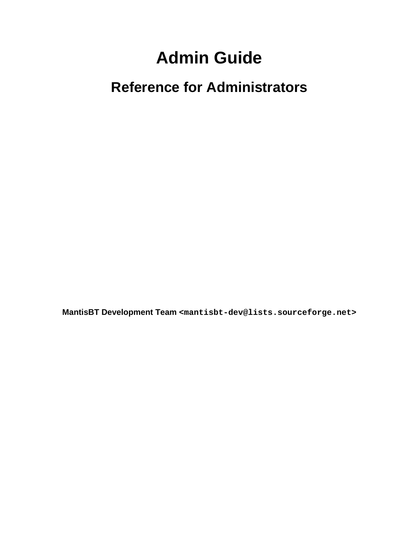# **Admin Guide**

# **Reference for Administrators**

**MantisBT Development Team <mantisbt-dev@lists.sourceforge.net>**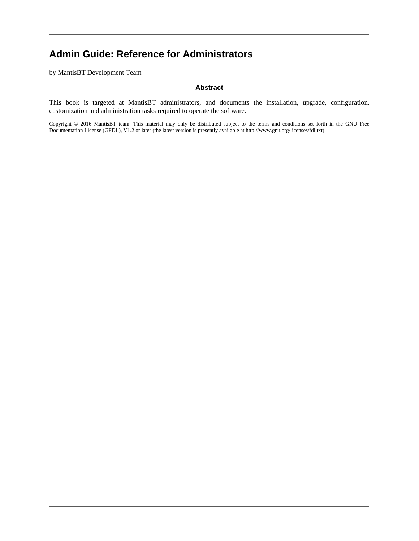## **Admin Guide: Reference for Administrators**

by MantisBT Development Team

#### **Abstract**

This book is targeted at MantisBT administrators, and documents the installation, upgrade, configuration, customization and administration tasks required to operate the software.

Copyright © 2016 MantisBT team. This material may only be distributed subject to the terms and conditions set forth in the GNU Free Documentation License (GFDL), V1.2 or later (the latest version is presently available at [http://www.gnu.org/licenses/fdl.txt\)](http://www.gnu.org/licenses/fdl.txt).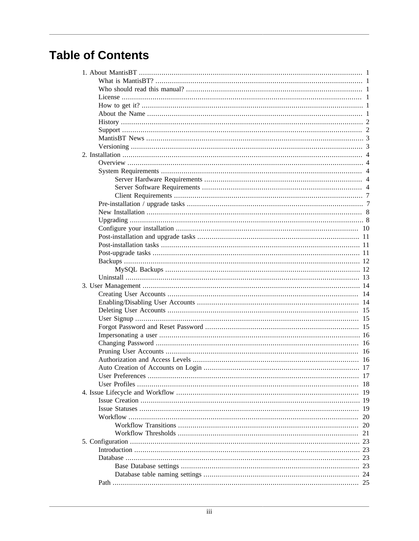# **Table of Contents**

| 14  |
|-----|
|     |
| 15  |
|     |
|     |
|     |
|     |
|     |
| 16  |
|     |
| 17  |
|     |
|     |
| -19 |
|     |
| 19  |
| 20  |
| 20  |
| 21  |
| 23  |
| 23  |
| 23  |
| 23  |
| 24  |
|     |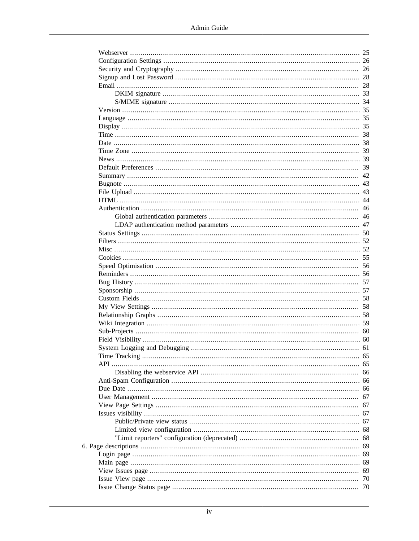|     | 26 |
|-----|----|
|     |    |
|     |    |
|     |    |
|     |    |
|     |    |
|     |    |
|     |    |
|     |    |
|     |    |
|     |    |
|     |    |
|     |    |
|     |    |
|     |    |
|     |    |
|     |    |
|     |    |
|     |    |
|     |    |
|     |    |
|     |    |
|     |    |
|     |    |
|     |    |
|     |    |
|     |    |
|     |    |
|     |    |
|     |    |
|     |    |
|     |    |
|     |    |
|     |    |
|     |    |
|     |    |
|     |    |
| APL |    |
|     | 66 |
|     |    |
|     | 66 |
|     | 67 |
|     | 67 |
|     | 67 |
|     | 67 |
|     |    |
|     | 68 |
|     |    |
|     |    |
|     | 69 |
|     | 69 |
|     | 70 |
|     |    |
|     |    |

6.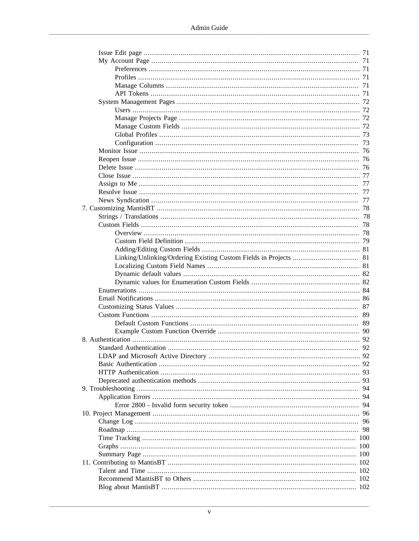| 94 |
|----|
|    |
|    |
|    |
| 96 |
|    |
|    |
|    |
|    |
|    |
|    |
|    |
|    |
|    |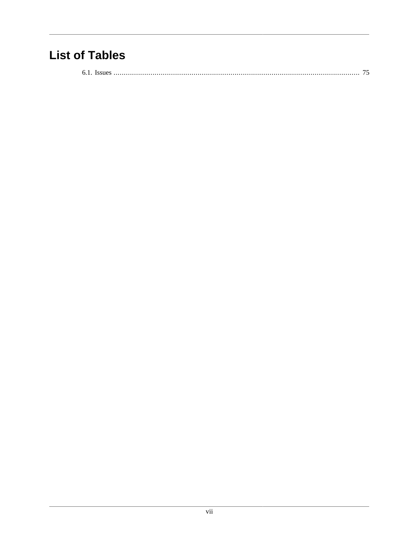# **List of Tables**

|--|--|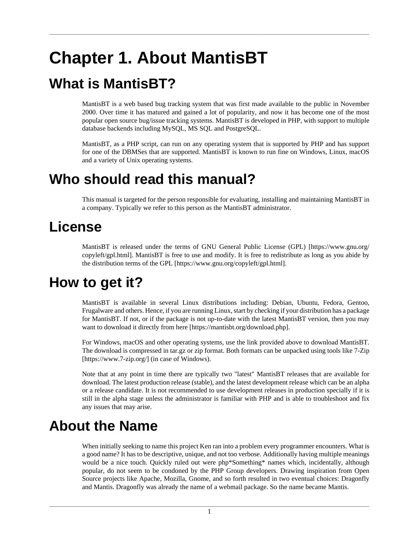# <span id="page-7-0"></span>**Chapter 1. About MantisBT**

# <span id="page-7-1"></span>**What is MantisBT?**

MantisBT is a web based bug tracking system that was first made available to the public in November 2000. Over time it has matured and gained a lot of popularity, and now it has become one of the most popular open source bug/issue tracking systems. MantisBT is developed in PHP, with support to multiple database backends including MySQL, MS SQL and PostgreSQL.

MantisBT, as a PHP script, can run on any operating system that is supported by PHP and has support for one of the DBMSes that are supported. MantisBT is known to run fine on Windows, Linux, macOS and a variety of Unix operating systems.

# <span id="page-7-2"></span>**Who should read this manual?**

This manual is targeted for the person responsible for evaluating, installing and maintaining MantisBT in a company. Typically we refer to this person as the MantisBT administrator.

# <span id="page-7-3"></span>**License**

MantisBT is released under the terms of [GNU General Public License \(GPL\) \[https://www.gnu.org/](https://www.gnu.org/copyleft/gpl.html) [copyleft/gpl.html](https://www.gnu.org/copyleft/gpl.html)]. MantisBT is free to use and modify. It is free to redistribute as long as you abide by the distribution terms of the [GPL](https://www.gnu.org/copyleft/gpl.html) [\[https://www.gnu.org/copyleft/gpl.html](https://www.gnu.org/copyleft/gpl.html)].

# <span id="page-7-4"></span>**How to get it?**

MantisBT is available in several Linux distributions including: Debian, Ubuntu, Fedora, Gentoo, Frugalware and others. Hence, if you are running Linux, start by checking if your distribution has a package for MantisBT. If not, or if the package is not up-to-date with the latest MantisBT version, then you may want to download it directly from [here](https://mantisbt.org/download.php) [\[https://mantisbt.org/download.php](https://mantisbt.org/download.php)].

For Windows, macOS and other operating systems, use the link provided above to download MantisBT. The download is compressed in tar.gz or zip format. Both formats can be unpacked using tools like [7-Zip](https://www.7-zip.org/) [\[https://www.7-zip.org/](https://www.7-zip.org/)] (in case of Windows).

Note that at any point in time there are typically two "latest" MantisBT releases that are available for download. The latest production release (stable), and the latest development release which can be an alpha or a release candidate. It is not recommended to use development releases in production specially if it is still in the alpha stage unless the administrator is familiar with PHP and is able to troubleshoot and fix any issues that may arise.

# <span id="page-7-5"></span>**About the Name**

When initially seeking to name this project Ken ran into a problem every programmer encounters. What is a good name? It has to be descriptive, unique, and not too verbose. Additionally having multiple meanings would be a nice touch. Quickly ruled out were php\*Something\* names which, incidentally, although popular, do not seem to be condoned by the PHP Group developers. Drawing inspiration from Open Source projects like Apache, Mozilla, Gnome, and so forth resulted in two eventual choices: Dragonfly and Mantis. Dragonfly was already the name of a webmail package. So the name became Mantis.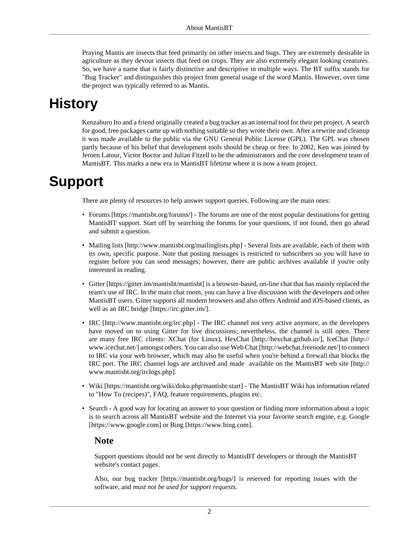Praying Mantis are insects that feed primarily on other insects and bugs. They are extremely desirable in agriculture as they devour insects that feed on crops. They are also extremely elegant looking creatures. So, we have a name that is fairly distinctive and descriptive in multiple ways. The BT suffix stands for "Bug Tracker" and distinguishes this project from general usage of the word Mantis. However, over time the project was typically referred to as Mantis.

# <span id="page-8-0"></span>**History**

Kenzaburo Ito and a friend originally created a bug tracker as an internal tool for their pet project. A search for good, free packages came up with nothing suitable so they wrote their own. After a rewrite and cleanup it was made available to the public via the GNU General Public License (GPL). The GPL was chosen partly because of his belief that development tools should be cheap or free. In 2002, Ken was joined by Jeroen Latour, Victor Boctor and Julian Fitzell to be the administrators and the core development team of MantisBT. This marks a new era in MantisBT lifetime where it is now a team project.

# <span id="page-8-1"></span>**Support**

There are plenty of resources to help answer support queries. Following are the main ones:

- [Forums \[https://mantisbt.org/forums/](https://mantisbt.org/forums/)] The forums are one of the most popular destinations for getting MantisBT support. Start off by searching the forums for your questions, if not found, then go ahead and submit a question.
- [Mailing lists](http://www.mantisbt.org/mailinglists.php) [<http://www.mantisbt.org/mailinglists.php>] Several lists are available, each of them with its own, specific purpose. Note that posting messages is restricted to subscribers so you will have to register before you can send messages; however, there are public archives available if you're only interested in reading.
- [Gitter](https://gitter.im/mantisbt/mantisbt) [<https://gitter.im/mantisbt/mantisbt>] is a browser-based, on-line chat that has mainly replaced the team's use of IRC. In the main chat room, you can have a live discussion with the developers and other MantisBT users. Gitter supports all modern browsers and also offers Android and iOS-based clients, as well as an [IRC bridge](https://irc.gitter.im/) [\[https://irc.gitter.im/\]](https://irc.gitter.im/).
- [IRC](http://www.mantisbt.org/irc.php) [<http://www.mantisbt.org/irc.php>] The IRC channel not very active anymore, as the developers have moved on to using Gitter for live discussions; nevertheless, the channel is still open. There are many free IRC clients: XChat (for Linux), [HexChat](http://hexchat.github.io/) [[http://hexchat.github.io/\]](http://hexchat.github.io/), [IceChat \[http://](http://www.icechat.net/) [www.icechat.net/\]](http://www.icechat.net/) amongst others. You can also use [Web Chat](http://webchat.freenode.net/) [<http://webchat.freenode.net/>] to connect to IRC via your web browser, which may also be useful when you're behind a firewall that blocks the IRC port. The IRC channel logs are archived and made [available on the MantisBT web site \[http://](http://www.mantisbt.org/irclogs.php) [www.mantisbt.org/irclogs.php\]](http://www.mantisbt.org/irclogs.php).
- [Wiki](https://mantisbt.org/wiki/doku.php/mantisbt:start) [[https://mantisbt.org/wiki/doku.php/mantisbt:start\]](https://mantisbt.org/wiki/doku.php/mantisbt:start) The MantisBT Wiki has information related to "How To (recipes)", FAQ, feature requirements, plugins etc.
- Search A good way for locating an answer to your question or finding more information about a topic is to search across all MantisBT website and the Internet via your favorite search engine, e.g. [Google](https://www.google.com) [\[https://www.google.com](https://www.google.com)] or [Bing](https://www.bing.com) [\[https://www.bing.com\]](https://www.bing.com).

### **Note**

Support questions should not be sent directly to MantisBT developers or through the MantisBT website's contact pages.

Also, our [bug tracker](https://mantisbt.org/bugs/) [<https://mantisbt.org/bugs/>] is reserved for reporting issues with the software, and *must not be used for support requests*.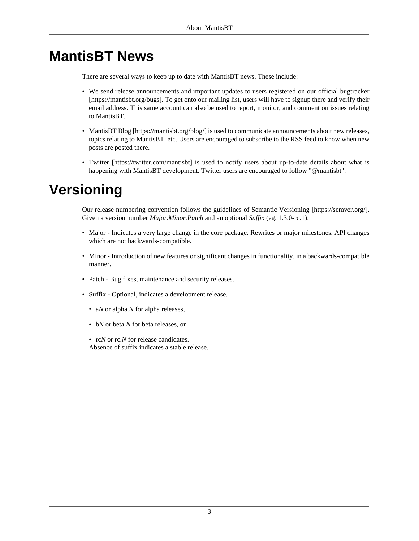# <span id="page-9-0"></span>**MantisBT News**

There are several ways to keep up to date with MantisBT news. These include:

- We send release announcements and important updates to users registered on our [official bugtracker](https://mantisbt.org/bugs) [\[https://mantisbt.org/bugs](https://mantisbt.org/bugs)]. To get onto our mailing list, users will have to signup there and verify their email address. This same account can also be used to report, monitor, and comment on issues relating to MantisBT.
- [MantisBT Blog](https://mantisbt.org/blog/) [\[https://mantisbt.org/blog/\]](https://mantisbt.org/blog/) is used to communicate announcements about new releases, topics relating to MantisBT, etc. Users are encouraged to subscribe to the RSS feed to know when new posts are posted there.
- [Twitter](https://twitter.com/mantisbt) [[https://twitter.com/mantisbt\]](https://twitter.com/mantisbt) is used to notify users about up-to-date details about what is happening with MantisBT development. Twitter users are encouraged to follow "@mantisbt".

# <span id="page-9-1"></span>**Versioning**

Our release numbering convention follows the guidelines of [Semantic Versioning](https://semver.org/) [<https://semver.org/>]. Given a version number *Major.Minor.Patch* and an optional *Suffix* (eg. 1.3.0-rc.1):

- Major Indicates a very large change in the core package. Rewrites or major milestones. API changes which are not backwards-compatible.
- Minor Introduction of new features or significant changes in functionality, in a backwards-compatible manner.
- Patch Bug fixes, maintenance and security releases.
- Suffix Optional, indicates a development release.
	- a*N* or alpha.*N* for alpha releases,
	- b*N* or beta.*N* for beta releases, or

• rc*N* or rc*.N* for release candidates.

Absence of suffix indicates a stable release.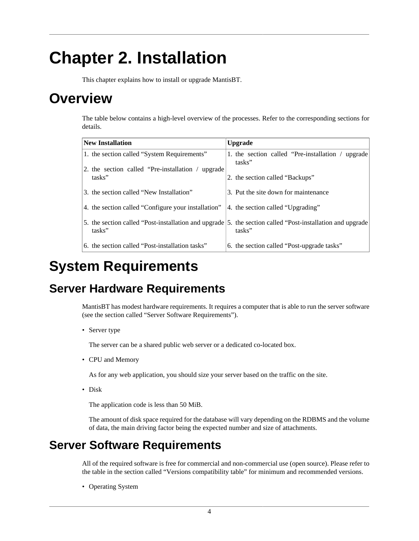# <span id="page-10-0"></span>**Chapter 2. Installation**

This chapter explains how to install or upgrade MantisBT.

# <span id="page-10-1"></span>**Overview**

The table below contains a high-level overview of the processes. Refer to the corresponding sections for details.

| <b>New Installation</b>                             | <b>Upgrade</b>                                                                                                      |
|-----------------------------------------------------|---------------------------------------------------------------------------------------------------------------------|
| 1. the section called "System Requirements"         | 1. the section called "Pre-installation / upgrade                                                                   |
| 2. the section called "Pre-installation / upgrade"  | tasks"                                                                                                              |
| tasks"                                              | 2. the section called "Backups"                                                                                     |
| 3. the section called "New Installation"            | 3. Put the site down for maintenance                                                                                |
| 4. the section called "Configure your installation" | 4. the section called "Upgrading"                                                                                   |
| tasks"                                              | 5. the section called "Post-installation and upgrade 5. the section called "Post-installation and upgrade<br>tasks" |
| 6. the section called "Post-installation tasks"     | 6. the section called "Post-upgrade tasks"                                                                          |

# <span id="page-10-2"></span>**System Requirements**

## <span id="page-10-3"></span>**Server Hardware Requirements**

MantisBT has modest hardware requirements. It requires a computer that is able to run the server software (see [the section called "Server Software Requirements"](#page-10-4)).

• Server type

The server can be a shared public web server or a dedicated co-located box.

• CPU and Memory

As for any web application, you should size your server based on the traffic on the site.

• Disk

The application code is less than 50 MiB.

The amount of disk space required for the database will vary depending on the RDBMS and the volume of data, the main driving factor being the expected number and size of attachments.

## <span id="page-10-4"></span>**Server Software Requirements**

All of the required software is free for commercial and non-commercial use (open source). Please refer to the table in [the section called "Versions compatibility table"](#page-12-0) for minimum and recommended versions.

• Operating System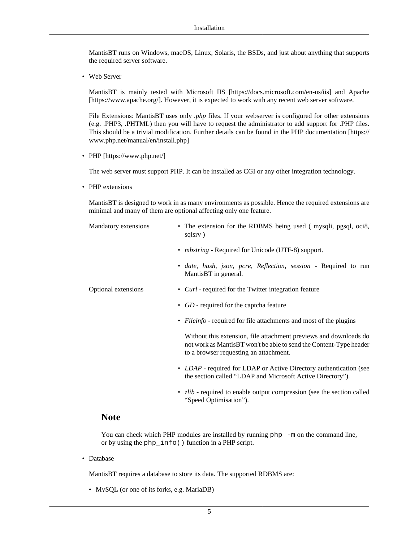MantisBT runs on Windows, macOS, Linux, Solaris, the BSDs, and just about anything that supports the required server software.

• Web Server

MantisBT is mainly tested with [Microsoft IIS](https://docs.microsoft.com/en-us/iis) [<https://docs.microsoft.com/en-us/iis>] and [Apache](https://www.apache.org/) [\[https://www.apache.org/\]](https://www.apache.org/). However, it is expected to work with any recent web server software.

File Extensions: MantisBT uses only *.php* files. If your webserver is configured for other extensions (e.g. .PHP3, .PHTML) then you will have to request the administrator to add support for .PHP files. This should be a trivial modification. Further details can be found in the [PHP documentation](https://www.php.net/manual/en/install.php) [\[https://](https://www.php.net/manual/en/install.php) [www.php.net/manual/en/install.php](https://www.php.net/manual/en/install.php)]

• [PHP](https://www.php.net/) [\[https://www.php.net/\]](https://www.php.net/)

The web server must support PHP. It can be installed as CGI or any other integration technology.

• PHP extensions

MantisBT is designed to work in as many environments as possible. Hence the required extensions are minimal and many of them are optional affecting only one feature.

| Mandatory extensions | • The extension for the RDBMS being used (mysqli, pgsql, oci8,<br>sqlsrv)                                                                                                         |
|----------------------|-----------------------------------------------------------------------------------------------------------------------------------------------------------------------------------|
|                      | • <i>mbstring</i> - Required for Unicode (UTF-8) support.                                                                                                                         |
|                      | · date, hash, json, pcre, Reflection, session - Required to run<br>MantisBT in general.                                                                                           |
| Optional extensions  | • <i>Curl</i> - required for the Twitter integration feature                                                                                                                      |
|                      | • <i>GD</i> - required for the captcha feature                                                                                                                                    |
|                      | • <i>Fileinfo</i> - required for file attachments and most of the plugins                                                                                                         |
|                      | Without this extension, file attachment previews and downloads do<br>not work as MantisBT won't be able to send the Content-Type header<br>to a browser requesting an attachment. |
|                      | • <i>LDAP</i> - required for LDAP or Active Directory authentication (see<br>the section called "LDAP and Microsoft Active Directory").                                           |

• *zlib* - required to enable output compression (see [the section called](#page-62-0) ["Speed Optimisation"](#page-62-0)).

### **Note**

You can check which PHP modules are installed by running  $php -m$  on the command line, or by using the php\_info() function in a PHP script.

• Database

MantisBT requires a database to store its data. The supported RDBMS are:

• MySQL (or one of its forks, e.g. MariaDB)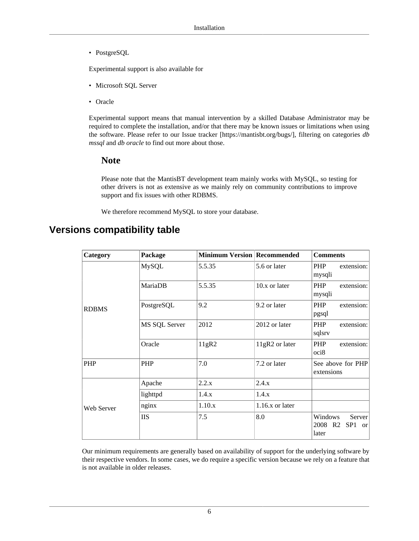• PostgreSQL

Experimental support is also available for

- Microsoft SQL Server
- Oracle

Experimental support means that manual intervention by a skilled Database Administrator may be required to complete the installation, and/or that there may be known issues or limitations when using the software. Please refer to our [Issue tracker](https://mantisbt.org/bugs/) [<https://mantisbt.org/bugs/>], filtering on categories *db mssql* and *db oracle* to find out more about those.

#### **Note**

Please note that the MantisBT development team mainly works with MySQL, so testing for other drivers is not as extensive as we mainly rely on community contributions to improve support and fix issues with other RDBMS.

We therefore recommend MySQL to store your database.

## <span id="page-12-0"></span>**Versions compatibility table**

| Category     | Package       | <b>Minimum Version Recommended</b> |                    | <b>Comments</b>                                            |
|--------------|---------------|------------------------------------|--------------------|------------------------------------------------------------|
|              | <b>MySQL</b>  | 5.5.35                             | 5.6 or later       | PHP<br>extension:<br>mysqli                                |
|              | MariaDB       | 5.5.35                             | 10.x or later      | PHP<br>extension:<br>mysqli                                |
| <b>RDBMS</b> | PostgreSQL    | 9.2                                | 9.2 or later       | PHP<br>extension:<br>pgsql                                 |
|              | MS SQL Server | 2012                               | 2012 or later      | PHP<br>extension:<br>sqlsrv                                |
|              | Oracle        | 11gR2                              | 11gR2 or later     | <b>PHP</b><br>extension:<br>oci <sub>8</sub>               |
| <b>PHP</b>   | <b>PHP</b>    | 7.0                                | 7.2 or later       | See above for PHP<br>extensions                            |
|              | Apache        | 2.2.x                              | 2.4.x              |                                                            |
| Web Server   | lighttpd      | 1.4.x                              | 1.4.x              |                                                            |
|              | nginx         | 1.10.x                             | $1.16$ .x or later |                                                            |
|              | <b>IIS</b>    | 7.5                                | 8.0                | Windows<br>Server<br>2008 R2 SP1<br><sub>or</sub><br>later |

Our minimum requirements are generally based on availability of support for the underlying software by their respective vendors. In some cases, we do require a specific version because we rely on a feature that is not available in older releases.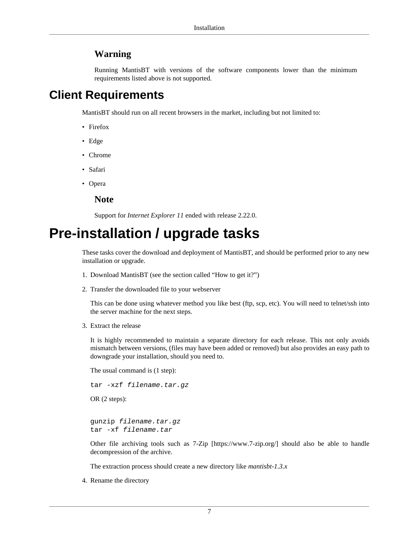### **Warning**

Running MantisBT with versions of the software components lower than the minimum requirements listed above is not supported.

## <span id="page-13-0"></span>**Client Requirements**

MantisBT should run on all recent browsers in the market, including but not limited to:

- Firefox
- Edge
- Chrome
- Safari
- Opera

**Note**

Support for *Internet Explorer 11* ended with release 2.22.0.

# <span id="page-13-1"></span>**Pre-installation / upgrade tasks**

These tasks cover the download and deployment of MantisBT, and should be performed prior to any new installation or upgrade.

- 1. Download MantisBT (see [the section called "How to get it?"\)](#page-7-4)
- 2. Transfer the downloaded file to your webserver

This can be done using whatever method you like best (ftp, scp, etc). You will need to telnet/ssh into the server machine for the next steps.

3. Extract the release

It is highly recommended to maintain a separate directory for each release. This not only avoids mismatch between versions, (files may have been added or removed) but also provides an easy path to downgrade your installation, should you need to.

The usual command is (1 step): tar -xzf filename.tar.gz

OR (2 steps):

gunzip filename.tar.gz tar -xf filename.tar

Other file archiving tools such as [7-Zip](https://www.7-zip.org/) [\[https://www.7-zip.org/](https://www.7-zip.org/)] should also be able to handle decompression of the archive.

The extraction process should create a new directory like *mantisbt-1.3.x*

4. Rename the directory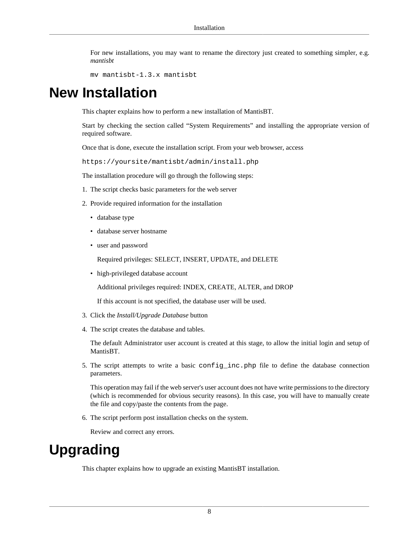For new installations, you may want to rename the directory just created to something simpler, e.g. *mantisbt*

```
mv mantisbt-1.3.x mantisbt
```
# <span id="page-14-0"></span>**New Installation**

This chapter explains how to perform a new installation of MantisBT.

Start by checking [the section called "System Requirements"](#page-10-2) and installing the appropriate version of required software.

Once that is done, execute the installation script. From your web browser, access

https://yoursite/mantisbt/admin/install.php

The installation procedure will go through the following steps:

- 1. The script checks basic parameters for the web server
- 2. Provide required information for the installation
	- database type
	- database server hostname
	- user and password

Required privileges: SELECT, INSERT, UPDATE, and DELETE

• high-privileged database account

Additional privileges required: INDEX, CREATE, ALTER, and DROP

If this account is not specified, the database user will be used.

- 3. Click the *Install/Upgrade Database* button
- 4. The script creates the database and tables.

The default Administrator user account is created at this stage, to allow the initial login and setup of MantisBT.

5. The script attempts to write a basic config\_inc.php file to define the database connection parameters.

This operation may fail if the web server's user account does not have write permissions to the directory (which is recommended for obvious security reasons). In this case, you will have to manually create the file and copy/paste the contents from the page.

6. The script perform post installation checks on the system.

Review and correct any errors.

# <span id="page-14-1"></span>**Upgrading**

This chapter explains how to upgrade an existing MantisBT installation.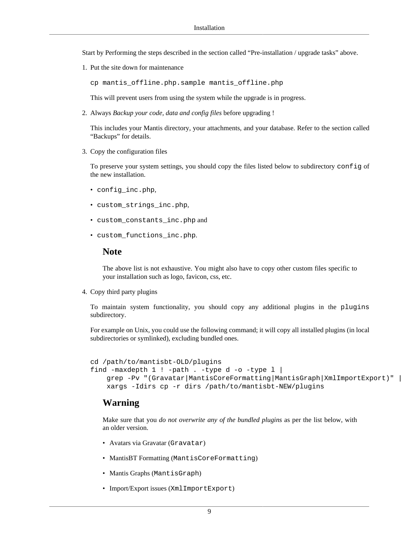Start by Performing the steps described in [the section called "Pre-installation / upgrade tasks"](#page-13-1) above.

1. Put the site down for maintenance

cp mantis\_offline.php.sample mantis\_offline.php

This will prevent users from using the system while the upgrade is in progress.

2. Always *Backup your code, data and config files* before upgrading !

This includes your Mantis directory, your attachments, and your database. Refer to [the section called](#page-18-0) ["Backups"](#page-18-0) for details.

3. Copy the configuration files

To preserve your system settings, you should copy the files listed below to subdirectory config of the new installation.

- config\_inc.php,
- custom\_strings\_inc.php,
- custom\_constants\_inc.php and
- custom\_functions\_inc.php.

#### **Note**

The above list is not exhaustive. You might also have to copy other custom files specific to your installation such as logo, favicon, css, etc.

4. Copy third party plugins

To maintain system functionality, you should copy any additional plugins in the plugins subdirectory.

For example on Unix, you could use the following command; it will copy all installed plugins (in local subdirectories or symlinked), excluding bundled ones.

cd /path/to/mantisbt-OLD/plugins

```
find -maxdepth 1 ! -path . -type d -o -type 1 |
    grep -Pv "(Gravatar|MantisCoreFormatting|MantisGraph|XmlImportExport)" |
    xargs -Idirs cp -r dirs /path/to/mantisbt-NEW/plugins
```
#### **Warning**

Make sure that you *do not overwrite any of the bundled plugins* as per the list below, with an older version.

- Avatars via Gravatar (Gravatar)
- MantisBT Formatting (MantisCoreFormatting)
- Mantis Graphs (MantisGraph)
- Import/Export issues (XmlImportExport)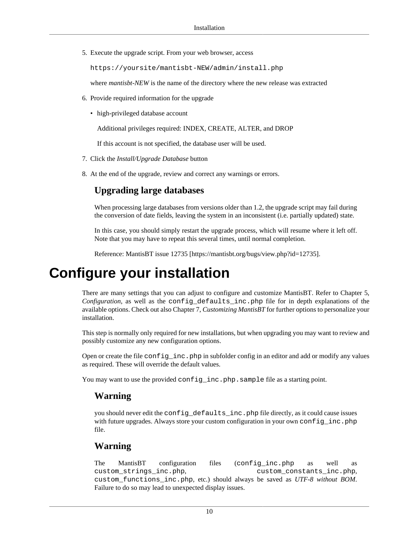5. Execute the upgrade script. From your web browser, access

https://yoursite/mantisbt-NEW/admin/install.php

where *mantisbt-NEW* is the name of the directory where the new release was extracted

- 6. Provide required information for the upgrade
	- high-privileged database account

Additional privileges required: INDEX, CREATE, ALTER, and DROP

If this account is not specified, the database user will be used.

- 7. Click the *Install/Upgrade Database* button
- 8. At the end of the upgrade, review and correct any warnings or errors.

## **Upgrading large databases**

When processing large databases from versions older than 1.2, the upgrade script may fail during the conversion of date fields, leaving the system in an inconsistent (i.e. partially updated) state.

In this case, you should simply restart the upgrade process, which will resume where it left off. Note that you may have to repeat this several times, until normal completion.

Reference: MantisBT issue [12735](https://mantisbt.org/bugs/view.php?id=12735) [\[https://mantisbt.org/bugs/view.php?id=12735\]](https://mantisbt.org/bugs/view.php?id=12735).

# <span id="page-16-0"></span>**Configure your installation**

There are many settings that you can adjust to configure and customize MantisBT. Refer to [Chapter 5,](#page-29-0) *[Configuration](#page-29-0)*, as well as the config\_defaults\_inc.php file for in depth explanations of the available options. Check out also Chapter 7, *[Customizing MantisBT](#page-84-0)* for further options to personalize your installation.

This step is normally only required for new installations, but when upgrading you may want to review and possibly customize any new configuration options.

Open or create the file config\_inc.php in subfolder config in an editor and add or modify any values as required. These will override the default values.

You may want to use the provided config\_inc.php.sample file as a starting point.

### **Warning**

you should never edit the config\_defaults\_inc.php file directly, as it could cause issues with future upgrades. Always store your custom configuration in your own configuration. file.

### **Warning**

The MantisBT configuration files (configuration files as well as custom\_strings\_inc.php, custom\_constants\_inc.php, custom\_functions\_inc.php, etc.) should always be saved as *UTF-8 without BOM*. Failure to do so may lead to unexpected display issues.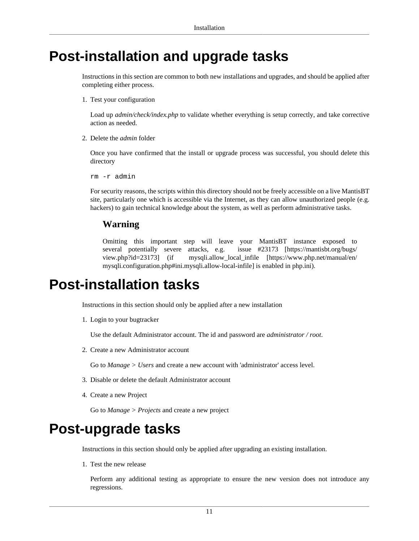## <span id="page-17-0"></span>**Post-installation and upgrade tasks**

Instructions in this section are common to both new installations and upgrades, and should be applied after completing either process.

1. Test your configuration

Load up *admin/check/index.php* to validate whether everything is setup correctly, and take corrective action as needed.

2. Delete the *admin* folder

Once you have confirmed that the install or upgrade process was successful, you should delete this directory

rm -r admin

For security reasons, the scripts within this directory should not be freely accessible on a live MantisBT site, particularly one which is accessible via the Internet, as they can allow unauthorized people (e.g. hackers) to gain technical knowledge about the system, as well as perform administrative tasks.

#### **Warning**

Omitting this important step will leave your MantisBT instance exposed to several potentially severe attacks, e.g. [issue #23173 \[https://mantisbt.org/bugs/](https://mantisbt.org/bugs/view.php?id=23173) [view.php?id=23173\]](https://mantisbt.org/bugs/view.php?id=23173) (if [mysqli.allow\\_local\\_infile \[https://www.php.net/manual/en/](https://www.php.net/manual/en/mysqli.configuration.php#ini.mysqli.allow-local-infile) [mysqli.configuration.php#ini.mysqli.allow-local-infile](https://www.php.net/manual/en/mysqli.configuration.php#ini.mysqli.allow-local-infile)] is enabled in php.ini).

## <span id="page-17-1"></span>**Post-installation tasks**

Instructions in this section should only be applied after a new installation

1. Login to your bugtracker

Use the default Administrator account. The id and password are *administrator / root*.

2. Create a new Administrator account

Go to *Manage > Users* and create a new account with 'administrator' access level.

- 3. Disable or delete the default Administrator account
- 4. Create a new Project

Go to *Manage > Projects* and create a new project

## <span id="page-17-2"></span>**Post-upgrade tasks**

Instructions in this section should only be applied after upgrading an existing installation.

1. Test the new release

Perform any additional testing as appropriate to ensure the new version does not introduce any regressions.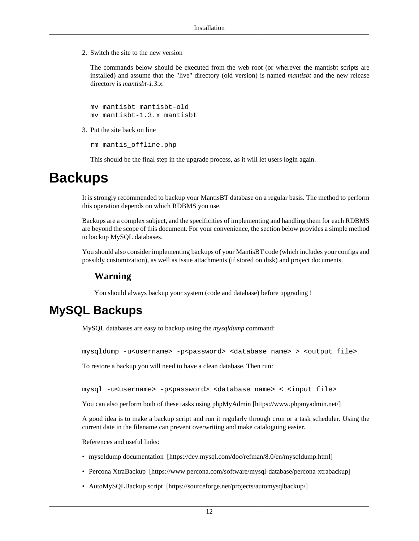2. Switch the site to the new version

The commands below should be executed from the web root (or wherever the mantisbt scripts are installed) and assume that the "live" directory (old version) is named *mantisbt* and the new release directory is *mantisbt-1.3.x*.

mv mantisbt mantisbt-old mv mantisbt-1.3.x mantisbt

3. Put the site back on line

rm mantis\_offline.php

This should be the final step in the upgrade process, as it will let users login again.

## <span id="page-18-0"></span>**Backups**

It is strongly recommended to backup your MantisBT database on a regular basis. The method to perform this operation depends on which RDBMS you use.

Backups are a complex subject, and the specificities of implementing and handling them for each RDBMS are beyond the scope of this document. For your convenience, the section below provides a simple method to backup MySQL databases.

You should also consider implementing backups of your MantisBT code (which includes your configs and possibly customization), as well as issue attachments (if stored on disk) and project documents.

### **Warning**

You should always backup your system (code and database) before upgrading !

## <span id="page-18-1"></span>**MySQL Backups**

MySQL databases are easy to backup using the *mysqldump* command:

mysqldump -u<username> -p<password> <database name> > <output file>

To restore a backup you will need to have a clean database. Then run:

mysql -u<username> -p<password> <database name> < <input file>

You can also perform both of these tasks using [phpMyAdmin](https://www.phpmyadmin.net/) [[https://www.phpmyadmin.net/\]](https://www.phpmyadmin.net/)

A good idea is to make a backup script and run it regularly through cron or a task scheduler. Using the current date in the filename can prevent overwriting and make cataloguing easier.

References and useful links:

- [mysqldump documentation](https://dev.mysql.com/doc/refman/8.0/en/mysqldump.html) [<https://dev.mysql.com/doc/refman/8.0/en/mysqldump.html>]
- [Percona XtraBackup \[https://www.percona.com/software/mysql-database/percona-xtrabackup](https://www.percona.com/software/mysql-database/percona-xtrabackup)]
- [AutoMySQLBackup script \[https://sourceforge.net/projects/automysqlbackup/\]](https://sourceforge.net/projects/automysqlbackup/)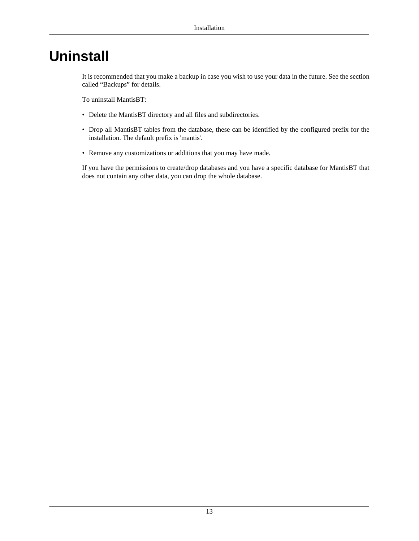# <span id="page-19-0"></span>**Uninstall**

It is recommended that you make a backup in case you wish to use your data in the future. See [the section](#page-18-0) [called "Backups"](#page-18-0) for details.

To uninstall MantisBT:

- Delete the MantisBT directory and all files and subdirectories.
- Drop all MantisBT tables from the database, these can be identified by the configured prefix for the installation. The default prefix is 'mantis'.
- Remove any customizations or additions that you may have made.

If you have the permissions to create/drop databases and you have a specific database for MantisBT that does not contain any other data, you can drop the whole database.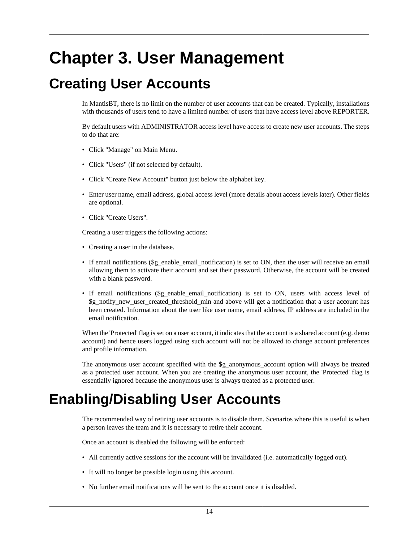# <span id="page-20-0"></span>**Chapter 3. User Management**

# <span id="page-20-1"></span>**Creating User Accounts**

In MantisBT, there is no limit on the number of user accounts that can be created. Typically, installations with thousands of users tend to have a limited number of users that have access level above REPORTER.

By default users with ADMINISTRATOR access level have access to create new user accounts. The steps to do that are:

- Click "Manage" on Main Menu.
- Click "Users" (if not selected by default).
- Click "Create New Account" button just below the alphabet key.
- Enter user name, email address, global access level (more details about access levels later). Other fields are optional.
- Click "Create Users".

Creating a user triggers the following actions:

- Creating a user in the database.
- If email notifications (\$g\_enable\_email\_notification) is set to ON, then the user will receive an email allowing them to activate their account and set their password. Otherwise, the account will be created with a blank password.
- If email notifications (\$g\_enable\_email\_notification) is set to ON, users with access level of \$g\_notify\_new\_user\_created\_threshold\_min and above will get a notification that a user account has been created. Information about the user like user name, email address, IP address are included in the email notification.

When the 'Protected' flag is set on a user account, it indicates that the account is a shared account (e.g. demo account) and hence users logged using such account will not be allowed to change account preferences and profile information.

The anonymous user account specified with the \$g\_anonymous\_account option will always be treated as a protected user account. When you are creating the anonymous user account, the 'Protected' flag is essentially ignored because the anonymous user is always treated as a protected user.

# <span id="page-20-2"></span>**Enabling/Disabling User Accounts**

The recommended way of retiring user accounts is to disable them. Scenarios where this is useful is when a person leaves the team and it is necessary to retire their account.

Once an account is disabled the following will be enforced:

- All currently active sessions for the account will be invalidated (i.e. automatically logged out).
- It will no longer be possible login using this account.
- No further email notifications will be sent to the account once it is disabled.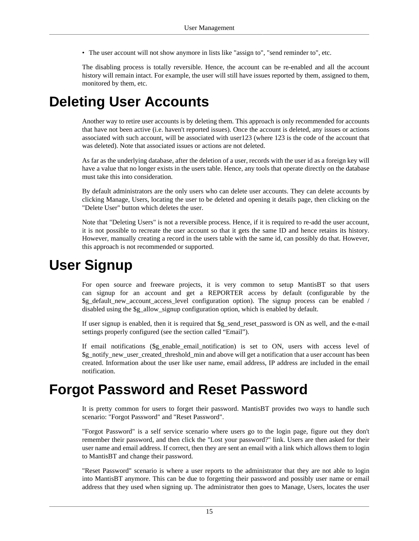• The user account will not show anymore in lists like "assign to", "send reminder to", etc.

The disabling process is totally reversible. Hence, the account can be re-enabled and all the account history will remain intact. For example, the user will still have issues reported by them, assigned to them, monitored by them, etc.

# <span id="page-21-0"></span>**Deleting User Accounts**

Another way to retire user accounts is by deleting them. This approach is only recommended for accounts that have not been active (i.e. haven't reported issues). Once the account is deleted, any issues or actions associated with such account, will be associated with user123 (where 123 is the code of the account that was deleted). Note that associated issues or actions are not deleted.

As far as the underlying database, after the deletion of a user, records with the user id as a foreign key will have a value that no longer exists in the users table. Hence, any tools that operate directly on the database must take this into consideration.

By default administrators are the only users who can delete user accounts. They can delete accounts by clicking Manage, Users, locating the user to be deleted and opening it details page, then clicking on the "Delete User" button which deletes the user.

Note that "Deleting Users" is not a reversible process. Hence, if it is required to re-add the user account, it is not possible to recreate the user account so that it gets the same ID and hence retains its history. However, manually creating a record in the users table with the same id, can possibly do that. However, this approach is not recommended or supported.

## <span id="page-21-1"></span>**User Signup**

For open source and freeware projects, it is very common to setup MantisBT so that users can signup for an account and get a REPORTER access by default (configurable by the \$g\_default\_new\_account\_access\_level configuration option). The signup process can be enabled / disabled using the \$g\_allow\_signup configuration option, which is enabled by default.

If user signup is enabled, then it is required that  $\S$ g send reset password is ON as well, and the e-mail settings properly configured (see [the section called "Email"\)](#page-34-1).

If email notifications (\$g\_enable\_email\_notification) is set to ON, users with access level of \$g\_notify\_new\_user\_created\_threshold\_min and above will get a notification that a user account has been created. Information about the user like user name, email address, IP address are included in the email notification.

## <span id="page-21-2"></span>**Forgot Password and Reset Password**

It is pretty common for users to forget their password. MantisBT provides two ways to handle such scenario: "Forgot Password" and "Reset Password".

"Forgot Password" is a self service scenario where users go to the login page, figure out they don't remember their password, and then click the "Lost your password?" link. Users are then asked for their user name and email address. If correct, then they are sent an email with a link which allows them to login to MantisBT and change their password.

"Reset Password" scenario is where a user reports to the administrator that they are not able to login into MantisBT anymore. This can be due to forgetting their password and possibly user name or email address that they used when signing up. The administrator then goes to Manage, Users, locates the user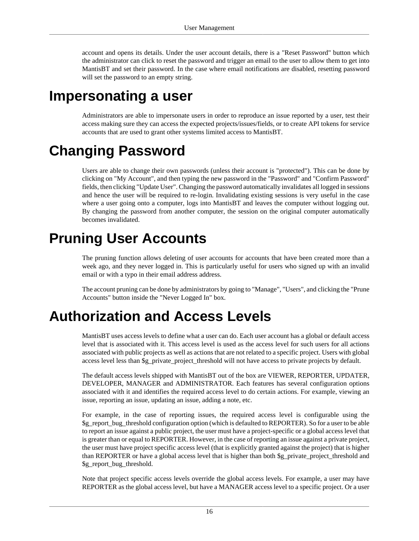account and opens its details. Under the user account details, there is a "Reset Password" button which the administrator can click to reset the password and trigger an email to the user to allow them to get into MantisBT and set their password. In the case where email notifications are disabled, resetting password will set the password to an empty string.

# <span id="page-22-0"></span>**Impersonating a user**

Administrators are able to impersonate users in order to reproduce an issue reported by a user, test their access making sure they can access the expected projects/issues/fields, or to create API tokens for service accounts that are used to grant other systems limited access to MantisBT.

# <span id="page-22-1"></span>**Changing Password**

Users are able to change their own passwords (unless their account is "protected"). This can be done by clicking on "My Account", and then typing the new password in the "Password" and "Confirm Password" fields, then clicking "Update User". Changing the password automatically invalidates all logged in sessions and hence the user will be required to re-login. Invalidating existing sessions is very useful in the case where a user going onto a computer, logs into MantisBT and leaves the computer without logging out. By changing the password from another computer, the session on the original computer automatically becomes invalidated.

# <span id="page-22-2"></span>**Pruning User Accounts**

The pruning function allows deleting of user accounts for accounts that have been created more than a week ago, and they never logged in. This is particularly useful for users who signed up with an invalid email or with a typo in their email address address.

The account pruning can be done by administrators by going to "Manage", "Users", and clicking the "Prune Accounts" button inside the "Never Logged In" box.

# <span id="page-22-3"></span>**Authorization and Access Levels**

MantisBT uses access levels to define what a user can do. Each user account has a global or default access level that is associated with it. This access level is used as the access level for such users for all actions associated with public projects as well as actions that are not related to a specific project. Users with global access level less than \$g\_private\_project\_threshold will not have access to private projects by default.

The default access levels shipped with MantisBT out of the box are VIEWER, REPORTER, UPDATER, DEVELOPER, MANAGER and ADMINISTRATOR. Each features has several configuration options associated with it and identifies the required access level to do certain actions. For example, viewing an issue, reporting an issue, updating an issue, adding a note, etc.

For example, in the case of reporting issues, the required access level is configurable using the \$g\_report\_bug\_threshold configuration option (which is defaulted to REPORTER). So for a user to be able to report an issue against a public project, the user must have a project-specific or a global access level that is greater than or equal to REPORTER. However, in the case of reporting an issue against a private project, the user must have project specific access level (that is explicitly granted against the project) that is higher than REPORTER or have a global access level that is higher than both \$g\_private\_project\_threshold and \$g\_report\_bug\_threshold.

Note that project specific access levels override the global access levels. For example, a user may have REPORTER as the global access level, but have a MANAGER access level to a specific project. Or a user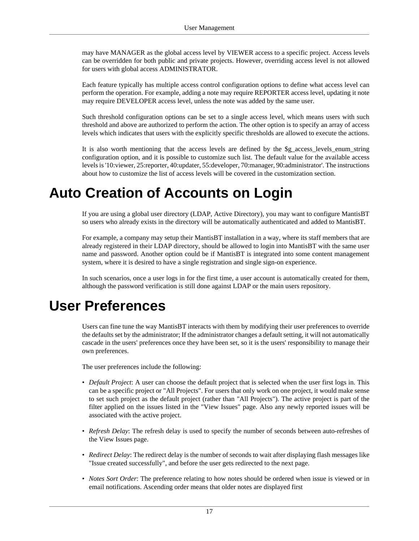may have MANAGER as the global access level by VIEWER access to a specific project. Access levels can be overridden for both public and private projects. However, overriding access level is not allowed for users with global access ADMINISTRATOR.

Each feature typically has multiple access control configuration options to define what access level can perform the operation. For example, adding a note may require REPORTER access level, updating it note may require DEVELOPER access level, unless the note was added by the same user.

Such threshold configuration options can be set to a single access level, which means users with such threshold and above are authorized to perform the action. The other option is to specify an array of access levels which indicates that users with the explicitly specific thresholds are allowed to execute the actions.

It is also worth mentioning that the access levels are defined by the \$g\_access\_levels\_enum\_string configuration option, and it is possible to customize such list. The default value for the available access levels is '10:viewer, 25:reporter, 40:updater, 55:developer, 70:manager, 90:administrator'. The instructions about how to customize the list of access levels will be covered in the customization section.

# <span id="page-23-0"></span>**Auto Creation of Accounts on Login**

If you are using a global user directory (LDAP, Active Directory), you may want to configure MantisBT so users who already exists in the directory will be automatically authenticated and added to MantisBT.

For example, a company may setup their MantisBT installation in a way, where its staff members that are already registered in their LDAP directory, should be allowed to login into MantisBT with the same user name and password. Another option could be if MantisBT is integrated into some content management system, where it is desired to have a single registration and single sign-on experience.

In such scenarios, once a user logs in for the first time, a user account is automatically created for them, although the password verification is still done against LDAP or the main users repository.

## <span id="page-23-1"></span>**User Preferences**

Users can fine tune the way MantisBT interacts with them by modifying their user preferences to override the defaults set by the administrator; If the administrator changes a default setting, it will not automatically cascade in the users' preferences once they have been set, so it is the users' responsibility to manage their own preferences.

The user preferences include the following:

- *Default Project*: A user can choose the default project that is selected when the user first logs in. This can be a specific project or "All Projects". For users that only work on one project, it would make sense to set such project as the default project (rather than "All Projects"). The active project is part of the filter applied on the issues listed in the "View Issues" page. Also any newly reported issues will be associated with the active project.
- *Refresh Delay*: The refresh delay is used to specify the number of seconds between auto-refreshes of the View Issues page.
- *Redirect Delay*: The redirect delay is the number of seconds to wait after displaying flash messages like "Issue created successfully", and before the user gets redirected to the next page.
- *Notes Sort Order*: The preference relating to how notes should be ordered when issue is viewed or in email notifications. Ascending order means that older notes are displayed first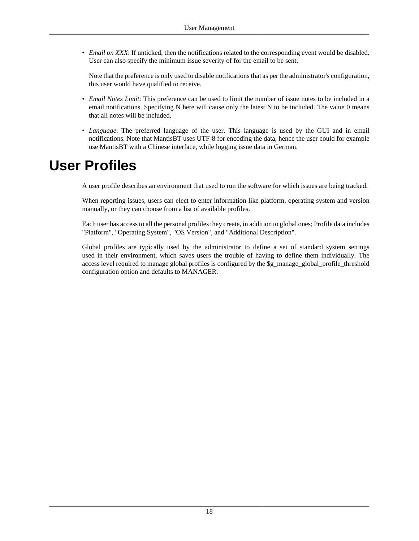• *Email on XXX*: If unticked, then the notifications related to the corresponding event would be disabled. User can also specify the minimum issue severity of for the email to be sent.

Note that the preference is only used to disable notifications that as per the administrator's configuration, this user would have qualified to receive.

- *Email Notes Limit*: This preference can be used to limit the number of issue notes to be included in a email notifications. Specifying N here will cause only the latest N to be included. The value 0 means that all notes will be included.
- *Language*: The preferred language of the user. This language is used by the GUI and in email notifications. Note that MantisBT uses UTF-8 for encoding the data, hence the user could for example use MantisBT with a Chinese interface, while logging issue data in German.

# <span id="page-24-0"></span>**User Profiles**

A user profile describes an environment that used to run the software for which issues are being tracked.

When reporting issues, users can elect to enter information like platform, operating system and version manually, or they can choose from a list of available profiles.

Each user has access to all the personal profiles they create, in addition to global ones; Profile data includes "Platform", "Operating System", "OS Version", and "Additional Description".

Global profiles are typically used by the administrator to define a set of standard system settings used in their environment, which saves users the trouble of having to define them individually. The access level required to manage global profiles is configured by the \$g\_manage\_global\_profile\_threshold configuration option and defaults to MANAGER.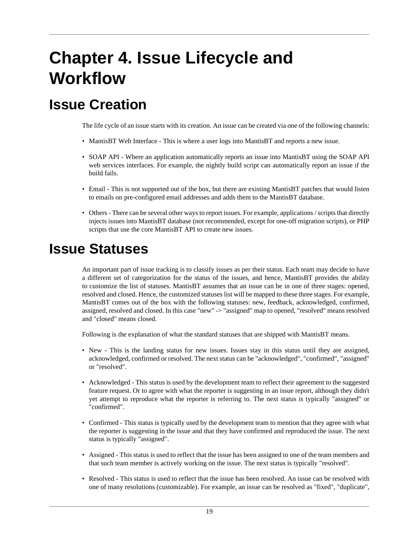# <span id="page-25-0"></span>**Chapter 4. Issue Lifecycle and Workflow**

# <span id="page-25-1"></span>**Issue Creation**

The life cycle of an issue starts with its creation. An issue can be created via one of the following channels:

- MantisBT Web Interface This is where a user logs into MantisBT and reports a new issue.
- SOAP API Where an application automatically reports an issue into MantisBT using the SOAP API web services interfaces. For example, the nightly build script can automatically report an issue if the build fails.
- Email This is not supported out of the box, but there are existing MantisBT patches that would listen to emails on pre-configured email addresses and adds them to the MantisBT database.
- Others There can be several other ways to report issues. For example, applications / scripts that directly injects issues into MantisBT database (not recommended, except for one-off migration scripts), or PHP scripts that use the core MantisBT API to create new issues.

# <span id="page-25-2"></span>**Issue Statuses**

An important part of issue tracking is to classify issues as per their status. Each team may decide to have a different set of categorization for the status of the issues, and hence, MantisBT provides the ability to customize the list of statuses. MantisBT assumes that an issue can be in one of three stages: opened, resolved and closed. Hence, the customized statuses list will be mapped to these three stages. For example, MantisBT comes out of the box with the following statuses: new, feedback, acknowledged, confirmed, assigned, resolved and closed. In this case "new" -> "assigned" map to opened, "resolved" means resolved and "closed" means closed.

Following is the explanation of what the standard statuses that are shipped with MantisBT means.

- New This is the landing status for new issues. Issues stay in this status until they are assigned, acknowledged, confirmed or resolved. The next status can be "acknowledged", "confirmed", "assigned" or "resolved".
- Acknowledged This status is used by the development team to reflect their agreement to the suggested feature request. Or to agree with what the reporter is suggesting in an issue report, although they didn't yet attempt to reproduce what the reporter is referring to. The next status is typically "assigned" or "confirmed".
- Confirmed This status is typically used by the development team to mention that they agree with what the reporter is suggesting in the issue and that they have confirmed and reproduced the issue. The next status is typically "assigned".
- Assigned This status is used to reflect that the issue has been assigned to one of the team members and that such team member is actively working on the issue. The next status is typically "resolved".
- Resolved This status is used to reflect that the issue has been resolved. An issue can be resolved with one of many resolutions (customizable). For example, an issue can be resolved as "fixed", "duplicate",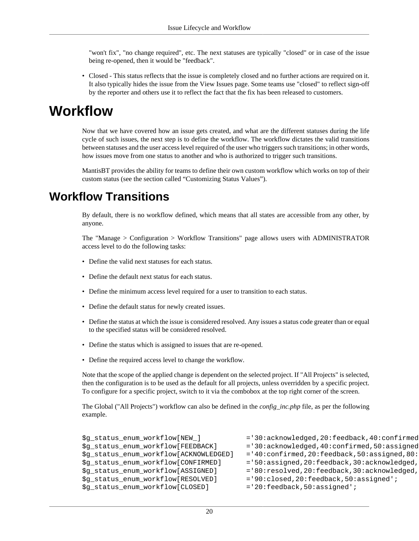"won't fix", "no change required", etc. The next statuses are typically "closed" or in case of the issue being re-opened, then it would be "feedback".

• Closed - This status reflects that the issue is completely closed and no further actions are required on it. It also typically hides the issue from the View Issues page. Some teams use "closed" to reflect sign-off by the reporter and others use it to reflect the fact that the fix has been released to customers.

## <span id="page-26-0"></span>**Workflow**

Now that we have covered how an issue gets created, and what are the different statuses during the life cycle of such issues, the next step is to define the workflow. The workflow dictates the valid transitions between statuses and the user access level required of the user who triggers such transitions; in other words, how issues move from one status to another and who is authorized to trigger such transitions.

MantisBT provides the ability for teams to define their own custom workflow which works on top of their custom status (see [the section called "Customizing Status Values"](#page-93-0)).

## <span id="page-26-1"></span>**Workflow Transitions**

By default, there is no workflow defined, which means that all states are accessible from any other, by anyone.

The "Manage > Configuration > Workflow Transitions" page allows users with ADMINISTRATOR access level to do the following tasks:

- Define the valid next statuses for each status.
- Define the default next status for each status.
- Define the minimum access level required for a user to transition to each status.
- Define the default status for newly created issues.
- Define the status at which the issue is considered resolved. Any issues a status code greater than or equal to the specified status will be considered resolved.
- Define the status which is assigned to issues that are re-opened.
- Define the required access level to change the workflow.

Note that the scope of the applied change is dependent on the selected project. If "All Projects" is selected, then the configuration is to be used as the default for all projects, unless overridden by a specific project. To configure for a specific project, switch to it via the combobox at the top right corner of the screen.

The Global ("All Projects") workflow can also be defined in the *config\_inc.php* file, as per the following example.

```
$q status enum workflow[NEW ] = 30:acknowledged,20:feedback,40:confirmed
$g_status_enum_workflow[FEEDBACK] = '30:acknowledged,40:confirmed,50:assigned
\text{Sq} status enum workflow[ACKNOWLEDGED] ='40:confirmed,20:feedback,50:assigned,80:
$g_status_enum_workflow[CONFIRMED] = '50:assigned,20:feedback,30:acknowledged,
$q status enum workflow[ASSIGNED] = '80:resolved,20:feedback,30:acknowledged,
$g_status_enum_workflow[RESOLVED] ='90:closed,20:feedback,50:assigned';
$g_status_enum_workflow[CLOSED] ='20:feedback,50:assigned';
```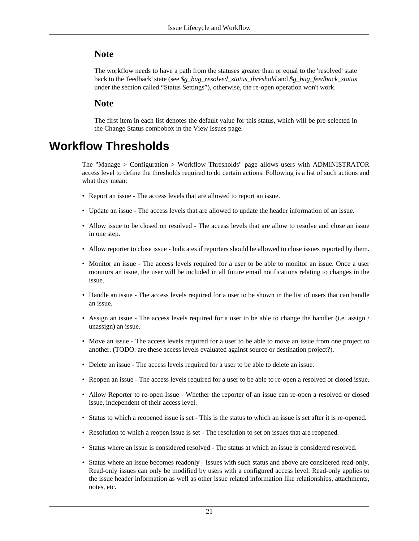### **Note**

The workflow needs to have a path from the statuses greater than or equal to the 'resolved' state back to the 'feedback' state (see *\$g\_bug\_resolved\_status\_threshold* and *\$g\_bug\_feedback\_status* under [the section called "Status Settings"](#page-56-0)), otherwise, the re-open operation won't work.

### **Note**

The first item in each list denotes the default value for this status, which will be pre-selected in the Change Status combobox in the View Issues page.

## <span id="page-27-0"></span>**Workflow Thresholds**

The "Manage > Configuration > Workflow Thresholds" page allows users with ADMINISTRATOR access level to define the thresholds required to do certain actions. Following is a list of such actions and what they mean:

- Report an issue The access levels that are allowed to report an issue.
- Update an issue The access levels that are allowed to update the header information of an issue.
- Allow issue to be closed on resolved The access levels that are allow to resolve and close an issue in one step.
- Allow reporter to close issue Indicates if reporters should be allowed to close issues reported by them.
- Monitor an issue The access levels required for a user to be able to monitor an issue. Once a user monitors an issue, the user will be included in all future email notifications relating to changes in the issue.
- Handle an issue The access levels required for a user to be shown in the list of users that can handle an issue.
- Assign an issue The access levels required for a user to be able to change the handler (i.e. assign / unassign) an issue.
- Move an issue The access levels required for a user to be able to move an issue from one project to another. (TODO: are these access levels evaluated against source or destination project?).
- Delete an issue The access levels required for a user to be able to delete an issue.
- Reopen an issue The access levels required for a user to be able to re-open a resolved or closed issue.
- Allow Reporter to re-open Issue Whether the reporter of an issue can re-open a resolved or closed issue, independent of their access level.
- Status to which a reopened issue is set This is the status to which an issue is set after it is re-opened.
- Resolution to which a reopen issue is set The resolution to set on issues that are reopened.
- Status where an issue is considered resolved The status at which an issue is considered resolved.
- Status where an issue becomes readonly Issues with such status and above are considered read-only. Read-only issues can only be modified by users with a configured access level. Read-only applies to the issue header information as well as other issue related information like relationships, attachments, notes, etc.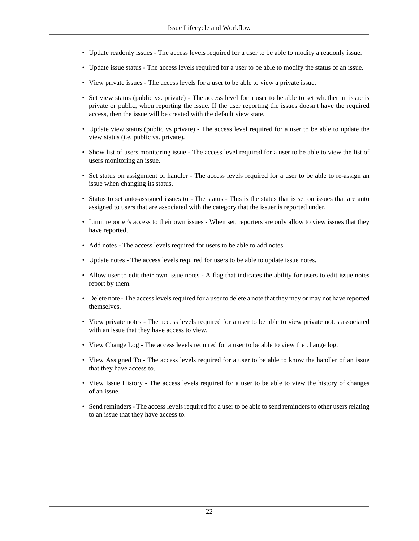- Update readonly issues The access levels required for a user to be able to modify a readonly issue.
- Update issue status The access levels required for a user to be able to modify the status of an issue.
- View private issues The access levels for a user to be able to view a private issue.
- Set view status (public vs. private) The access level for a user to be able to set whether an issue is private or public, when reporting the issue. If the user reporting the issues doesn't have the required access, then the issue will be created with the default view state.
- Update view status (public vs private) The access level required for a user to be able to update the view status (i.e. public vs. private).
- Show list of users monitoring issue The access level required for a user to be able to view the list of users monitoring an issue.
- Set status on assignment of handler The access levels required for a user to be able to re-assign an issue when changing its status.
- Status to set auto-assigned issues to The status This is the status that is set on issues that are auto assigned to users that are associated with the category that the issuer is reported under.
- Limit reporter's access to their own issues When set, reporters are only allow to view issues that they have reported.
- Add notes The access levels required for users to be able to add notes.
- Update notes The access levels required for users to be able to update issue notes.
- Allow user to edit their own issue notes A flag that indicates the ability for users to edit issue notes report by them.
- Delete note The access levels required for a user to delete a note that they may or may not have reported themselves.
- View private notes The access levels required for a user to be able to view private notes associated with an issue that they have access to view.
- View Change Log The access levels required for a user to be able to view the change log.
- View Assigned To The access levels required for a user to be able to know the handler of an issue that they have access to.
- View Issue History The access levels required for a user to be able to view the history of changes of an issue.
- Send reminders The access levels required for a user to be able to send reminders to other users relating to an issue that they have access to.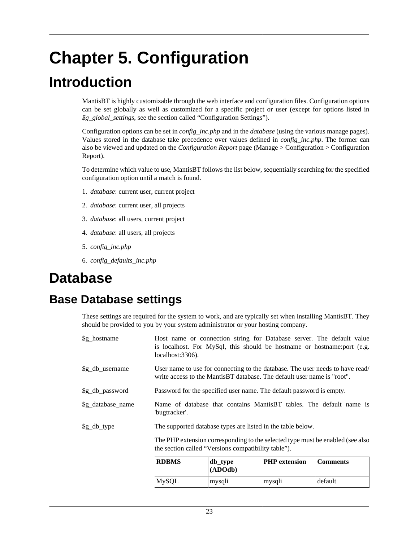# <span id="page-29-0"></span>**Chapter 5. Configuration**

# <span id="page-29-1"></span>**Introduction**

MantisBT is highly customizable through the web interface and configuration files. Configuration options can be set globally as well as customized for a specific project or user (except for options listed in *\$g\_global\_settings*, see [the section called "Configuration Settings"](#page-32-0)).

Configuration options can be set in *config\_inc.php* and in the *database* (using the various manage pages). Values stored in the database take precedence over values defined in *config\_inc.php*. The former can also be viewed and updated on the *Configuration Report* page (Manage > Configuration > Configuration Report).

To determine which value to use, MantisBT follows the list below, sequentially searching for the specified configuration option until a match is found.

- 1. *database*: current user, current project
- 2. *database*: current user, all projects
- 3. *database*: all users, current project
- 4. *database*: all users, all projects
- 5. *config\_inc.php*
- 6. *config\_defaults\_inc.php*

## <span id="page-29-2"></span>**Database**

## <span id="page-29-3"></span>**Base Database settings**

These settings are required for the system to work, and are typically set when installing MantisBT. They should be provided to you by your system administrator or your hosting company.

|                     | DDDMC                                                                                                                                 | $\mathbf{a}$ in $\mathbf{b}$ | $\mathbf{D}$ IID $\alpha$ -tanatan | C <sub>ommonot</sub>                                                          |
|---------------------|---------------------------------------------------------------------------------------------------------------------------------------|------------------------------|------------------------------------|-------------------------------------------------------------------------------|
|                     | The PHP extension corresponding to the selected type must be enabled (see also<br>the section called "Versions compatibility table"). |                              |                                    |                                                                               |
| $\gtrsim_d$ db_type | The supported database types are listed in the table below.                                                                           |                              |                                    |                                                                               |
| \$g_database_name   | "bugtracker".                                                                                                                         |                              |                                    | Name of database that contains MantisBT tables. The default name is           |
| \$g_db_password     | Password for the specified user name. The default password is empty.                                                                  |                              |                                    |                                                                               |
| \$g_db_username     | write access to the MantisBT database. The default user name is "root".                                                               |                              |                                    | User name to use for connecting to the database. The user needs to have read/ |
| \$g_hostname        | is localhost. For MySql, this should be hostname or hostname: port (e.g.<br>$localhost:3306$ ).                                       |                              |                                    | Host name or connection string for Database server. The default value         |

| <b>RDBMS</b> | db_type<br>(ADOdb) | <b>PHP</b> extension | <b>Comments</b> |
|--------------|--------------------|----------------------|-----------------|
| MySQL        | mysqli             | mysqli               | default         |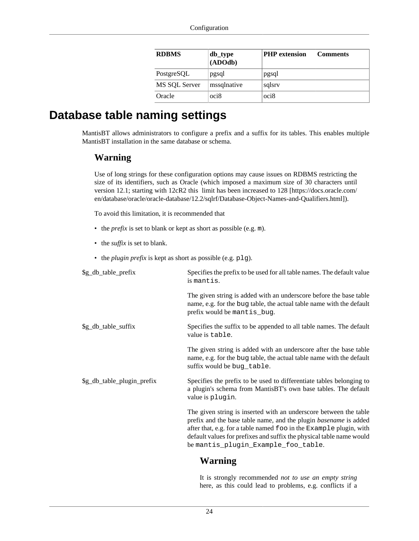| <b>RDBMS</b>  | db_type<br>(ADOdb) | <b>PHP</b> extension | <b>Comments</b> |
|---------------|--------------------|----------------------|-----------------|
| PostgreSQL    | pgsql              | pgsql                |                 |
| MS SQL Server | mssqlnative        | sqlsrv               |                 |
| Oracle        | oci8               | oci8                 |                 |

## <span id="page-30-0"></span>**Database table naming settings**

MantisBT allows administrators to configure a prefix and a suffix for its tables. This enables multiple MantisBT installation in the same database or schema.

### **Warning**

Use of long strings for these configuration options may cause issues on RDBMS restricting the size of its identifiers, such as Oracle (which imposed a maximum size of 30 characters until version 12.1; starting with 12cR2 this [limit has been increased to 128](https://docs.oracle.com/en/database/oracle/oracle-database/12.2/sqlrf/Database-Object-Names-and-Qualifiers.html) [\[https://docs.oracle.com/](https://docs.oracle.com/en/database/oracle/oracle-database/12.2/sqlrf/Database-Object-Names-and-Qualifiers.html) [en/database/oracle/oracle-database/12.2/sqlrf/Database-Object-Names-and-Qualifiers.html\]](https://docs.oracle.com/en/database/oracle/oracle-database/12.2/sqlrf/Database-Object-Names-and-Qualifiers.html)).

To avoid this limitation, it is recommended that

- the *prefix* is set to blank or kept as short as possible (e.g. m).
- the *suffix* is set to blank.
- the *plugin prefix* is kept as short as possible (e.g. plg).

| \$g_db_table_prefix        | Specifies the prefix to be used for all table names. The default value<br>is mantis.                                                                                                                                                                                                                                              |
|----------------------------|-----------------------------------------------------------------------------------------------------------------------------------------------------------------------------------------------------------------------------------------------------------------------------------------------------------------------------------|
|                            | The given string is added with an underscore before the base table<br>name, e.g. for the bug table, the actual table name with the default<br>prefix would be mantis_bug.                                                                                                                                                         |
| \$g_db_table_suffix        | Specifies the suffix to be appended to all table names. The default<br>value is table.                                                                                                                                                                                                                                            |
|                            | The given string is added with an underscore after the base table<br>name, e.g. for the bug table, the actual table name with the default<br>suffix would be bug_table.                                                                                                                                                           |
| \$g_db_table_plugin_prefix | Specifies the prefix to be used to differentiate tables belonging to<br>a plugin's schema from MantisBT's own base tables. The default<br>value is plugin.                                                                                                                                                                        |
|                            | The given string is inserted with an underscore between the table<br>prefix and the base table name, and the plugin <i>basename</i> is added<br>after that, e.g. for a table named foo in the Example plugin, with<br>default values for prefixes and suffix the physical table name would<br>be mantis_plugin_Example_foo_table. |
|                            | Warning                                                                                                                                                                                                                                                                                                                           |

It is strongly recommended *not to use an empty string* here, as this could lead to problems, e.g. conflicts if a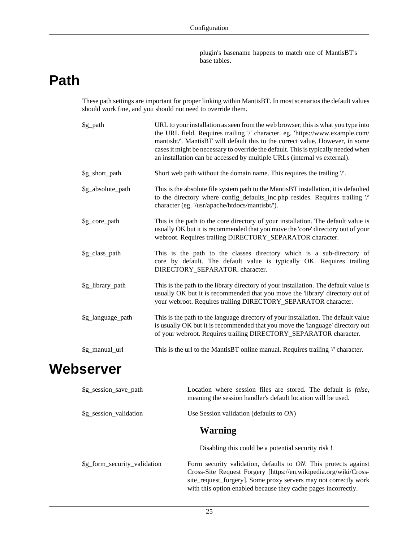plugin's basename happens to match one of MantisBT's base tables.

# <span id="page-31-0"></span>**Path**

These path settings are important for proper linking within MantisBT. In most scenarios the default values should work fine, and you should not need to override them.

| \$g_path          | URL to your installation as seen from the web browser; this is what you type into<br>the URL field. Requires trailing '/' character. eg. 'https://www.example.com/<br>mantisbt/'. MantisBT will default this to the correct value. However, in some<br>cases it might be necessary to override the default. This is typically needed when<br>an installation can be accessed by multiple URLs (internal vs external). |
|-------------------|-----------------------------------------------------------------------------------------------------------------------------------------------------------------------------------------------------------------------------------------------------------------------------------------------------------------------------------------------------------------------------------------------------------------------|
| \$g_short_path    | Short web path without the domain name. This requires the trailing '/'.                                                                                                                                                                                                                                                                                                                                               |
| \$g_absolute_path | This is the absolute file system path to the MantisBT installation, it is defaulted<br>to the directory where config_defaults_inc.php resides. Requires trailing '/'<br>character (eg. '/usr/apache/htdocs/mantisbt/').                                                                                                                                                                                               |
| \$g_core_path     | This is the path to the core directory of your installation. The default value is<br>usually OK but it is recommended that you move the 'core' directory out of your<br>webroot. Requires trailing DIRECTORY_SEPARATOR character.                                                                                                                                                                                     |
| \$g_class_path    | This is the path to the classes directory which is a sub-directory of<br>core by default. The default value is typically OK. Requires trailing<br>DIRECTORY_SEPARATOR. character.                                                                                                                                                                                                                                     |
| \$g_library_path  | This is the path to the library directory of your installation. The default value is<br>usually OK but it is recommended that you move the 'library' directory out of<br>your webroot. Requires trailing DIRECTORY_SEPARATOR character.                                                                                                                                                                               |
| \$g_language_path | This is the path to the language directory of your installation. The default value<br>is usually OK but it is recommended that you move the 'language' directory out<br>of your webroot. Requires trailing DIRECTORY_SEPARATOR character.                                                                                                                                                                             |
| \$g_manual_url    | This is the url to the MantisBT online manual. Requires trailing '/' character.                                                                                                                                                                                                                                                                                                                                       |

# <span id="page-31-1"></span>**Webserver**

| \$g_session_save_path        | Location where session files are stored. The default is false,<br>meaning the session handler's default location will be used.                                                                                                                                               |
|------------------------------|------------------------------------------------------------------------------------------------------------------------------------------------------------------------------------------------------------------------------------------------------------------------------|
| \$g_session_validation       | Use Session validation (defaults to $ON$ )                                                                                                                                                                                                                                   |
|                              | <b>Warning</b>                                                                                                                                                                                                                                                               |
|                              | Disabling this could be a potential security risk !                                                                                                                                                                                                                          |
| \$g_form_security_validation | Form security validation, defaults to $ON$ . This protects against<br>Cross-Site Request Forgery [https://en.wikipedia.org/wiki/Cross-<br>site_request_forgery]. Some proxy servers may not correctly work<br>with this option enabled because they cache pages incorrectly. |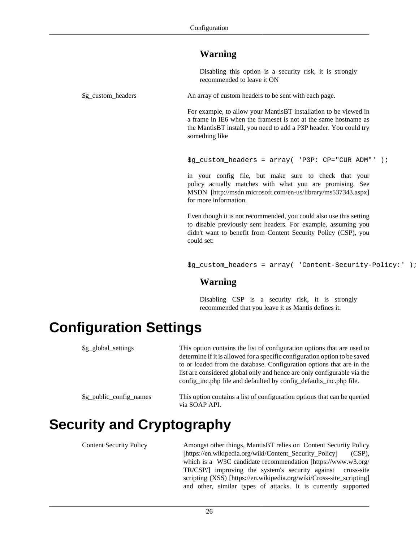### **Warning**

Disabling this option is a security risk, it is strongly recommended to leave it ON

\$g\_custom\_headers An array of custom headers to be sent with each page.

For example, to allow your MantisBT installation to be viewed in a frame in IE6 when the frameset is not at the same hostname as the MantisBT install, you need to add a P3P header. You could try something like

```
$g_custom_headers = array( 'P3P: CP="CUR ADM"' );
```
in your config file, but make sure to check that your policy actually matches with what you are promising. See [MSDN \[http://msdn.microsoft.com/en-us/library/ms537343.aspx\]](http://msdn.microsoft.com/en-us/library/ms537343.aspx) for more information.

Even though it is not recommended, you could also use this setting to disable previously sent headers. For example, assuming you didn't want to benefit from Content Security Policy (CSP), you could set:

\$g\_custom\_headers = array( 'Content-Security-Policy:' );

### **Warning**

Disabling CSP is a security risk, it is strongly recommended that you leave it as Mantis defines it.

# <span id="page-32-0"></span>**Configuration Settings**

| \$g_global_settings              | This option contains the list of configuration options that are used to<br>determine if it is allowed for a specific configuration option to be saved<br>to or loaded from the database. Configuration options that are in the<br>list are considered global only and hence are only configurable via the<br>config_inc.php file and defaulted by config_defaults_inc.php file. |  |  |  |
|----------------------------------|---------------------------------------------------------------------------------------------------------------------------------------------------------------------------------------------------------------------------------------------------------------------------------------------------------------------------------------------------------------------------------|--|--|--|
| \$g_public_config_names          | This option contains a list of configuration options that can be queried<br>via SOAP API.                                                                                                                                                                                                                                                                                       |  |  |  |
| <b>Security and Cryptography</b> |                                                                                                                                                                                                                                                                                                                                                                                 |  |  |  |

<span id="page-32-1"></span>

Content Security Policy Amongst other things, MantisBT relies on [Content Security Policy](https://en.wikipedia.org/wiki/Content_Security_Policy) [\[https://en.wikipedia.org/wiki/Content\\_Security\\_Policy](https://en.wikipedia.org/wiki/Content_Security_Policy)] (CSP), which is a [W3C candidate recommendation \[https://www.w3.org/](https://www.w3.org/TR/CSP/) [TR/CSP/](https://www.w3.org/TR/CSP/)] improving the system's security against [cross-site](https://en.wikipedia.org/wiki/Cross-site_scripting) [scripting \(XSS\) \[https://en.wikipedia.org/wiki/Cross-site\\_scripting\]](https://en.wikipedia.org/wiki/Cross-site_scripting) and other, similar types of attacks. It is currently supported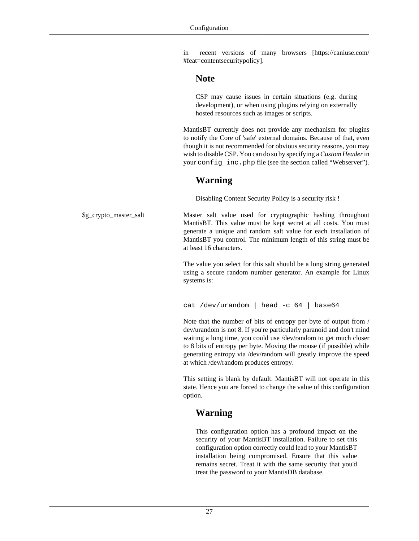in [recent versions of many browsers](https://caniuse.com/#feat=contentsecuritypolicy) [[https://caniuse.com/](https://caniuse.com/#feat=contentsecuritypolicy) [#feat=contentsecuritypolicy\]](https://caniuse.com/#feat=contentsecuritypolicy).

#### **Note**

CSP may cause issues in certain situations (e.g. during development), or when using plugins relying on externally hosted resources such as images or scripts.

MantisBT currently does not provide any mechanism for plugins to notify the Core of 'safe' external domains. Because of that, even though it is not recommended for obvious security reasons, you may wish to disable CSP. You can do so by specifying a *Custom Header* in your config\_inc.php file (see [the section called "Webserver"\)](#page-31-1).

### **Warning**

Disabling Content Security Policy is a security risk !

\$g\_crypto\_master\_salt Master salt value used for cryptographic hashing throughout MantisBT. This value must be kept secret at all costs. You must generate a unique and random salt value for each installation of MantisBT you control. The minimum length of this string must be at least 16 characters.

> The value you select for this salt should be a long string generated using a secure random number generator. An example for Linux systems is:

cat /dev/urandom | head -c 64 | base64

Note that the number of bits of entropy per byte of output from / dev/urandom is not 8. If you're particularly paranoid and don't mind waiting a long time, you could use /dev/random to get much closer to 8 bits of entropy per byte. Moving the mouse (if possible) while generating entropy via /dev/random will greatly improve the speed at which /dev/random produces entropy.

This setting is blank by default. MantisBT will not operate in this state. Hence you are forced to change the value of this configuration option.

### **Warning**

This configuration option has a profound impact on the security of your MantisBT installation. Failure to set this configuration option correctly could lead to your MantisBT installation being compromised. Ensure that this value remains secret. Treat it with the same security that you'd treat the password to your MantisDB database.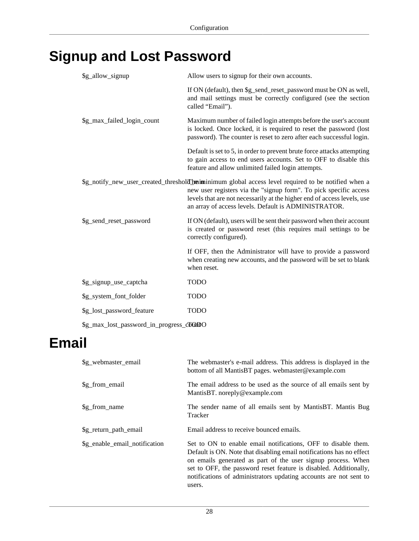# <span id="page-34-0"></span>**Signup and Lost Password**

| \$g_allow_signup                        | Allow users to signup for their own accounts.                                                                                                                                                                                                                                                               |  |
|-----------------------------------------|-------------------------------------------------------------------------------------------------------------------------------------------------------------------------------------------------------------------------------------------------------------------------------------------------------------|--|
|                                         | If ON (default), then \$g_send_reset_password must be ON as well,<br>and mail settings must be correctly configured (see the section<br>called "Email").                                                                                                                                                    |  |
| \$g_max_failed_login_count              | Maximum number of failed login attempts before the user's account<br>is locked. Once locked, it is required to reset the password (lost<br>password). The counter is reset to zero after each successful login.                                                                                             |  |
|                                         | Default is set to 5, in order to prevent brute force attacks attempting<br>to gain access to end users accounts. Set to OFF to disable this<br>feature and allow unlimited failed login attempts.                                                                                                           |  |
|                                         | \$g_notify_new_user_created_thresholdTheiminimum global access level required to be notified when a<br>new user registers via the "signup form". To pick specific access<br>levels that are not necessarily at the higher end of access levels, use<br>an array of access levels. Default is ADMINISTRATOR. |  |
| \$g_send_reset_password                 | If ON (default), users will be sent their password when their account<br>is created or password reset (this requires mail settings to be<br>correctly configured).                                                                                                                                          |  |
|                                         | If OFF, then the Administrator will have to provide a password<br>when creating new accounts, and the password will be set to blank<br>when reset.                                                                                                                                                          |  |
| \$g_signup_use_captcha                  | <b>TODO</b>                                                                                                                                                                                                                                                                                                 |  |
| \$g_system_font_folder                  | <b>TODO</b>                                                                                                                                                                                                                                                                                                 |  |
| \$g_lost_password_feature               | <b>TODO</b>                                                                                                                                                                                                                                                                                                 |  |
| \$g_max_lost_password_in_progress_compO |                                                                                                                                                                                                                                                                                                             |  |

# <span id="page-34-1"></span>**Email**

| \$g_webmaster_email           | The webmaster's e-mail address. This address is displayed in the<br>bottom of all MantisBT pages. webmaster@example.com                                                                                                                                                                                                                                   |
|-------------------------------|-----------------------------------------------------------------------------------------------------------------------------------------------------------------------------------------------------------------------------------------------------------------------------------------------------------------------------------------------------------|
| \$g_from_email                | The email address to be used as the source of all emails sent by<br>MantisBT. noreply@example.com                                                                                                                                                                                                                                                         |
| \$g_from_name                 | The sender name of all emails sent by MantisBT. Mantis Bug<br>Tracker                                                                                                                                                                                                                                                                                     |
| \$g_return_path_email         | Email address to receive bounced emails.                                                                                                                                                                                                                                                                                                                  |
| \$g_enable_email_notification | Set to ON to enable email notifications, OFF to disable them.<br>Default is ON. Note that disabling email notifications has no effect<br>on emails generated as part of the user signup process. When<br>set to OFF, the password reset feature is disabled. Additionally,<br>notifications of administrators updating accounts are not sent to<br>users. |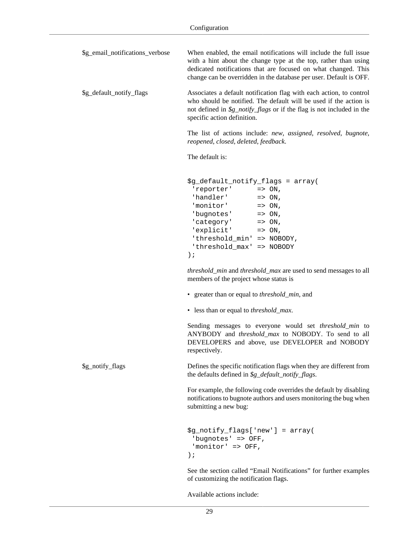| \$g_email_notifications_verbose | When enabled, the email notifications will include the full issue<br>with a hint about the change type at the top, rather than using<br>dedicated notifications that are focused on what changed. This<br>change can be overridden in the database per user. Default is OFF.                                                                                                  |
|---------------------------------|-------------------------------------------------------------------------------------------------------------------------------------------------------------------------------------------------------------------------------------------------------------------------------------------------------------------------------------------------------------------------------|
| \$g_default_notify_flags        | Associates a default notification flag with each action, to control<br>who should be notified. The default will be used if the action is<br>not defined in $\frac{g\cdot \text{notify}\cdot \text{flags}}{g\cdot \text{of}}$ or if the flag is not included in the<br>specific action definition.                                                                             |
|                                 | The list of actions include: new, assigned, resolved, bugnote,<br>reopened, closed, deleted, feedback.                                                                                                                                                                                                                                                                        |
|                                 | The default is:                                                                                                                                                                                                                                                                                                                                                               |
|                                 | \$g_default_notify_flags = array(<br>'reporter' $\qquad \qquad \Rightarrow \text{ ON}$ ,<br>'handler' $\qquad \qquad \Rightarrow \text{ ON}$ ,<br>'monitor' $\qquad \qquad \Rightarrow \text{ ON}$ ,<br>'bugnotes' $\qquad \qquad \Rightarrow \text{ ON}$ ,<br>$'category'$ => $ON,$<br>'explicit' => ON,<br>'threshold_min' => NOBODY,<br>'threshold_max' => NOBODY<br>$)$ ; |
|                                 | threshold_min and threshold_max are used to send messages to all<br>members of the project whose status is                                                                                                                                                                                                                                                                    |
|                                 | • greater than or equal to <i>threshold_min</i> , and                                                                                                                                                                                                                                                                                                                         |
|                                 | • less than or equal to <i>threshold_max</i> .                                                                                                                                                                                                                                                                                                                                |
|                                 | Sending messages to everyone would set threshold_min to<br>ANYBODY and threshold_max to NOBODY. To send to all<br>DEVELOPERS and above, use DEVELOPER and NOBODY<br>respectively.                                                                                                                                                                                             |
| \$g_notify_flags                | Defines the specific notification flags when they are different from<br>the defaults defined in \$g_default_notify_flags.                                                                                                                                                                                                                                                     |
|                                 | For example, the following code overrides the default by disabling<br>notifications to bugnote authors and users monitoring the bug when<br>submitting a new bug:                                                                                                                                                                                                             |
|                                 | \$g_notify_flags['new'] = array(<br>'bugnotes' => OFF,<br>'monitor' => OFF,<br>$)$ ;                                                                                                                                                                                                                                                                                          |
|                                 | See the section called "Email Notifications" for further examples                                                                                                                                                                                                                                                                                                             |

Available actions include:

of customizing the notification flags.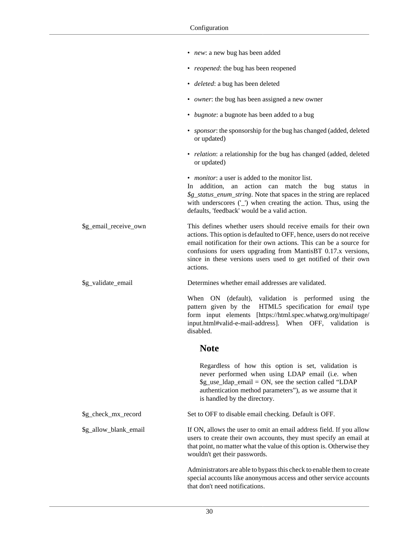|                       | • new: a new bug has been added                                                                                                                                                                                                                                                                                                                               |
|-----------------------|---------------------------------------------------------------------------------------------------------------------------------------------------------------------------------------------------------------------------------------------------------------------------------------------------------------------------------------------------------------|
|                       | • <i>reopened</i> : the bug has been reopened                                                                                                                                                                                                                                                                                                                 |
|                       | · <i>deleted</i> : a bug has been deleted                                                                                                                                                                                                                                                                                                                     |
|                       | • <i>owner</i> : the bug has been assigned a new owner                                                                                                                                                                                                                                                                                                        |
|                       | • <i>bugnote</i> : a bugnote has been added to a bug                                                                                                                                                                                                                                                                                                          |
|                       | · sponsor: the sponsorship for the bug has changed (added, deleted<br>or updated)                                                                                                                                                                                                                                                                             |
|                       | • <i>relation</i> : a relationship for the bug has changed (added, deleted<br>or updated)                                                                                                                                                                                                                                                                     |
|                       | • <i>monitor</i> : a user is added to the monitor list.<br>addition,<br>an action can match the bug status in<br>In.<br>\$g_status_enum_string. Note that spaces in the string are replaced<br>with underscores ('_') when creating the action. Thus, using the<br>defaults, 'feedback' would be a valid action.                                              |
| \$g_email_receive_own | This defines whether users should receive emails for their own<br>actions. This option is defaulted to OFF, hence, users do not receive<br>email notification for their own actions. This can be a source for<br>confusions for users upgrading from MantisBT 0.17.x versions,<br>since in these versions users used to get notified of their own<br>actions. |
| \$g_validate_email    | Determines whether email addresses are validated.                                                                                                                                                                                                                                                                                                             |
|                       | When ON (default), validation is performed using the<br>pattern given by the HTML5 specification for email type<br>form input elements [https://html.spec.whatwg.org/multipage/<br>input.html#valid-e-mail-address]. When OFF, validation is<br>disabled.                                                                                                     |
|                       | <b>Note</b>                                                                                                                                                                                                                                                                                                                                                   |
|                       | Regardless of how this option is set, validation is<br>never performed when using LDAP email (i.e. when<br>$g_{use\_ldap\_email} = ON$ , see the section called "LDAP"<br>authentication method parameters"), as we assume that it<br>is handled by the directory.                                                                                            |
| \$g_check_mx_record   | Set to OFF to disable email checking. Default is OFF.                                                                                                                                                                                                                                                                                                         |
| \$g_allow_blank_email | If ON, allows the user to omit an email address field. If you allow<br>users to create their own accounts, they must specify an email at<br>that point, no matter what the value of this option is. Otherwise they<br>wouldn't get their passwords.                                                                                                           |
|                       | Administrators are able to bypass this check to enable them to create<br>special accounts like anonymous access and other service accounts<br>that don't need notifications.                                                                                                                                                                                  |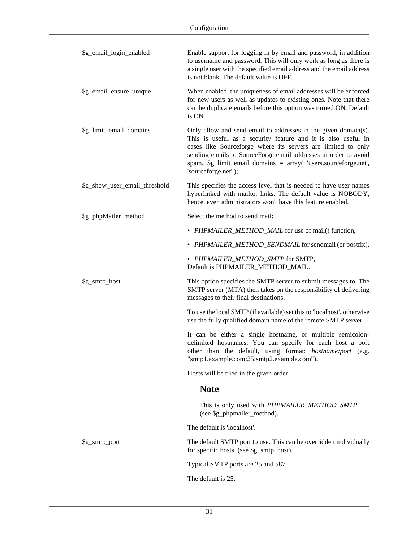| \$g_email_login_enabled       | Enable support for logging in by email and password, in addition<br>to username and password. This will only work as long as there is<br>a single user with the specified email address and the email address<br>is not blank. The default value is OFF.                                                                                                     |
|-------------------------------|--------------------------------------------------------------------------------------------------------------------------------------------------------------------------------------------------------------------------------------------------------------------------------------------------------------------------------------------------------------|
| \$g_email_ensure_unique       | When enabled, the uniqueness of email addresses will be enforced<br>for new users as well as updates to existing ones. Note that there<br>can be duplicate emails before this option was turned ON. Default<br>is ON.                                                                                                                                        |
| \$g_limit_email_domains       | Only allow and send email to addresses in the given domain(s).<br>This is useful as a security feature and it is also useful in<br>cases like Sourceforge where its servers are limited to only<br>sending emails to SourceForge email addresses in order to avoid<br>spam. \$g_limit_email_domains = array( 'users.sourceforge.net',<br>'sourceforge.net'); |
| \$g_show_user_email_threshold | This specifies the access level that is needed to have user names<br>hyperlinked with mailto: links. The default value is NOBODY,<br>hence, even administrators won't have this feature enabled.                                                                                                                                                             |
| \$g_phpMailer_method          | Select the method to send mail:                                                                                                                                                                                                                                                                                                                              |
|                               | • PHPMAILER_METHOD_MAIL for use of mail() function,                                                                                                                                                                                                                                                                                                          |
|                               | • PHPMAILER_METHOD_SENDMAIL for sendmail (or postfix),                                                                                                                                                                                                                                                                                                       |
|                               | • PHPMAILER_METHOD_SMTP for SMTP,<br>Default is PHPMAILER_METHOD_MAIL.                                                                                                                                                                                                                                                                                       |
| \$g_smtp_host                 | This option specifies the SMTP server to submit messages to. The<br>SMTP server (MTA) then takes on the responsibility of delivering<br>messages to their final destinations.                                                                                                                                                                                |
|                               | To use the local SMTP (if available) set this to 'localhost', otherwise<br>use the fully qualified domain name of the remote SMTP server.                                                                                                                                                                                                                    |
|                               | It can be either a single hostname, or multiple semicolon-<br>delimited hostnames. You can specify for each host a port<br>other than the default, using format: hostname:port (e.g.<br>"smtp1.example.com:25;smtp2.example.com").                                                                                                                           |
|                               | Hosts will be tried in the given order.                                                                                                                                                                                                                                                                                                                      |
|                               | <b>Note</b>                                                                                                                                                                                                                                                                                                                                                  |
|                               | This is only used with PHPMAILER_METHOD_SMTP<br>(see \$g_phpmailer_method).                                                                                                                                                                                                                                                                                  |
|                               | The default is 'localhost'.                                                                                                                                                                                                                                                                                                                                  |
| \$g_smtp_port                 | The default SMTP port to use. This can be overridden individually<br>for specific hosts. (see \$g_smtp_host).                                                                                                                                                                                                                                                |
|                               | Typical SMTP ports are 25 and 587.                                                                                                                                                                                                                                                                                                                           |
|                               | The default is 25.                                                                                                                                                                                                                                                                                                                                           |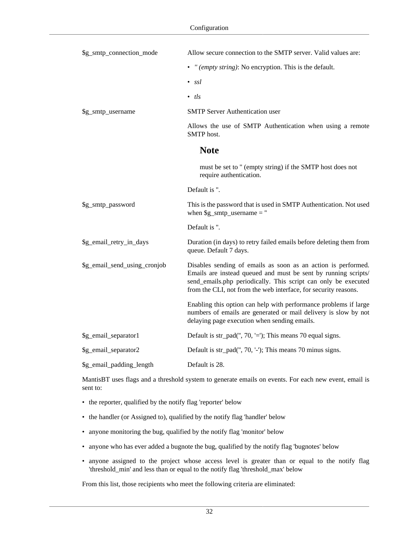| \$g_smtp_connection_mode     | Allow secure connection to the SMTP server. Valid values are:                                                                                                                                                                                                        |
|------------------------------|----------------------------------------------------------------------------------------------------------------------------------------------------------------------------------------------------------------------------------------------------------------------|
|                              | • "(empty string): No encryption. This is the default.                                                                                                                                                                                                               |
|                              | $\bullet$ ssl                                                                                                                                                                                                                                                        |
|                              | $\bullet$ tls                                                                                                                                                                                                                                                        |
| \$g_smtp_username            | <b>SMTP Server Authentication user</b>                                                                                                                                                                                                                               |
|                              | Allows the use of SMTP Authentication when using a remote<br><b>SMTP</b> host.                                                                                                                                                                                       |
|                              | <b>Note</b>                                                                                                                                                                                                                                                          |
|                              | must be set to " (empty string) if the SMTP host does not<br>require authentication.                                                                                                                                                                                 |
|                              | Default is ".                                                                                                                                                                                                                                                        |
| \$g_smtp_password            | This is the password that is used in SMTP Authentication. Not used<br>when $\gtrsim$ smtp_username = "                                                                                                                                                               |
|                              | Default is ".                                                                                                                                                                                                                                                        |
| \$g_email_retry_in_days      | Duration (in days) to retry failed emails before deleting them from<br>queue. Default 7 days.                                                                                                                                                                        |
| \$g_email_send_using_cronjob | Disables sending of emails as soon as an action is performed.<br>Emails are instead queued and must be sent by running scripts/<br>send_emails.php periodically. This script can only be executed<br>from the CLI, not from the web interface, for security reasons. |
|                              | Enabling this option can help with performance problems if large<br>numbers of emails are generated or mail delivery is slow by not<br>delaying page execution when sending emails.                                                                                  |
| \$g_email_separator1         | Default is str_pad(", 70, '='); This means 70 equal signs.                                                                                                                                                                                                           |
| \$g_email_separator2         | Default is str_pad(", 70, '-'); This means 70 minus signs.                                                                                                                                                                                                           |
| \$g_email_padding_length     | Default is 28.                                                                                                                                                                                                                                                       |

MantisBT uses flags and a threshold system to generate emails on events. For each new event, email is sent to:

- the reporter, qualified by the notify flag 'reporter' below
- the handler (or Assigned to), qualified by the notify flag 'handler' below
- anyone monitoring the bug, qualified by the notify flag 'monitor' below
- anyone who has ever added a bugnote the bug, qualified by the notify flag 'bugnotes' below
- anyone assigned to the project whose access level is greater than or equal to the notify flag 'threshold\_min' and less than or equal to the notify flag 'threshold\_max' below

From this list, those recipients who meet the following criteria are eliminated: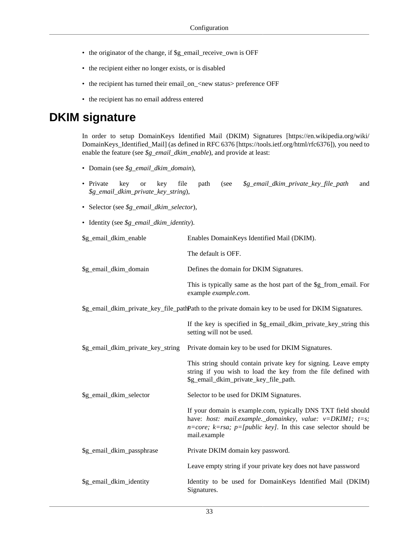- the originator of the change, if \$g\_email\_receive\_own is OFF
- the recipient either no longer exists, or is disabled
- the recipient has turned their email\_on\_<new status> preference OFF
- the recipient has no email address entered

#### **DKIM signature**

In order to setup [DomainKeys Identified Mail \(DKIM\) Signatures](https://en.wikipedia.org/wiki/DomainKeys_Identified_Mail) [[https://en.wikipedia.org/wiki/](https://en.wikipedia.org/wiki/DomainKeys_Identified_Mail) [DomainKeys\\_Identified\\_Mail\]](https://en.wikipedia.org/wiki/DomainKeys_Identified_Mail) (as defined in [RFC 6376](https://tools.ietf.org/html/rfc6376) [[https://tools.ietf.org/html/rfc6376\]](https://tools.ietf.org/html/rfc6376)), you need to enable the feature (see *\$g\_email\_dkim\_enable*), and provide at least:

- Domain (see *\$g\_email\_dkim\_domain*),
- Private key or key file path (see *\$g\_email\_dkim\_private\_key\_file\_path* and *\$g\_email\_dkim\_private\_key\_string*),
- Selector (see *\$g\_email\_dkim\_selector*),
- Identity (see *\$g\_email\_dkim\_identity*).

| \$g_email_dkim_enable             | Enables DomainKeys Identified Mail (DKIM).                                                                                                                                                                                            |
|-----------------------------------|---------------------------------------------------------------------------------------------------------------------------------------------------------------------------------------------------------------------------------------|
|                                   | The default is OFF.                                                                                                                                                                                                                   |
| \$g_email_dkim_domain             | Defines the domain for DKIM Signatures.                                                                                                                                                                                               |
|                                   | This is typically same as the host part of the \$g_from_email. For<br>example example.com.                                                                                                                                            |
|                                   | \$g_email_dkim_private_key_file_pathPath to the private domain key to be used for DKIM Signatures.                                                                                                                                    |
|                                   | If the key is specified in \$g_email_dkim_private_key_string this<br>setting will not be used.                                                                                                                                        |
| \$g_email_dkim_private_key_string | Private domain key to be used for DKIM Signatures.                                                                                                                                                                                    |
|                                   | This string should contain private key for signing. Leave empty<br>string if you wish to load the key from the file defined with<br>\$g_email_dkim_private_key_file_path.                                                             |
| \$g_email_dkim_selector           | Selector to be used for DKIM Signatures.                                                                                                                                                                                              |
|                                   | If your domain is example.com, typically DNS TXT field should<br>have: host: mail.example._domainkey, value: $v = DKIM1$ ; $t = s$ ;<br>$n = core$ ; $k = rsa$ ; $p = [public key]$ . In this case selector should be<br>mail.example |
| \$g_email_dkim_passphrase         | Private DKIM domain key password.                                                                                                                                                                                                     |
|                                   | Leave empty string if your private key does not have password                                                                                                                                                                         |
| \$g_email_dkim_identity           | Identity to be used for DomainKeys Identified Mail (DKIM)<br>Signatures.                                                                                                                                                              |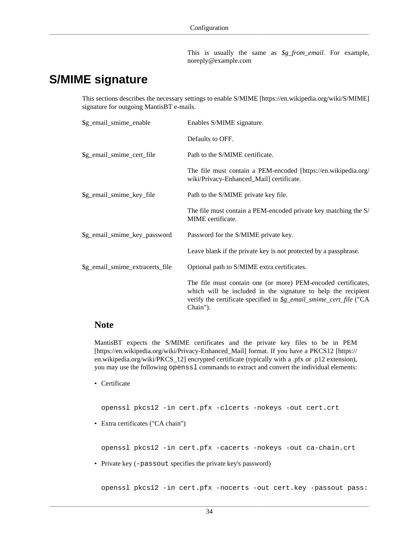This is usually the same as *\$g\_from\_email*. For example, noreply@example.com

#### **S/MIME signature**

This sections describes the necessary settings to enable [S/MIME](https://en.wikipedia.org/wiki/S/MIME) [[https://en.wikipedia.org/wiki/S/MIME\]](https://en.wikipedia.org/wiki/S/MIME) signature for outgoing MantisBT e-mails.

| \$g_email_smime_enable          | Enables S/MIME signature.                                                                                                                                                                                        |
|---------------------------------|------------------------------------------------------------------------------------------------------------------------------------------------------------------------------------------------------------------|
|                                 | Defaults to OFF.                                                                                                                                                                                                 |
| \$g_email_smime_cert_file       | Path to the S/MIME certificate.                                                                                                                                                                                  |
|                                 | The file must contain a PEM-encoded [https://en.wikipedia.org/<br>wiki/Privacy-Enhanced_Mail] certificate.                                                                                                       |
| \$g_email_smime_key_file        | Path to the S/MIME private key file.                                                                                                                                                                             |
|                                 | The file must contain a PEM-encoded private key matching the S/<br>MIME certificate.                                                                                                                             |
| \$g_email_smime_key_password    | Password for the S/MIME private key.                                                                                                                                                                             |
|                                 | Leave blank if the private key is not protected by a passphrase.                                                                                                                                                 |
| \$g_email_smime_extracerts_file | Optional path to S/MIME extra certificates.                                                                                                                                                                      |
|                                 | The file must contain one (or more) PEM-encoded certificates,<br>which will be included in the signature to help the recipient<br>verify the certificate specified in \$g_email_smime_cert_file ("CA<br>Chain"). |

#### **Note**

MantisBT expects the S/MIME certificates and the private key files to be in [PEM](https://en.wikipedia.org/wiki/Privacy-Enhanced_Mail) [\[https://en.wikipedia.org/wiki/Privacy-Enhanced\\_Mail\]](https://en.wikipedia.org/wiki/Privacy-Enhanced_Mail) format. If you have a [PKCS12 \[https://](https://en.wikipedia.org/wiki/PKCS_12) [en.wikipedia.org/wiki/PKCS\\_12\]](https://en.wikipedia.org/wiki/PKCS_12) encrypted certificate (typically with a .pfx or .p12 extension), you may use the following openssl commands to extract and convert the individual elements:

• Certificate

openssl pkcs12 -in cert.pfx -clcerts -nokeys -out cert.crt

• Extra certificates ("CA chain")

openssl pkcs12 -in cert.pfx -cacerts -nokeys -out ca-chain.crt

• Private key (-passout specifies the private key's password)

openssl pkcs12 -in cert.pfx -nocerts -out cert.key -passout pass: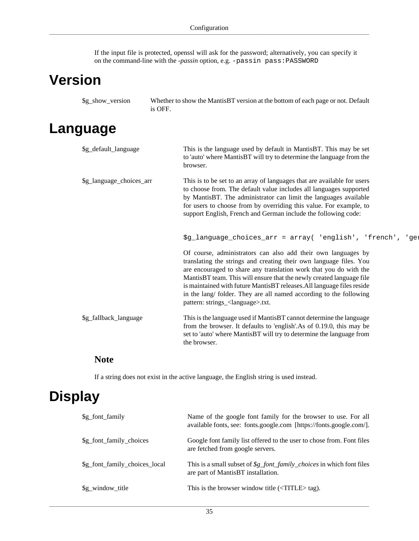If the input file is protected, openssl will ask for the password; alternatively, you can specify it on the command-line with the *-passin* option, e.g. -passin pass:PASSWORD

## **Version**

| \$g_show_version | Whether to show the MantisBT version at the bottom of each page or not. Default |
|------------------|---------------------------------------------------------------------------------|
|                  | is OFF.                                                                         |

## **Language**

| \$g_default_language     | This is the language used by default in MantisBT. This may be set<br>to 'auto' where MantisBT will try to determine the language from the<br>browser.                                                                                                                                                                                                                                                                                                                            |
|--------------------------|----------------------------------------------------------------------------------------------------------------------------------------------------------------------------------------------------------------------------------------------------------------------------------------------------------------------------------------------------------------------------------------------------------------------------------------------------------------------------------|
| \$g_language_choices_arr | This is to be set to an array of languages that are available for users<br>to choose from. The default value includes all languages supported<br>by MantisBT. The administrator can limit the languages available<br>for users to choose from by overriding this value. For example, to<br>support English, French and German include the following code:                                                                                                                        |
|                          | \$g_language_choices_arr = array( 'english', 'french', 'ge:                                                                                                                                                                                                                                                                                                                                                                                                                      |
|                          | Of course, administrators can also add their own languages by<br>translating the strings and creating their own language files. You<br>are encouraged to share any translation work that you do with the<br>MantisBT team. This will ensure that the newly created language file<br>is maintained with future MantisBT releases. All language files reside<br>in the lang/ folder. They are all named according to the following<br>pattern: strings_ <language>.txt.</language> |
| \$g_fallback_language    | This is the language used if MantisBT cannot determine the language<br>from the browser. It defaults to 'english'.As of 0.19.0, this may be<br>set to 'auto' where MantisBT will try to determine the language from<br>the browser.                                                                                                                                                                                                                                              |

#### **Note**

If a string does not exist in the active language, the English string is used instead.

# <span id="page-41-0"></span>**Display**

| \$g_font_family               | Name of the google font family for the browser to use. For all<br>available fonts, see: fonts.google.com [https://fonts.google.com/].              |
|-------------------------------|----------------------------------------------------------------------------------------------------------------------------------------------------|
| \$g_font_family_choices       | Google font family list offered to the user to chose from. Font files<br>are fetched from google servers.                                          |
| \$g_font_family_choices_local | This is a small subset of $\frac{g_{\text{f}}}{g_{\text{f}}}$ <i>font_family_choices</i> in which font files<br>are part of MantisBT installation. |
| \$g_window_title              | This is the browser window title $(\langle TITLE \rangle \text{ tag})$ .                                                                           |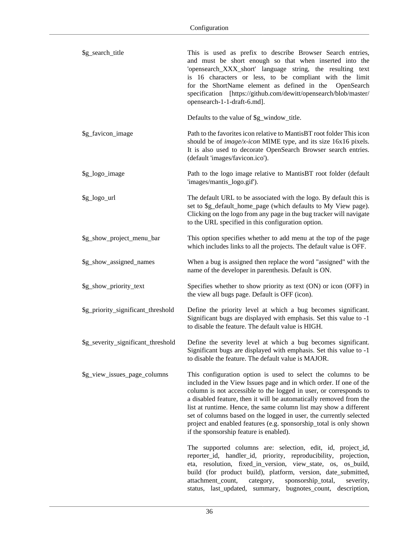| \$g_search_title                   | This is used as prefix to describe Browser Search entries,<br>and must be short enough so that when inserted into the<br>'opensearch_XXX_short' language string, the resulting text<br>is 16 characters or less, to be compliant with the limit<br>for the ShortName element as defined in the<br>OpenSearch<br>specification [https://github.com/dewitt/opensearch/blob/master/<br>opensearch-1-1-draft-6.md].                                                                                                                            |
|------------------------------------|--------------------------------------------------------------------------------------------------------------------------------------------------------------------------------------------------------------------------------------------------------------------------------------------------------------------------------------------------------------------------------------------------------------------------------------------------------------------------------------------------------------------------------------------|
|                                    | Defaults to the value of \$g_window_title.                                                                                                                                                                                                                                                                                                                                                                                                                                                                                                 |
| \$g_favicon_image                  | Path to the favorites icon relative to MantisBT root folder This icon<br>should be of <i>image/x-icon</i> MIME type, and its size $16x16$ pixels.<br>It is also used to decorate OpenSearch Browser search entries.<br>(default 'images/favicon.ico').                                                                                                                                                                                                                                                                                     |
| \$g_logo_image                     | Path to the logo image relative to MantisBT root folder (default<br>'images/mantis_logo.gif').                                                                                                                                                                                                                                                                                                                                                                                                                                             |
| \$g_logo_url                       | The default URL to be associated with the logo. By default this is<br>set to \$g_default_home_page (which defaults to My View page).<br>Clicking on the logo from any page in the bug tracker will navigate<br>to the URL specified in this configuration option.                                                                                                                                                                                                                                                                          |
| \$g_show_project_menu_bar          | This option specifies whether to add menu at the top of the page<br>which includes links to all the projects. The default value is OFF.                                                                                                                                                                                                                                                                                                                                                                                                    |
| \$g_show_assigned_names            | When a bug is assigned then replace the word "assigned" with the<br>name of the developer in parenthesis. Default is ON.                                                                                                                                                                                                                                                                                                                                                                                                                   |
| \$g_show_priority_text             | Specifies whether to show priority as text (ON) or icon (OFF) in<br>the view all bugs page. Default is OFF (icon).                                                                                                                                                                                                                                                                                                                                                                                                                         |
| \$g_priority_significant_threshold | Define the priority level at which a bug becomes significant.<br>Significant bugs are displayed with emphasis. Set this value to -1<br>to disable the feature. The default value is HIGH.                                                                                                                                                                                                                                                                                                                                                  |
| \$g_severity_significant_threshold | Define the severity level at which a bug becomes significant.<br>Significant bugs are displayed with emphasis. Set this value to -1<br>to disable the feature. The default value is MAJOR.                                                                                                                                                                                                                                                                                                                                                 |
| \$g_view_issues_page_columns       | This configuration option is used to select the columns to be<br>included in the View Issues page and in which order. If one of the<br>column is not accessible to the logged in user, or corresponds to<br>a disabled feature, then it will be automatically removed from the<br>list at runtime. Hence, the same column list may show a different<br>set of columns based on the logged in user, the currently selected<br>project and enabled features (e.g. sponsorship_total is only shown<br>if the sponsorship feature is enabled). |
|                                    | The supported columns are: selection, edit, id, project_id,<br>reporter_id, handler_id, priority, reproducibility,<br>projection,<br>eta, resolution, fixed_in_version, view_state, os, os_build,<br>build (for product build), platform, version, date_submitted,<br>attachment_count,<br>category,<br>sponsorship_total,<br>severity,<br>status, last_updated, summary,<br>bugnotes_count, description,                                                                                                                                  |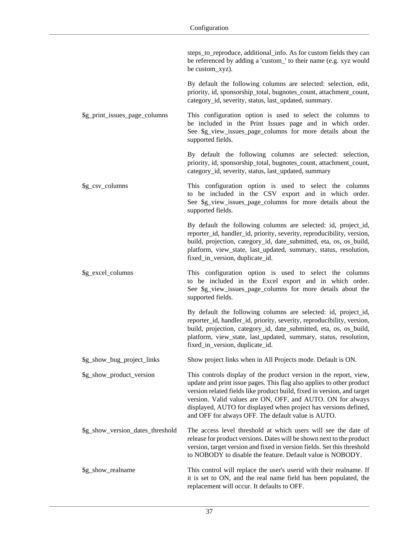|                                  | steps_to_reproduce, additional_info. As for custom fields they can<br>be referenced by adding a 'custom_' to their name (e.g. xyz would<br>be custom_xyz).                                                                                                                                                                                                                                                    |
|----------------------------------|---------------------------------------------------------------------------------------------------------------------------------------------------------------------------------------------------------------------------------------------------------------------------------------------------------------------------------------------------------------------------------------------------------------|
|                                  | By default the following columns are selected: selection, edit,<br>priority, id, sponsorship_total, bugnotes_count, attachment_count,<br>category_id, severity, status, last_updated, summary.                                                                                                                                                                                                                |
| \$g_print_issues_page_columns    | This configuration option is used to select the columns to<br>be included in the Print Issues page and in which order.<br>See \$g_view_issues_page_columns for more details about the<br>supported fields.                                                                                                                                                                                                    |
|                                  | By default the following columns are selected: selection,<br>priority, id, sponsorship_total, bugnotes_count, attachment_count,<br>category_id, severity, status, last_updated, summary                                                                                                                                                                                                                       |
| \$g_csv_columns                  | This configuration option is used to select the columns<br>to be included in the CSV export and in which order.<br>See \$g_view_issues_page_columns for more details about the<br>supported fields.                                                                                                                                                                                                           |
|                                  | By default the following columns are selected: id, project_id,<br>reporter_id, handler_id, priority, severity, reproducibility, version,<br>build, projection, category_id, date_submitted, eta, os, os_build,<br>platform, view_state, last_updated, summary, status, resolution,<br>fixed_in_version, duplicate_id.                                                                                         |
| \$g_excel_columns                | This configuration option is used to select the columns<br>to be included in the Excel export and in which order.<br>See \$g_view_issues_page_columns for more details about the<br>supported fields.                                                                                                                                                                                                         |
|                                  | By default the following columns are selected: id, project_id,<br>reporter_id, handler_id, priority, severity, reproducibility, version,<br>build, projection, category_id, date_submitted, eta, os, os_build,<br>platform, view_state, last_updated, summary, status, resolution,<br>fixed_in_version, duplicate_id.                                                                                         |
| \$g_show_bug_project_links       | Show project links when in All Projects mode. Default is ON.                                                                                                                                                                                                                                                                                                                                                  |
| \$g_show_product_version         | This controls display of the product version in the report, view,<br>update and print issue pages. This flag also applies to other product<br>version related fields like product build, fixed in version, and target<br>version. Valid values are ON, OFF, and AUTO. ON for always<br>displayed, AUTO for displayed when project has versions defined,<br>and OFF for always OFF. The default value is AUTO. |
| \$g_show_version_dates_threshold | The access level threshold at which users will see the date of<br>release for product versions. Dates will be shown next to the product<br>version, target version and fixed in version fields. Set this threshold<br>to NOBODY to disable the feature. Default value is NOBODY.                                                                                                                              |
| \$g_show_realname                | This control will replace the user's userid with their realname. If<br>it is set to ON, and the real name field has been populated, the<br>replacement will occur. It defaults to OFF.                                                                                                                                                                                                                        |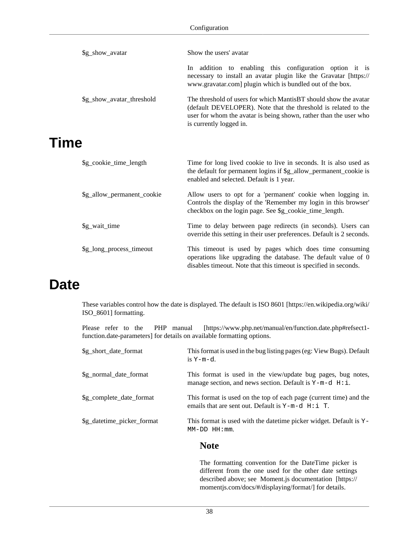| \$g_show_avatar           | Show the users' avatar                                                                                                                                                                                                             |
|---------------------------|------------------------------------------------------------------------------------------------------------------------------------------------------------------------------------------------------------------------------------|
|                           | addition to enabling this configuration option it is<br><b>In</b><br>necessary to install an avatar plugin like the Gravatar [https://<br>www.gravatar.com] plugin which is bundled out of the box.                                |
| \$g_show_avatar_threshold | The threshold of users for which MantisBT should show the avatar<br>(default DEVELOPER). Note that the threshold is related to the<br>user for whom the avatar is being shown, rather than the user who<br>is currently logged in. |
|                           |                                                                                                                                                                                                                                    |

## **Time**

| \$g_cookie_time_length     | Time for long lived cookie to live in seconds. It is also used as<br>the default for permanent logins if \$g_allow_permanent_cookie is<br>enabled and selected. Default is 1 year.                |
|----------------------------|---------------------------------------------------------------------------------------------------------------------------------------------------------------------------------------------------|
| \$g_allow_permanent_cookie | Allow users to opt for a 'permanent' cookie when logging in.<br>Controls the display of the 'Remember my login in this browser'<br>checkbox on the login page. See \$g_cookie_time_length.        |
| \$g_wait_time              | Time to delay between page redirects (in seconds). Users can<br>override this setting in their user preferences. Default is 2 seconds.                                                            |
| \$g_long_process_timeout   | This time out is used by pages which does time consuming<br>operations like upgrading the database. The default value of 0<br>disables time out. Note that this time out is specified in seconds. |

#### **Date**

These variables control how the date is displayed. The default is [ISO 8601](https://en.wikipedia.org/wiki/ISO_8601) [[https://en.wikipedia.org/wiki/](https://en.wikipedia.org/wiki/ISO_8601) [ISO\\_8601](https://en.wikipedia.org/wiki/ISO_8601)] formatting.

Please refer to the [PHP manual \[https://www.php.net/manual/en/function.date.php#refsect1](https://www.php.net/manual/en/function.date.php#refsect1-function.date-parameters) [function.date-parameters\]](https://www.php.net/manual/en/function.date.php#refsect1-function.date-parameters) for details on available formatting options.

| \$g_short_date_format      | This format is used in the bug listing pages (eg: View Bugs). Default<br>is $Y-m-d$ .                                         |
|----------------------------|-------------------------------------------------------------------------------------------------------------------------------|
| \$g normal date format     | This format is used in the view/update bug pages, bug notes,<br>manage section, and news section. Default is $Y-m-d$ $H: i$ . |
| \$g_complete_date_format   | This format is used on the top of each page (current time) and the<br>emails that are sent out. Default is $Y-m-d$ $H: i$ T.  |
| \$g_datetime_picker_format | This format is used with the date time picker widget. Default is $Y -$<br>$MM-DD$ $HH:mm$ .                                   |

#### **Note**

The formatting convention for the DateTime picker is different from the one used for the other date settings described above; see [Moment.js documentation \[https://](https://momentjs.com/docs/#/displaying/format/) [momentjs.com/docs/#/displaying/format/\]](https://momentjs.com/docs/#/displaying/format/) for details.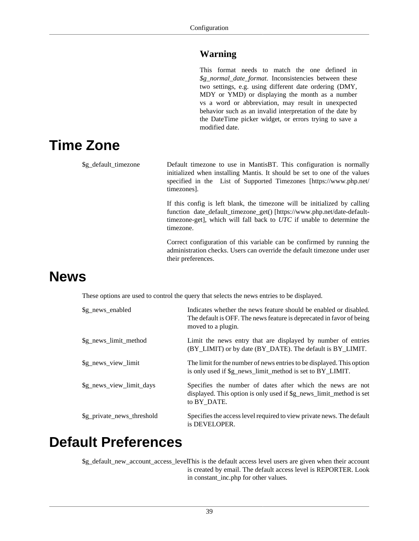#### **Warning**

This format needs to match the one defined in *\$g\_normal\_date\_format*. Inconsistencies between these two settings, e.g. using different date ordering (DMY, MDY or YMD) or displaying the month as a number vs a word or abbreviation, may result in unexpected behavior such as an invalid interpretation of the date by the DateTime picker widget, or errors trying to save a modified date.

# **Time Zone**

\$g\_default\_timezone Default timezone to use in MantisBT. This configuration is normally initialized when installing Mantis. It should be set to one of the values specified in the [List of Supported Timezones](https://www.php.net/timezones) [[https://www.php.net/](https://www.php.net/timezones) [timezones\]](https://www.php.net/timezones). If this config is left blank, the timezone will be initialized by calling function [date\\_default\\_timezone\\_get\(\)](https://www.php.net/date-default-timezone-get) [\[https://www.php.net/date-default](https://www.php.net/date-default-timezone-get)[timezone-get](https://www.php.net/date-default-timezone-get)], which will fall back to *UTC* if unable to determine the timezone.

> Correct configuration of this variable can be confirmed by running the administration checks. Users can override the default timezone under user their preferences.

## **News**

These options are used to control the query that selects the news entries to be displayed.

| \$g_news_enabled           | Indicates whether the news feature should be enabled or disabled.<br>The default is OFF. The news feature is deprecated in favor of being<br>moved to a plugin. |
|----------------------------|-----------------------------------------------------------------------------------------------------------------------------------------------------------------|
| \$g_news_limit_method      | Limit the news entry that are displayed by number of entries<br>(BY_LIMIT) or by date (BY_DATE). The default is BY_LIMIT.                                       |
| \$g_news_view_limit        | The limit for the number of news entries to be displayed. This option<br>is only used if \$g_news_limit_method is set to BY_LIMIT.                              |
| \$g_news_view_limit_days   | Specifies the number of dates after which the news are not<br>displayed. This option is only used if \$g_news_limit_method is set<br>to BY DATE.                |
| \$g_private_news_threshold | Specifies the access level required to view private news. The default<br>is DEVELOPER.                                                                          |

### **Default Preferences**

\$g\_default\_new\_account\_access\_levelThis is the default access level users are given when their account is created by email. The default access level is REPORTER. Look in constant\_inc.php for other values.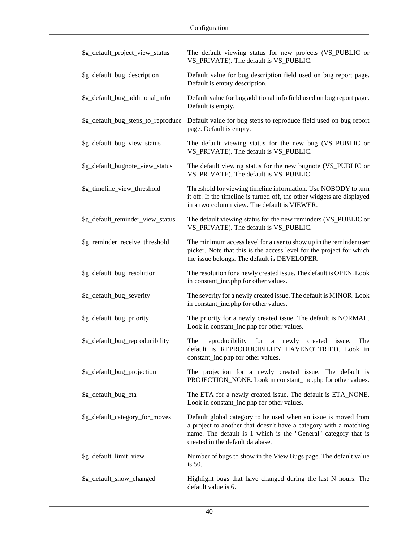| \$g_default_project_view_status    | The default viewing status for new projects (VS_PUBLIC or<br>VS_PRIVATE). The default is VS_PUBLIC.                                                                                                                                       |
|------------------------------------|-------------------------------------------------------------------------------------------------------------------------------------------------------------------------------------------------------------------------------------------|
| \$g_default_bug_description        | Default value for bug description field used on bug report page.<br>Default is empty description.                                                                                                                                         |
| \$g_default_bug_additional_info    | Default value for bug additional info field used on bug report page.<br>Default is empty.                                                                                                                                                 |
| \$g_default_bug_steps_to_reproduce | Default value for bug steps to reproduce field used on bug report<br>page. Default is empty.                                                                                                                                              |
| \$g_default_bug_view_status        | The default viewing status for the new bug (VS_PUBLIC or<br>VS_PRIVATE). The default is VS_PUBLIC.                                                                                                                                        |
| \$g_default_bugnote_view_status    | The default viewing status for the new bugnote (VS_PUBLIC or<br>VS_PRIVATE). The default is VS_PUBLIC.                                                                                                                                    |
| \$g_timeline_view_threshold        | Threshold for viewing timeline information. Use NOBODY to turn<br>it off. If the timeline is turned off, the other widgets are displayed<br>in a two column view. The default is VIEWER.                                                  |
| \$g_default_reminder_view_status   | The default viewing status for the new reminders (VS_PUBLIC or<br>VS_PRIVATE). The default is VS_PUBLIC.                                                                                                                                  |
| \$g_reminder_receive_threshold     | The minimum access level for a user to show up in the reminder user<br>picker. Note that this is the access level for the project for which<br>the issue belongs. The default is DEVELOPER.                                               |
| \$g_default_bug_resolution         | The resolution for a newly created issue. The default is OPEN. Look<br>in constant_inc.php for other values.                                                                                                                              |
| \$g_default_bug_severity           | The severity for a newly created issue. The default is MINOR. Look<br>in constant_inc.php for other values.                                                                                                                               |
| \$g_default_bug_priority           | The priority for a newly created issue. The default is NORMAL.<br>Look in constant_inc.php for other values.                                                                                                                              |
| \$g_default_bug_reproducibility    | reproducibility<br>for<br>The<br>newly<br>created<br>issue.<br>The<br>$\rm{a}$<br>default is REPRODUCIBILITY_HAVENOTTRIED. Look in<br>constant_inc.php for other values.                                                                  |
| \$g_default_bug_projection         | The projection for a newly created issue. The default is<br>PROJECTION_NONE. Look in constant_inc.php for other values.                                                                                                                   |
| \$g_default_bug_eta                | The ETA for a newly created issue. The default is ETA_NONE.<br>Look in constant_inc.php for other values.                                                                                                                                 |
| \$g_default_category_for_moves     | Default global category to be used when an issue is moved from<br>a project to another that doesn't have a category with a matching<br>name. The default is 1 which is the "General" category that is<br>created in the default database. |
| \$g_default_limit_view             | Number of bugs to show in the View Bugs page. The default value<br>is 50.                                                                                                                                                                 |
| \$g_default_show_changed           | Highlight bugs that have changed during the last N hours. The<br>default value is 6.                                                                                                                                                      |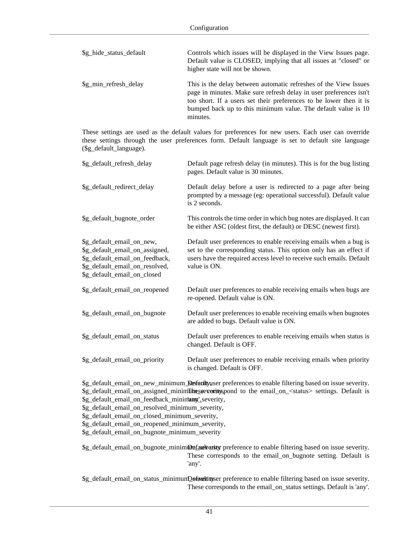| \$g_hide_status_default | Controls which issues will be displayed in the View Issues page.<br>Default value is CLOSED, implying that all issues at "closed" or<br>higher state will not be shown.                                                                                                                   |
|-------------------------|-------------------------------------------------------------------------------------------------------------------------------------------------------------------------------------------------------------------------------------------------------------------------------------------|
| \$g_min_refresh_delay   | This is the delay between automatic refreshes of the View Issues<br>page in minutes. Make sure refresh delay in user preferences isn't<br>too short. If a users set their preferences to be lower then it is<br>bumped back up to this minimum value. The default value is 10<br>minutes. |

These settings are used as the default values for preferences for new users. Each user can override these settings through the user preferences form. Default language is set to default site language (\$g\_default\_language).

| \$g_default_refresh_delay                                                                                                                                      | Default page refresh delay (in minutes). This is for the bug listing<br>pages. Default value is 30 minutes.                                                                                                                     |
|----------------------------------------------------------------------------------------------------------------------------------------------------------------|---------------------------------------------------------------------------------------------------------------------------------------------------------------------------------------------------------------------------------|
| \$g_default_redirect_delay                                                                                                                                     | Default delay before a user is redirected to a page after being<br>prompted by a message (eg: operational successful). Default value<br>is 2 seconds.                                                                           |
| \$g_default_bugnote_order                                                                                                                                      | This controls the time order in which bug notes are displayed. It can<br>be either ASC (oldest first, the default) or DESC (newest first).                                                                                      |
| \$g_default_email_on_new,<br>\$g_default_email_on_assigned,<br>\$g_default_email_on_feedback,<br>\$g_default_email_on_resolved,<br>\$g_default_email_on_closed | Default user preferences to enable receiving emails when a bug is<br>set to the corresponding status. This option only has an effect if<br>users have the required access level to receive such emails. Default<br>value is ON. |
| \$g_default_email_on_reopened                                                                                                                                  | Default user preferences to enable receiving emails when bugs are<br>re-opened. Default value is ON.                                                                                                                            |
| \$g_default_email_on_bugnote                                                                                                                                   | Default user preferences to enable receiving emails when bugnotes<br>are added to bugs. Default value is ON.                                                                                                                    |
| \$g_default_email_on_status                                                                                                                                    | Default user preferences to enable receiving emails when status is<br>changed. Default is OFF.                                                                                                                                  |
| \$g_default_email_on_priority                                                                                                                                  | Default user preferences to enable receiving emails when priority<br>is changed. Default is OFF.                                                                                                                                |

\$g\_default\_email\_on\_new\_minimum\_**Default**yuser preferences to enable filtering based on issue severity. \$g\_default\_email\_on\_assigned\_minimilinesseverity, spond to the email\_on\_<status> settings. Default is \$g\_default\_email\_on\_feedback\_minimannyl\_severity,

\$g\_default\_email\_on\_resolved\_minimum\_severity,

\$g\_default\_email\_on\_closed\_minimum\_severity,

\$g\_default\_email\_on\_reopened\_minimum\_severity,

\$g\_default\_email\_on\_bugnote\_minimum\_severity

\$g\_default\_email\_on\_bugnote\_minimmDefaucht user preference to enable filtering based on issue severity. These corresponds to the email\_on\_bugnote setting. Default is 'any'.

\$g\_default\_email\_on\_status\_minimumDefault user preference to enable filtering based on issue severity. These corresponds to the email\_on\_status settings. Default is 'any'.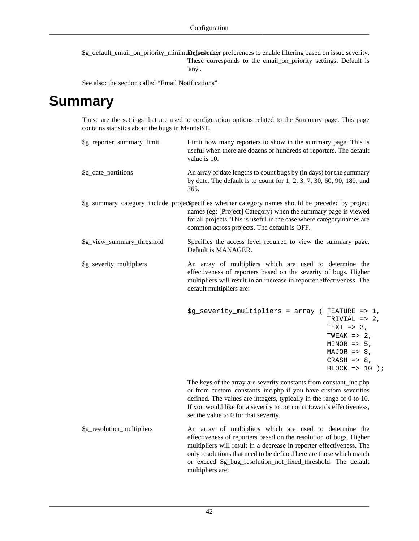\$g\_default\_email\_on\_priority\_minimuDefauvenityr preferences to enable filtering based on issue severity. These corresponds to the email\_on\_priority settings. Default is 'any'.

See also: [the section called "Email Notifications"](#page-92-0)

### **Summary**

These are the settings that are used to configuration options related to the Summary page. This page contains statistics about the bugs in MantisBT.

| \$g_reporter_summary_limit | Limit how many reporters to show in the summary page. This is<br>useful when there are dozens or hundreds of reporters. The default<br>value is 10.                                                                                                                                                                                                               |                                                                                                                                                    |
|----------------------------|-------------------------------------------------------------------------------------------------------------------------------------------------------------------------------------------------------------------------------------------------------------------------------------------------------------------------------------------------------------------|----------------------------------------------------------------------------------------------------------------------------------------------------|
| \$g_date_partitions        | An array of date lengths to count bugs by (in days) for the summary<br>by date. The default is to count for 1, 2, 3, 7, 30, 60, 90, 180, and<br>365.                                                                                                                                                                                                              |                                                                                                                                                    |
|                            | \$g_summary_category_include_projed\$pecifies whether category names should be preceded by project<br>names (eg: [Project] Category) when the summary page is viewed<br>for all projects. This is useful in the case where category names are<br>common across projects. The default is OFF.                                                                      |                                                                                                                                                    |
| \$g_view_summary_threshold | Specifies the access level required to view the summary page.<br>Default is MANAGER.                                                                                                                                                                                                                                                                              |                                                                                                                                                    |
| \$g_severity_multipliers   | An array of multipliers which are used to determine the<br>effectiveness of reporters based on the severity of bugs. Higher<br>multipliers will result in an increase in reporter effectiveness. The<br>default multipliers are:                                                                                                                                  |                                                                                                                                                    |
|                            | \$g_severity_multipliers = array ( FEATURE => 1,                                                                                                                                                                                                                                                                                                                  | TRIVIAL => $2$ ,<br>TEXT $\Rightarrow$ 3,<br>TWEAK => $2$ ,<br>$MINOR$ => 5,<br>$MAJOR \implies 8$ ,<br>CRASH $\Rightarrow$ 8,<br>BLOCK => $10$ ); |
|                            | The keys of the array are severity constants from constant_inc.php<br>or from custom_constants_inc.php if you have custom severities<br>defined. The values are integers, typically in the range of 0 to 10.<br>If you would like for a severity to not count towards effectiveness,<br>set the value to 0 for that severity.                                     |                                                                                                                                                    |
| \$g_resolution_multipliers | An array of multipliers which are used to determine the<br>effectiveness of reporters based on the resolution of bugs. Higher<br>multipliers will result in a decrease in reporter effectiveness. The<br>only resolutions that need to be defined here are those which match<br>or exceed \$g_bug_resolution_not_fixed_threshold. The default<br>multipliers are: |                                                                                                                                                    |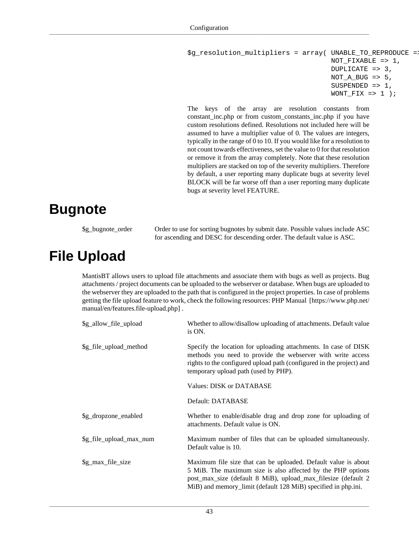```
$g_resolution_multipliers = array( UNABLE_TO_REPRODUCE => 2,
                                        NOT FIXABLE => 1,
                                         DUPLICATE => 3,
                                        NOT A BUG \approx 5,
                                         SUSPENDED => 1,
                                        WONT_FIX \implies 1);
```
The keys of the array are resolution constants from constant\_inc.php or from custom\_constants\_inc.php if you have custom resolutions defined. Resolutions not included here will be assumed to have a multiplier value of 0. The values are integers, typically in the range of 0 to 10. If you would like for a resolution to not count towards effectiveness, set the value to 0 for that resolution or remove it from the array completely. Note that these resolution multipliers are stacked on top of the severity multipliers. Therefore by default, a user reporting many duplicate bugs at severity level BLOCK will be far worse off than a user reporting many duplicate bugs at severity level FEATURE.

### **Bugnote**

\$g\_bugnote\_order Order to use for sorting bugnotes by submit date. Possible values include ASC for ascending and DESC for descending order. The default value is ASC.

## **File Upload**

MantisBT allows users to upload file attachments and associate them with bugs as well as projects. Bug attachments / project documents can be uploaded to the webserver or database. When bugs are uploaded to the webserver they are uploaded to the path that is configured in the project properties. In case of problems getting the file upload feature to work, check the following resources: [PHP Manual](https://www.php.net/manual/en/features.file-upload.php) [[https://www.php.net/](https://www.php.net/manual/en/features.file-upload.php) [manual/en/features.file-upload.php\]](https://www.php.net/manual/en/features.file-upload.php) .

| \$g_allow_file_upload   | Whether to allow/disallow uploading of attachments. Default value<br>is ON.                                                                                                                                                                                     |
|-------------------------|-----------------------------------------------------------------------------------------------------------------------------------------------------------------------------------------------------------------------------------------------------------------|
| \$g_file_upload_method  | Specify the location for uploading attachments. In case of DISK<br>methods you need to provide the webserver with write access<br>rights to the configured upload path (configured in the project) and<br>temporary upload path (used by PHP).                  |
|                         | Values: DISK or DATABASE                                                                                                                                                                                                                                        |
|                         | Default: DATABASE                                                                                                                                                                                                                                               |
| \$g_dropzone_enabled    | Whether to enable/disable drag and drop zone for uploading of<br>attachments. Default value is ON.                                                                                                                                                              |
| \$g_file_upload_max_num | Maximum number of files that can be uploaded simultaneously.<br>Default value is 10.                                                                                                                                                                            |
| \$g_max_file_size       | Maximum file size that can be uploaded. Default value is about<br>5 MiB. The maximum size is also affected by the PHP options<br>post_max_size (default 8 MiB), upload_max_filesize (default 2<br>MiB) and memory_limit (default 128 MiB) specified in php.ini. |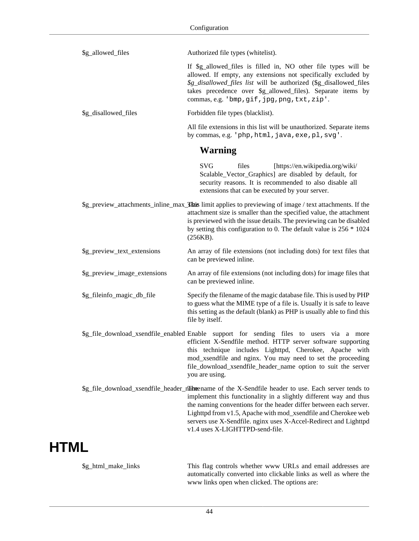| \$g_allowed_files            | Authorized file types (whitelist).                                                                                                                                                                                                                                                                                                                                                                               |
|------------------------------|------------------------------------------------------------------------------------------------------------------------------------------------------------------------------------------------------------------------------------------------------------------------------------------------------------------------------------------------------------------------------------------------------------------|
|                              | If \$g_allowed_files is filled in, NO other file types will be<br>allowed. If empty, any extensions not specifically excluded by<br>\$g_disallowed_files list will be authorized (\$g_disallowed_files<br>takes precedence over \$g_allowed_files). Separate items by<br>commas, e.g. 'bmp, gif, jpg, png, txt, zip'.                                                                                            |
| \$g_disallowed_files         | Forbidden file types (blacklist).                                                                                                                                                                                                                                                                                                                                                                                |
|                              | All file extensions in this list will be unauthorized. Separate items<br>by commas, e.g. 'php, html, java, exe, pl, svg'.                                                                                                                                                                                                                                                                                        |
|                              | <b>Warning</b>                                                                                                                                                                                                                                                                                                                                                                                                   |
|                              | <b>SVG</b><br>files<br>[https://en.wikipedia.org/wiki/<br>Scalable_Vector_Graphics] are disabled by default, for<br>security reasons. It is recommended to also disable all<br>extensions that can be executed by your server.                                                                                                                                                                                   |
|                              | \$g_preview_attachments_inline_max_This limit applies to previewing of image / text attachments. If the<br>attachment size is smaller than the specified value, the attachment<br>is previewed with the issue details. The previewing can be disabled<br>by setting this configuration to 0. The default value is 256 * 1024<br>(256KB).                                                                         |
| \$g_preview_text_extensions  | An array of file extensions (not including dots) for text files that<br>can be previewed inline.                                                                                                                                                                                                                                                                                                                 |
| \$g_preview_image_extensions | An array of file extensions (not including dots) for image files that<br>can be previewed inline.                                                                                                                                                                                                                                                                                                                |
| \$g_fileinfo_magic_db_file   | Specify the filename of the magic database file. This is used by PHP<br>to guess what the MIME type of a file is. Usually it is safe to leave<br>this setting as the default (blank) as PHP is usually able to find this<br>file by itself.                                                                                                                                                                      |
|                              | \$g_file_download_xsendfile_enabled Enable support for sending files to users via a more<br>efficient X-Sendfile method. HTTP server software supporting<br>this technique includes Lighttpd, Cherokee, Apache with<br>mod_xsendfile and nginx. You may need to set the proceeding<br>file_download_xsendfile_header_name option to suit the server<br>you are using.                                            |
|                              | \$g_file_download_xsendfile_header_name of the X-Sendfile header to use. Each server tends to<br>implement this functionality in a slightly different way and thus<br>the naming conventions for the header differ between each server.<br>Lighttpd from v1.5, Apache with mod_xsendfile and Cherokee web<br>servers use X-Sendfile. nginx uses X-Accel-Redirect and Lighttpd<br>v1.4 uses X-LIGHTTPD-send-file. |

# **HTML**

\$g\_html\_make\_links This flag controls whether www URLs and email addresses are automatically converted into clickable links as well as where the www links open when clicked. The options are: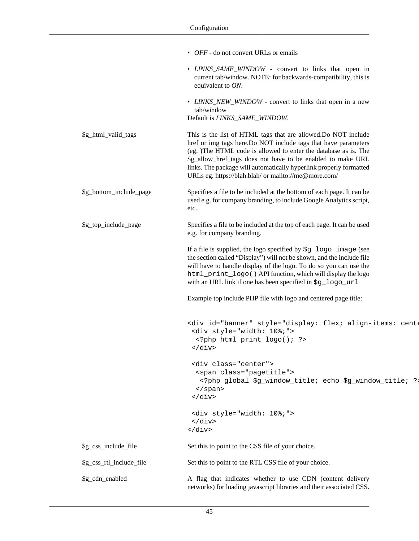|                          | • <i>OFF</i> - do not convert URLs or emails                                                                                                                                                                                                                                                                                                                                                     |
|--------------------------|--------------------------------------------------------------------------------------------------------------------------------------------------------------------------------------------------------------------------------------------------------------------------------------------------------------------------------------------------------------------------------------------------|
|                          | • LINKS_SAME_WINDOW - convert to links that open in<br>current tab/window. NOTE: for backwards-compatibility, this is<br>equivalent to $ON$ .                                                                                                                                                                                                                                                    |
|                          | • LINKS_NEW_WINDOW - convert to links that open in a new<br>tab/window<br>Default is LINKS_SAME_WINDOW.                                                                                                                                                                                                                                                                                          |
|                          |                                                                                                                                                                                                                                                                                                                                                                                                  |
| \$g_html_valid_tags      | This is the list of HTML tags that are allowed. Do NOT include<br>href or img tags here.Do NOT include tags that have parameters<br>(eg. )The HTML code is allowed to enter the database as is. The<br>\$g_allow_href_tags does not have to be enabled to make URL<br>links. The package will automatically hyperlink properly formatted<br>URLs eg. https://blah.blah/ or mailto://me@more.com/ |
| \$g_bottom_include_page  | Specifies a file to be included at the bottom of each page. It can be<br>used e.g. for company branding, to include Google Analytics script,<br>etc.                                                                                                                                                                                                                                             |
| \$g_top_include_page     | Specifies a file to be included at the top of each page. It can be used<br>e.g. for company branding.                                                                                                                                                                                                                                                                                            |
|                          | If a file is supplied, the logo specified by \$g_logo_image (see<br>the section called "Display") will not be shown, and the include file<br>will have to handle display of the logo. To do so you can use the<br>html_print_logo() API function, which will display the logo<br>with an URL link if one has been specified in \$g_logo_url                                                      |
|                          | Example top include PHP file with logo and centered page title:                                                                                                                                                                                                                                                                                                                                  |
|                          | <div 10%;"="" id="banner" style="display: flex; align-items: cent&lt;br&gt;&lt;div style=" width:=""><br/><?php html_print_logo(); ?><br/><math>\langle</math> div&gt;</div>                                                                                                                                                                                                                     |
|                          | <div class="center"><br/><span class="pagetitle"><br/><?php global \$g_window_title; echo \$g_window_title; ?:<br><math>\langle</math>/span&gt;<br/><math>\langle \text{div} \rangle</math></span></div>                                                                                                                                                                                         |
|                          | <div style="width: 10%;"><br/><math>\langle</math> div&gt;<br/><math>\langle \text{div} \rangle</math></div>                                                                                                                                                                                                                                                                                     |
| \$g_css_include_file     | Set this to point to the CSS file of your choice.                                                                                                                                                                                                                                                                                                                                                |
| \$g_css_rtl_include_file | Set this to point to the RTL CSS file of your choice.                                                                                                                                                                                                                                                                                                                                            |
| \$g_cdn_enabled          | A flag that indicates whether to use CDN (content delivery<br>networks) for loading javascript libraries and their associated CSS.                                                                                                                                                                                                                                                               |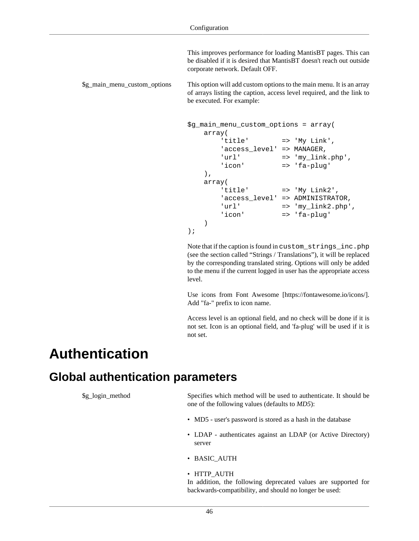This improves performance for loading MantisBT pages. This can be disabled if it is desired that MantisBT doesn't reach out outside corporate network. Default OFF.

\$g\_main\_menu\_custom\_options This option will add custom options to the main menu. It is an array of arrays listing the caption, access level required, and the link to be executed. For example:

```
$g_main_menu_custom_options = array(
    array( 
       'title' => 'My Link',
       'access_level' => MANAGER,
       'url' => 'my_link.php','icon' => 'fa-plug'
    ),
    array( 
        'title' => 'My Link2',
       'access level' => ADMINISTRATOR,
       'url' = = 'my_link2.php',
       'icon' => 'fa-plug'
    )
);
```
Note that if the caption is found in custom\_strings\_inc.php (see [the section called "Strings / Translations"](#page-84-0)), it will be replaced by the corresponding translated string. Options will only be added to the menu if the current logged in user has the appropriate access level.

Use icons from [Font Awesome \[https://fontawesome.io/icons/](https://fontawesome.io/icons/)]. Add "fa-" prefix to icon name.

Access level is an optional field, and no check will be done if it is not set. Icon is an optional field, and 'fa-plug' will be used if it is not set.

#### **Authentication**

#### <span id="page-52-0"></span>**Global authentication parameters**

\$g\_login\_method Specifies which method will be used to authenticate. It should be one of the following values (defaults to *MD5*):

- MD5 user's password is stored as a hash in the database
- LDAP authenticates against an LDAP (or Active Directory) server
- BASIC\_AUTH
- HTTP\_AUTH

In addition, the following deprecated values are supported for backwards-compatibility, and should no longer be used: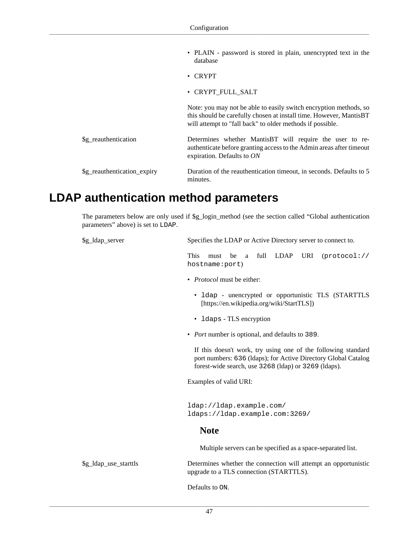- PLAIN password is stored in plain, unencrypted text in the database
- CRYPT
- CRYPT\_FULL\_SALT

Note: you may not be able to easily switch encryption methods, so this should be carefully chosen at install time. However, MantisBT will attempt to "fall back" to older methods if possible. \$g\_reauthentication Determines whether MantisBT will require the user to reauthenticate before granting access to the Admin areas after timeout expiration. Defaults to *ON* \$g\_reauthentication\_expiry Duration of the reauthentication timeout, in seconds. Defaults to 5 minutes.

#### <span id="page-53-0"></span>**LDAP authentication method parameters**

The parameters below are only used if \$g\_login\_method (see [the section called "Global authentication](#page-52-0) [parameters"](#page-52-0) above) is set to LDAP.

| \$g_ldap_server       | Specifies the LDAP or Active Directory server to connect to.                                                                                                                            |
|-----------------------|-----------------------------------------------------------------------------------------------------------------------------------------------------------------------------------------|
|                       | This<br>full<br>LDAP URI<br>must<br>be<br>(protocol://<br>a<br>hostname:port)                                                                                                           |
|                       | • <i>Protocol</i> must be either:                                                                                                                                                       |
|                       | • 1dap - unencrypted or opportunistic TLS (STARTTLS<br>[https://en.wikipedia.org/wiki/StartTLS])                                                                                        |
|                       | • 1 daps - TLS encryption                                                                                                                                                               |
|                       | • Port number is optional, and defaults to 389.                                                                                                                                         |
|                       | If this doesn't work, try using one of the following standard<br>port numbers: 636 (Idaps); for Active Directory Global Catalog<br>forest-wide search, use 3268 (ldap) or 3269 (ldaps). |
|                       | Examples of valid URI:                                                                                                                                                                  |
|                       | ldap://ldap.example.com/<br>ldaps://ldap.example.com:3269/                                                                                                                              |
|                       | <b>Note</b>                                                                                                                                                                             |
|                       | Multiple servers can be specified as a space-separated list.                                                                                                                            |
| \$g_ldap_use_starttls | Determines whether the connection will attempt an opportunistic<br>upgrade to a TLS connection (STARTTLS).                                                                              |
|                       | Defaults to ON.                                                                                                                                                                         |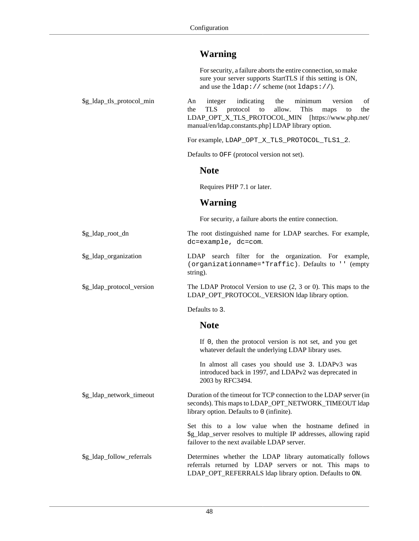#### **Warning**

|                           | For security, a failure aborts the entire connection, so make<br>sure your server supports StartTLS if this setting is ON,<br>and use the $ldap://scheme (not Idaps://).$                                                                                  |
|---------------------------|------------------------------------------------------------------------------------------------------------------------------------------------------------------------------------------------------------------------------------------------------------|
| \$g_ldap_tls_protocol_min | indicating<br>the<br>minimum<br>An<br>integer<br>version<br>οf<br><b>TLS</b><br>protocol<br>allow.<br>This<br>the<br>to<br>the<br>maps<br>to<br>LDAP_OPT_X_TLS_PROTOCOL_MIN<br>[https://www.php.net/<br>manual/en/ldap.constants.php] LDAP library option. |
|                           | For example, LDAP_OPT_X_TLS_PROTOCOL_TLS1_2.                                                                                                                                                                                                               |
|                           | Defaults to OFF (protocol version not set).                                                                                                                                                                                                                |
|                           | <b>Note</b>                                                                                                                                                                                                                                                |
|                           | Requires PHP 7.1 or later.                                                                                                                                                                                                                                 |
|                           | <b>Warning</b>                                                                                                                                                                                                                                             |
|                           | For security, a failure aborts the entire connection.                                                                                                                                                                                                      |
| \$g_ldap_root_dn          | The root distinguished name for LDAP searches. For example,<br>dc=example, dc=com.                                                                                                                                                                         |
| \$g_ldap_organization     | search filter for the organization. For example,<br>LDAP<br>(organizationname=*Traffic). Defaults to '' (empty<br>string).                                                                                                                                 |
| \$g_ldap_protocol_version | The LDAP Protocol Version to use $(2, 3 \text{ or } 0)$ . This maps to the<br>LDAP_OPT_PROTOCOL_VERSION ldap library option.                                                                                                                               |
|                           | Defaults to 3.                                                                                                                                                                                                                                             |
|                           | <b>Note</b>                                                                                                                                                                                                                                                |
|                           | If 0, then the protocol version is not set, and you get<br>whatever default the underlying LDAP library uses.                                                                                                                                              |
|                           | In almost all cases you should use 3. LDAPv3 was<br>introduced back in 1997, and LDAPv2 was deprecated in<br>2003 by RFC3494.                                                                                                                              |
| \$g_ldap_network_timeout  | Duration of the timeout for TCP connection to the LDAP server (in<br>seconds). This maps to LDAP_OPT_NETWORK_TIMEOUT ldap<br>library option. Defaults to 0 (infinite).                                                                                     |
|                           | Set this to a low value when the hostname defined in<br>\$g_ldap_server resolves to multiple IP addresses, allowing rapid<br>failover to the next available LDAP server.                                                                                   |
| \$g_ldap_follow_referrals | Determines whether the LDAP library automatically follows<br>referrals returned by LDAP servers or not. This maps to<br>LDAP_OPT_REFERRALS ldap library option. Defaults to ON.                                                                            |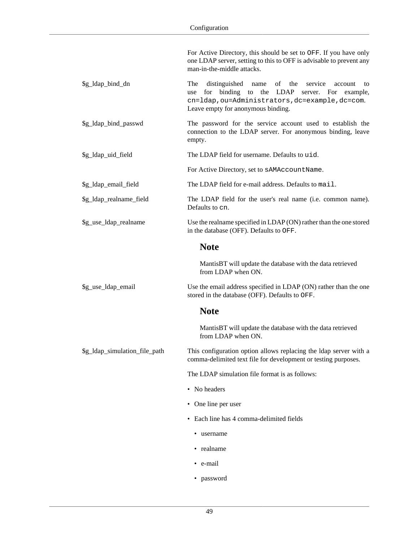|                               | For Active Directory, this should be set to OFF. If you have only<br>one LDAP server, setting to this to OFF is advisable to prevent any<br>man-in-the-middle attacks.                                                         |
|-------------------------------|--------------------------------------------------------------------------------------------------------------------------------------------------------------------------------------------------------------------------------|
| \$g_ldap_bind_dn              | distinguished<br>The<br>of<br>the<br>service<br>name<br>account<br>to<br>binding<br>the LDAP server. For example,<br>for<br>to<br>use<br>cn=ldap, ou=Administrators, dc=example, dc=com.<br>Leave empty for anonymous binding. |
| \$g_ldap_bind_passwd          | The password for the service account used to establish the<br>connection to the LDAP server. For anonymous binding, leave<br>empty.                                                                                            |
| \$g_ldap_uid_field            | The LDAP field for username. Defaults to uid.                                                                                                                                                                                  |
|                               | For Active Directory, set to sAMAccountName.                                                                                                                                                                                   |
| \$g_ldap_email_field          | The LDAP field for e-mail address. Defaults to mail.                                                                                                                                                                           |
| \$g_ldap_realname_field       | The LDAP field for the user's real name (i.e. common name).<br>Defaults to cn.                                                                                                                                                 |
| \$g_use_ldap_realname         | Use the real name specified in LDAP (ON) rather than the one stored<br>in the database (OFF). Defaults to OFF.                                                                                                                 |
|                               | <b>Note</b>                                                                                                                                                                                                                    |
|                               | MantisBT will update the database with the data retrieved<br>from LDAP when ON.                                                                                                                                                |
| \$g_use_ldap_email            | Use the email address specified in LDAP (ON) rather than the one<br>stored in the database (OFF). Defaults to OFF.                                                                                                             |
|                               | <b>Note</b>                                                                                                                                                                                                                    |
|                               | MantisBT will update the database with the data retrieved<br>from LDAP when ON.                                                                                                                                                |
| \$g_ldap_simulation_file_path | This configuration option allows replacing the Idap server with a<br>comma-delimited text file for development or testing purposes.                                                                                            |
|                               | The LDAP simulation file format is as follows:                                                                                                                                                                                 |
|                               | • No headers                                                                                                                                                                                                                   |
|                               | • One line per user                                                                                                                                                                                                            |
|                               | • Each line has 4 comma-delimited fields                                                                                                                                                                                       |
|                               | • username                                                                                                                                                                                                                     |
|                               | • realname                                                                                                                                                                                                                     |
|                               | • e-mail                                                                                                                                                                                                                       |
|                               | • password                                                                                                                                                                                                                     |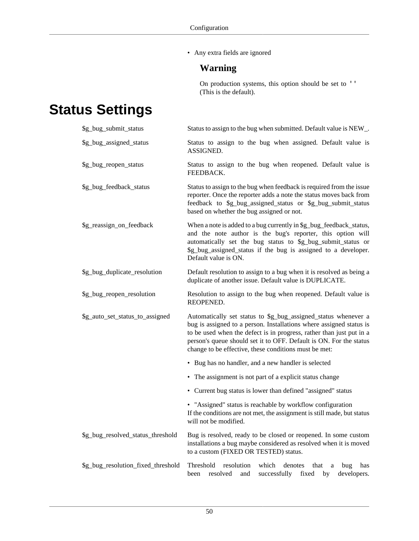• Any extra fields are ignored

#### **Warning**

On production systems, this option should be set to '' (This is the default).

# **Status Settings**

| \$g_bug_submit_status              | Status to assign to the bug when submitted. Default value is NEW_.                                                                                                                                                                                                                                                                           |
|------------------------------------|----------------------------------------------------------------------------------------------------------------------------------------------------------------------------------------------------------------------------------------------------------------------------------------------------------------------------------------------|
| \$g_bug_assigned_status            | Status to assign to the bug when assigned. Default value is<br>ASSIGNED.                                                                                                                                                                                                                                                                     |
| \$g_bug_reopen_status              | Status to assign to the bug when reopened. Default value is<br>FEEDBACK.                                                                                                                                                                                                                                                                     |
| \$g_bug_feedback_status            | Status to assign to the bug when feedback is required from the issue<br>reporter. Once the reporter adds a note the status moves back from<br>feedback to \$g_bug_assigned_status or \$g_bug_submit_status<br>based on whether the bug assigned or not.                                                                                      |
| \$g_reassign_on_feedback           | When a note is added to a bug currently in \$g_bug_feedback_status,<br>and the note author is the bug's reporter, this option will<br>automatically set the bug status to \$g_bug_submit_status or<br>\$g_bug_assigned_status if the bug is assigned to a developer.<br>Default value is ON.                                                 |
| \$g_bug_duplicate_resolution       | Default resolution to assign to a bug when it is resolved as being a<br>duplicate of another issue. Default value is DUPLICATE.                                                                                                                                                                                                              |
| \$g_bug_reopen_resolution          | Resolution to assign to the bug when reopened. Default value is<br>REOPENED.                                                                                                                                                                                                                                                                 |
| \$g_auto_set_status_to_assigned    | Automatically set status to \$g_bug_assigned_status whenever a<br>bug is assigned to a person. Installations where assigned status is<br>to be used when the defect is in progress, rather than just put in a<br>person's queue should set it to OFF. Default is ON. For the status<br>change to be effective, these conditions must be met: |
|                                    | • Bug has no handler, and a new handler is selected                                                                                                                                                                                                                                                                                          |
|                                    | • The assignment is not part of a explicit status change                                                                                                                                                                                                                                                                                     |
|                                    | • Current bug status is lower than defined "assigned" status                                                                                                                                                                                                                                                                                 |
|                                    | • "Assigned" status is reachable by workflow configuration<br>If the conditions are not met, the assignment is still made, but status<br>will not be modified.                                                                                                                                                                               |
| \$g_bug_resolved_status_threshold  | Bug is resolved, ready to be closed or reopened. In some custom<br>installations a bug maybe considered as resolved when it is moved<br>to a custom (FIXED OR TESTED) status.                                                                                                                                                                |
| \$g_bug_resolution_fixed_threshold | Threshold<br>resolution<br>which<br>denotes<br>that<br>bug<br>has<br>a<br>been<br>resolved<br>and<br>successfully<br>fixed<br>developers.<br>by                                                                                                                                                                                              |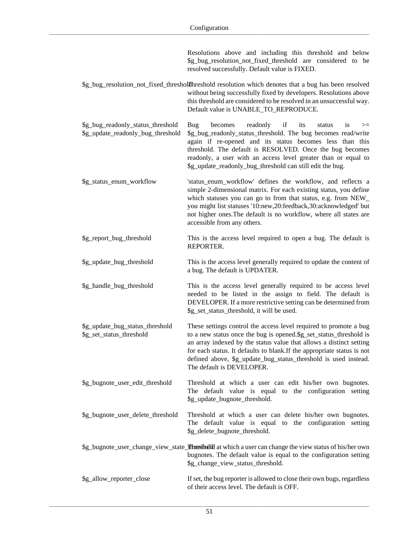|                                                                        | Resolutions above and including this threshold and below<br>\$g_bug_resolution_not_fixed_threshold are considered to be<br>resolved successfully. Default value is FIXED.                                                                                                                                                                                                                 |
|------------------------------------------------------------------------|-------------------------------------------------------------------------------------------------------------------------------------------------------------------------------------------------------------------------------------------------------------------------------------------------------------------------------------------------------------------------------------------|
|                                                                        | \$g_bug_resolution_not_fixed_thresholdIhreshold resolution which denotes that a bug has been resolved<br>without being successfully fixed by developers. Resolutions above<br>this threshold are considered to be resolved in an unsuccessful way.<br>Default value is UNABLE_TO_REPRODUCE.                                                                                               |
| \$g_bug_readonly_status_threshold<br>\$g_update_readonly_bug_threshold | if<br>becomes<br>readonly<br>its<br>is<br>Bug<br>status<br>$>=$<br>\$g_bug_readonly_status_threshold. The bug becomes read/write<br>again if re-opened and its status becomes less than this<br>threshold. The default is RESOLVED. Once the bug becomes<br>readonly, a user with an access level greater than or equal to<br>\$g_update_readonly_bug_threshold can still edit the bug.   |
| \$g_status_enum_workflow                                               | 'status_enum_workflow' defines the workflow, and reflects a<br>simple 2-dimensional matrix. For each existing status, you define<br>which statuses you can go to from that status, e.g. from NEW_<br>you might list statuses '10:new,20:feedback,30:acknowledged' but<br>not higher ones. The default is no workflow, where all states are<br>accessible from any others.                 |
| \$g_report_bug_threshold                                               | This is the access level required to open a bug. The default is<br>REPORTER.                                                                                                                                                                                                                                                                                                              |
| \$g_update_bug_threshold                                               | This is the access level generally required to update the content of<br>a bug. The default is UPDATER.                                                                                                                                                                                                                                                                                    |
| \$g_handle_bug_threshold                                               | This is the access level generally required to be access level<br>needed to be listed in the assign to field. The default is<br>DEVELOPER. If a more restrictive setting can be determined from<br>\$g_set_status_threshold, it will be used.                                                                                                                                             |
| \$g_update_bug_status_threshold<br>\$g_set_status_threshold            | These settings control the access level required to promote a bug<br>to a new status once the bug is opened.\$g_set_status_threshold is<br>an array indexed by the status value that allows a distinct setting<br>for each status. It defaults to blank. If the appropriate status is not<br>defined above, \$g_update_bug_status_threshold is used instead.<br>The default is DEVELOPER. |
| \$g_bugnote_user_edit_threshold                                        | Threshold at which a user can edit his/her own bugnotes.<br>The default value is equal to the configuration setting<br>\$g_update_bugnote_threshold.                                                                                                                                                                                                                                      |
| \$g_bugnote_user_delete_threshold                                      | Threshold at which a user can delete his/her own bugnotes.<br>The default value is equal to the configuration setting<br>\$g_delete_bugnote_threshold.                                                                                                                                                                                                                                    |
|                                                                        | \$g_bugnote_user_change_view_state_Threshold at which a user can change the view status of his/her own<br>bugnotes. The default value is equal to the configuration setting<br>\$g_change_view_status_threshold.                                                                                                                                                                          |
| \$g_allow_reporter_close                                               | If set, the bug reporter is allowed to close their own bugs, regardless<br>of their access level. The default is OFF.                                                                                                                                                                                                                                                                     |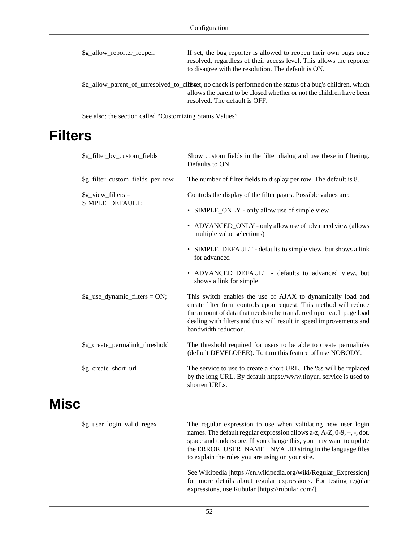| \$g_allow_reporter_reopen | If set, the bug reporter is allowed to reopen their own bugs once<br>resolved, regardless of their access level. This allows the reporter<br>to disagree with the resolution. The default is ON.                    |
|---------------------------|---------------------------------------------------------------------------------------------------------------------------------------------------------------------------------------------------------------------|
|                           | \$g_allow_parent_of_unresolved_to_clffsset, no check is performed on the status of a bug's children, which<br>allows the parent to be closed whether or not the children have been<br>resolved. The default is OFF. |

See also: [the section called "Customizing Status Values"](#page-93-0)

### **Filters**

| \$g_filter_by_custom_fields             | Show custom fields in the filter dialog and use these in filtering.<br>Defaults to ON.                                                                                                                                                                                                                 |
|-----------------------------------------|--------------------------------------------------------------------------------------------------------------------------------------------------------------------------------------------------------------------------------------------------------------------------------------------------------|
| \$g_filter_custom_fields_per_row        | The number of filter fields to display per row. The default is 8.                                                                                                                                                                                                                                      |
| $\g$ _view_filters =<br>SIMPLE_DEFAULT; | Controls the display of the filter pages. Possible values are:                                                                                                                                                                                                                                         |
|                                         | • SIMPLE_ONLY - only allow use of simple view                                                                                                                                                                                                                                                          |
|                                         | • ADVANCED_ONLY - only allow use of advanced view (allows<br>multiple value selections)                                                                                                                                                                                                                |
|                                         | • SIMPLE_DEFAULT - defaults to simple view, but shows a link<br>for advanced                                                                                                                                                                                                                           |
|                                         | • ADVANCED_DEFAULT - defaults to advanced view, but<br>shows a link for simple                                                                                                                                                                                                                         |
| $\g$ _use_dynamic_filters = ON;         | This switch enables the use of AJAX to dynamically load and<br>create filter form controls upon request. This method will reduce<br>the amount of data that needs to be transferred upon each page load<br>dealing with filters and thus will result in speed improvements and<br>bandwidth reduction. |
| \$g_create_permalink_threshold          | The threshold required for users to be able to create permalinks<br>(default DEVELOPER). To turn this feature off use NOBODY.                                                                                                                                                                          |
| \$g_create_short_url                    | The service to use to create a short URL. The %s will be replaced<br>by the long URL. By default https://www.tinyurl service is used to<br>shorten URLs.                                                                                                                                               |

## <span id="page-58-0"></span>**Misc**

| \$g_user_login_valid_regex | The regular expression to use when validating new user login<br>names. The default regular expression allows a-z, $A-Z$ , $0-9$ , $+$ , $-$ , dot,<br>space and underscore. If you change this, you may want to update<br>the ERROR_USER_NAME_INVALID string in the language files<br>to explain the rules you are using on your site. |
|----------------------------|----------------------------------------------------------------------------------------------------------------------------------------------------------------------------------------------------------------------------------------------------------------------------------------------------------------------------------------|
|                            | See Wikipedia [https://en.wikipedia.org/wiki/Regular_Expression]<br>for more details about regular expressions. For testing regular<br>expressions, use Rubular [https://rubular.com/].                                                                                                                                                |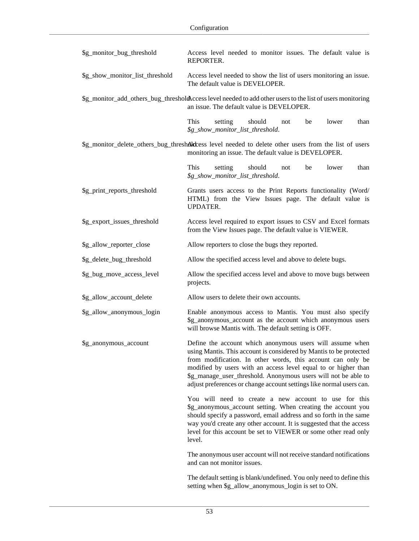| \$g_monitor_bug_threshold       | Access level needed to monitor issues. The default value is<br>REPORTER.                                                                                                                                                                                                                                                                                                                                   |
|---------------------------------|------------------------------------------------------------------------------------------------------------------------------------------------------------------------------------------------------------------------------------------------------------------------------------------------------------------------------------------------------------------------------------------------------------|
| \$g_show_monitor_list_threshold | Access level needed to show the list of users monitoring an issue.<br>The default value is DEVELOPER.                                                                                                                                                                                                                                                                                                      |
|                                 | \$g_monitor_add_others_bug_threshold\ccess level needed to add other users to the list of users monitoring<br>an issue. The default value is DEVELOPER.                                                                                                                                                                                                                                                    |
|                                 | This<br>setting<br>should<br>lower<br>be<br>than<br>not<br>\$g_show_monitor_list_threshold.                                                                                                                                                                                                                                                                                                                |
|                                 | \$g_monitor_delete_others_bug_threshAlckess level needed to delete other users from the list of users<br>monitoring an issue. The default value is DEVELOPER.                                                                                                                                                                                                                                              |
|                                 | This<br>should<br>lower<br>setting<br>be<br>than<br>not<br>\$g_show_monitor_list_threshold.                                                                                                                                                                                                                                                                                                                |
| \$g_print_reports_threshold     | Grants users access to the Print Reports functionality (Word/<br>HTML) from the View Issues page. The default value is<br><b>UPDATER.</b>                                                                                                                                                                                                                                                                  |
| \$g_export_issues_threshold     | Access level required to export issues to CSV and Excel formats<br>from the View Issues page. The default value is VIEWER.                                                                                                                                                                                                                                                                                 |
| \$g_allow_reporter_close        | Allow reporters to close the bugs they reported.                                                                                                                                                                                                                                                                                                                                                           |
| \$g_delete_bug_threshold        | Allow the specified access level and above to delete bugs.                                                                                                                                                                                                                                                                                                                                                 |
| \$g_bug_move_access_level       | Allow the specified access level and above to move bugs between<br>projects.                                                                                                                                                                                                                                                                                                                               |
| \$g_allow_account_delete        | Allow users to delete their own accounts.                                                                                                                                                                                                                                                                                                                                                                  |
| \$g_allow_anonymous_login       | Enable anonymous access to Mantis. You must also specify<br>\$g_anonymous_account as the account which anonymous users<br>will browse Mantis with. The default setting is OFF.                                                                                                                                                                                                                             |
| \$g_anonymous_account           | Define the account which anonymous users will assume when<br>using Mantis. This account is considered by Mantis to be protected<br>from modification. In other words, this account can only be<br>modified by users with an access level equal to or higher than<br>\$g_manage_user_threshold. Anonymous users will not be able to<br>adjust preferences or change account settings like normal users can. |
|                                 | You will need to create a new account to use for this<br>\$g_anonymous_account setting. When creating the account you<br>should specify a password, email address and so forth in the same<br>way you'd create any other account. It is suggested that the access<br>level for this account be set to VIEWER or some other read only<br>level.                                                             |
|                                 | The anonymous user account will not receive standard notifications<br>and can not monitor issues.                                                                                                                                                                                                                                                                                                          |
|                                 | The default setting is blank/undefined. You only need to define this                                                                                                                                                                                                                                                                                                                                       |

setting when \$g\_allow\_anonymous\_login is set to ON.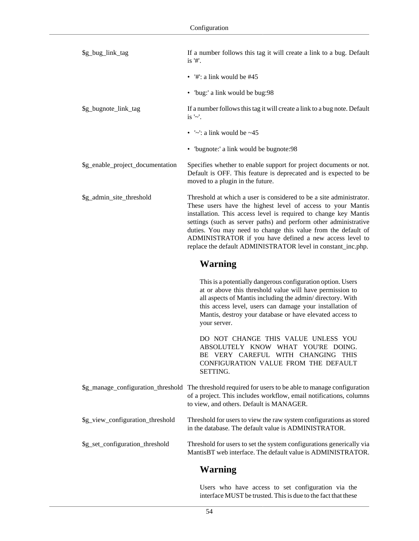| \$g_bug_link_tag                 | If a number follows this tag it will create a link to a bug. Default<br>is '#'.                                                                                                                                                                                                                                                                                                                                                                                        |
|----------------------------------|------------------------------------------------------------------------------------------------------------------------------------------------------------------------------------------------------------------------------------------------------------------------------------------------------------------------------------------------------------------------------------------------------------------------------------------------------------------------|
|                                  | • $\frac{44}{1}$ : a link would be #45                                                                                                                                                                                                                                                                                                                                                                                                                                 |
|                                  | • 'bug:' a link would be bug:98                                                                                                                                                                                                                                                                                                                                                                                                                                        |
| \$g_bugnote_link_tag             | If a number follows this tag it will create a link to a bug note. Default<br>is $'\sim'$ .                                                                                                                                                                                                                                                                                                                                                                             |
|                                  | • $\sim$ : a link would be $\sim$ 45                                                                                                                                                                                                                                                                                                                                                                                                                                   |
|                                  | • 'bugnote:' a link would be bugnote:98                                                                                                                                                                                                                                                                                                                                                                                                                                |
| \$g_enable_project_documentation | Specifies whether to enable support for project documents or not.<br>Default is OFF. This feature is deprecated and is expected to be<br>moved to a plugin in the future.                                                                                                                                                                                                                                                                                              |
| \$g_admin_site_threshold         | Threshold at which a user is considered to be a site administrator.<br>These users have the highest level of access to your Mantis<br>installation. This access level is required to change key Mantis<br>settings (such as server paths) and perform other administrative<br>duties. You may need to change this value from the default of<br>ADMINISTRATOR if you have defined a new access level to<br>replace the default ADMINISTRATOR level in constant_inc.php. |
|                                  |                                                                                                                                                                                                                                                                                                                                                                                                                                                                        |
|                                  | <b>Warning</b>                                                                                                                                                                                                                                                                                                                                                                                                                                                         |
|                                  | This is a potentially dangerous configuration option. Users<br>at or above this threshold value will have permission to<br>all aspects of Mantis including the admin/directory. With<br>this access level, users can damage your installation of<br>Mantis, destroy your database or have elevated access to<br>your server.                                                                                                                                           |
|                                  | DO NOT CHANGE THIS VALUE UNLESS YOU<br>ABSOLUTELY KNOW WHAT YOU'RE DOING.<br>BE VERY CAREFUL WITH CHANGING THIS<br>CONFIGURATION VALUE FROM THE DEFAULT<br>SETTING.                                                                                                                                                                                                                                                                                                    |
|                                  | \$g_manage_configuration_threshold The threshold required for users to be able to manage configuration<br>of a project. This includes workflow, email notifications, columns<br>to view, and others. Default is MANAGER.                                                                                                                                                                                                                                               |
| \$g_view_configuration_threshold | Threshold for users to view the raw system configurations as stored<br>in the database. The default value is ADMINISTRATOR.                                                                                                                                                                                                                                                                                                                                            |

#### **Warning**

Users who have access to set configuration via the interface MUST be trusted. This is due to the fact that these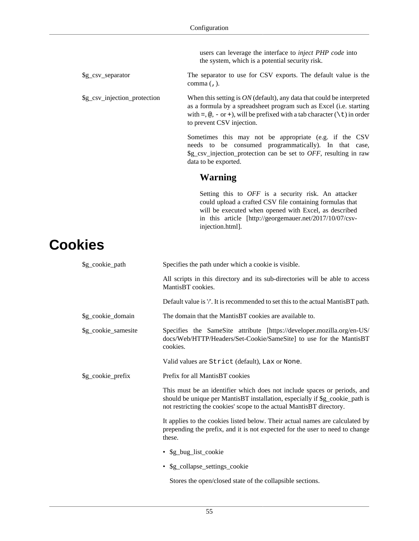users can leverage the interface to *inject PHP code* into the system, which is a potential security risk.

\$g\_csv\_separator The separator to use for CSV exports. The default value is the comma (,).

\$g\_csv\_injection\_protection When this setting is *ON* (default), any data that could be interpreted as a formula by a spreadsheet program such as Excel (i.e. starting with =,  $\textcircled{e}$ , - or +), will be prefixed with a tab character (\t) in order to prevent CSV injection.

> Sometimes this may not be appropriate (e.g. if the CSV needs to be consumed programmatically). In that case, \$g\_csv\_injection\_protection can be set to *OFF*, resulting in raw data to be exported.

#### **Warning**

Setting this to *OFF* is a security risk. An attacker could upload a crafted CSV file containing formulas that will be executed when opened with Excel, as described in [this article](http://georgemauer.net/2017/10/07/csv-injection.html) [\[http://georgemauer.net/2017/10/07/csv](http://georgemauer.net/2017/10/07/csv-injection.html)[injection.html\]](http://georgemauer.net/2017/10/07/csv-injection.html).

# **Cookies**

| \$g_cookie_path     | Specifies the path under which a cookie is visible.                                                                                                                                                                              |
|---------------------|----------------------------------------------------------------------------------------------------------------------------------------------------------------------------------------------------------------------------------|
|                     | All scripts in this directory and its sub-directories will be able to access<br>MantisBT cookies.                                                                                                                                |
|                     | Default value is $\prime\prime$ . It is recommended to set this to the actual MantisBT path.                                                                                                                                     |
| \$g_cookie_domain   | The domain that the MantisBT cookies are available to.                                                                                                                                                                           |
| \$g_cookie_samesite | Specifies the SameSite attribute [https://developer.mozilla.org/en-US/<br>docs/Web/HTTP/Headers/Set-Cookie/SameSite] to use for the MantisBT<br>cookies.                                                                         |
|                     | Valid values are Strict (default), Lax or None.                                                                                                                                                                                  |
| \$g_cookie_prefix   | Prefix for all MantisBT cookies                                                                                                                                                                                                  |
|                     | This must be an identifier which does not include spaces or periods, and<br>should be unique per MantisBT installation, especially if \$g_cookie_path is<br>not restricting the cookies' scope to the actual MantisBT directory. |
|                     | It applies to the cookies listed below. Their actual names are calculated by<br>prepending the prefix, and it is not expected for the user to need to change<br>these.                                                           |
|                     | • \$g_bug_list_cookie                                                                                                                                                                                                            |
|                     | • \$g_collapse_settings_cookie                                                                                                                                                                                                   |
|                     | Stores the open/closed state of the collapsible sections.                                                                                                                                                                        |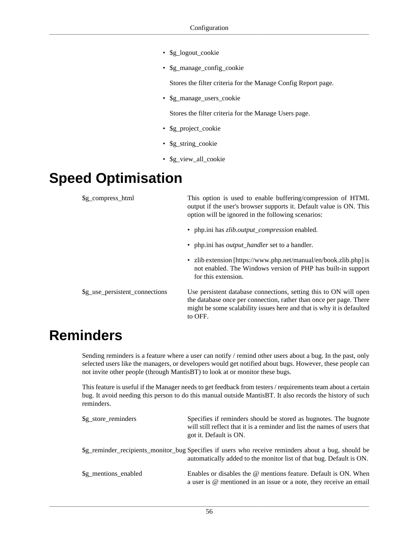- \$g\_logout\_cookie
- \$g\_manage\_config\_cookie

Stores the filter criteria for the Manage Config Report page.

• \$g\_manage\_users\_cookie

Stores the filter criteria for the Manage Users page.

- \$g\_project\_cookie
- \$g\_string\_cookie
- \$g\_view\_all\_cookie

# **Speed Optimisation**

| \$g_compress_html              | This option is used to enable buffering/compression of HTML<br>output if the user's browser supports it. Default value is ON. This<br>option will be ignored in the following scenarios:                                    |
|--------------------------------|-----------------------------------------------------------------------------------------------------------------------------------------------------------------------------------------------------------------------------|
|                                | • php.ini has <i>zlib.output_compression</i> enabled.                                                                                                                                                                       |
|                                | • php.ini has <i>output_handler</i> set to a handler.                                                                                                                                                                       |
|                                | • zlib extension [https://www.php.net/manual/en/book.zlib.php] is<br>not enabled. The Windows version of PHP has built-in support<br>for this extension.                                                                    |
| \$g_use_persistent_connections | Use persistent database connections, setting this to ON will open<br>the database once per connection, rather than once per page. There<br>might be some scalability issues here and that is why it is defaulted<br>to OFF. |

## **Reminders**

Sending reminders is a feature where a user can notify / remind other users about a bug. In the past, only selected users like the managers, or developers would get notified about bugs. However, these people can not invite other people (through MantisBT) to look at or monitor these bugs.

This feature is useful if the Manager needs to get feedback from testers / requirements team about a certain bug. It avoid needing this person to do this manual outside MantisBT. It also records the history of such reminders.

| \$g_store_reminders | Specifies if reminders should be stored as bugnotes. The bugnote<br>will still reflect that it is a reminder and list the names of users that<br>got it. Default is ON.    |
|---------------------|----------------------------------------------------------------------------------------------------------------------------------------------------------------------------|
|                     | \$g_reminder_recipients_monitor_bug Specifies if users who receive reminders about a bug, should be<br>automatically added to the monitor list of that bug. Default is ON. |
| Sg mentions enabled | Enables or disables the @ mentions feature. Default is ON. When<br>a user is @ mentioned in an issue or a note, they receive an email                                      |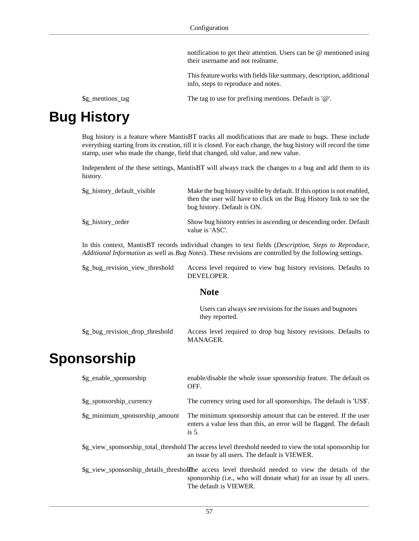notification to get their attention. Users can be @ mentioned using their username and not realname.

This feature works with fields like summary, description, additional info, steps to reproduce and notes.

\$g\_mentions\_tag The tag to use for prefixing mentions. Default is '@'.

# **Bug History**

Bug history is a feature where MantisBT tracks all modifications that are made to bugs. These include everything starting from its creation, till it is closed. For each change, the bug history will record the time stamp, user who made the change, field that changed, old value, and new value.

Independent of the these settings, MantisBT will always track the changes to a bug and add them to its history.

| \$g_history_default_visible                                                                                                                                                                                                       | Make the bug history visible by default. If this option is not enabled,<br>then the user will have to click on the Bug History link to see the<br>bug history. Default is ON. |  |
|-----------------------------------------------------------------------------------------------------------------------------------------------------------------------------------------------------------------------------------|-------------------------------------------------------------------------------------------------------------------------------------------------------------------------------|--|
| \$g_history_order                                                                                                                                                                                                                 | Show bug history entries in ascending or descending order. Default<br>value is 'ASC'.                                                                                         |  |
| In this context, MantisBT records individual changes to text fields ( <i>Description</i> , <i>Steps to Reproduce</i> ,<br>Additional Information as well as Bug Notes). These revisions are controlled by the following settings. |                                                                                                                                                                               |  |
| \$g_bug_revision_view_threshold                                                                                                                                                                                                   | Access level required to view bug history revisions. Defaults to<br>DEVELOPER.                                                                                                |  |
| Note                                                                                                                                                                                                                              |                                                                                                                                                                               |  |

#### **Note**

|                                 | Users can always see revisions for the issues and bugnotes<br>they reported. |
|---------------------------------|------------------------------------------------------------------------------|
| \$g_bug_revision_drop_threshold | Access level required to drop bug history revisions. Defaults to<br>MANAGER. |

### **Sponsorship**

| \$g_enable_sponsorship                                                                                                                                   | enable/disable the whole issue sponsorship feature. The default os<br>OFF.                                                                                                                              |  |
|----------------------------------------------------------------------------------------------------------------------------------------------------------|---------------------------------------------------------------------------------------------------------------------------------------------------------------------------------------------------------|--|
| \$g_sponsorship_currency                                                                                                                                 | The currency string used for all sponsorships. The default is 'US\$'.                                                                                                                                   |  |
| \$g_minimum_sponsorship_amount                                                                                                                           | The minimum sponsorship amount that can be entered. If the user<br>enters a value less than this, an error will be flagged. The default<br>is $5$ .                                                     |  |
| So view sponsorship total threshold The access level threshold needed to view the total sponsorship for<br>an issue by all users. The default is VIEWER. |                                                                                                                                                                                                         |  |
|                                                                                                                                                          | \$g_view_sponsorship_details_threshold header access level threshold needed to view the details of the<br>sponsorship (i.e., who will donate what) for an issue by all users.<br>The default is VIEWER. |  |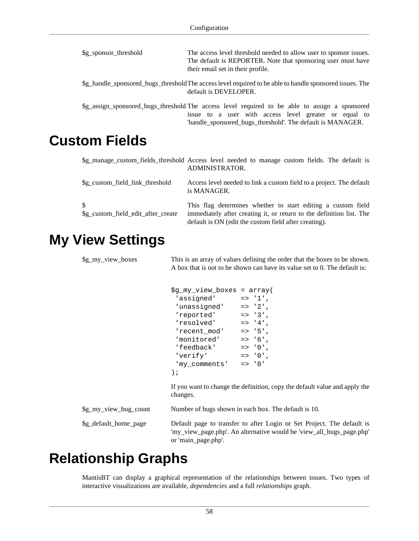| \$g_sponsor_threshold           | The access level threshold needed to allow user to sponsor issues.<br>The default is REPORTER. Note that sponsoring user must have<br>their email set in their profile.                                               |
|---------------------------------|-----------------------------------------------------------------------------------------------------------------------------------------------------------------------------------------------------------------------|
|                                 | \$g_handle_sponsored_bugs_thresholdThe access level required to be able to handle sponsored issues. The<br>default is DEVELOPER.                                                                                      |
|                                 | \$g_assign_sponsored_bugs_threshold The access level required to be able to assign a sponsored<br>issue to a user with access level greater or equal to<br>'handle_sponsored_bugs_threshold'. The default is MANAGER. |
| <b>Custom Fields</b>            |                                                                                                                                                                                                                       |
|                                 | \$g_manage_custom_fields_threshold Access level needed to manage custom fields. The default is<br>ADMINISTRATOR.                                                                                                      |
| \$g_custom_field_link_threshold | Access level needed to link a custom field to a project. The default<br>is MANAGER.                                                                                                                                   |

\$g\_custom\_field\_edit\_after\_create This flag determines whether to start editing a custom field immediately after creating it, or return to the definition list. The default is ON (edit the custom field after creating).

#### **My View Settings**

\$

\$g\_my\_view\_boxes This is an array of values defining the order that the boxes to be shown. A box that is not to be shown can have its value set to 0. The default is:

```
$g_my_view_boxes = array(
 'assigned' => '1',
  'unassigned' => '2',
  'reported' => '3',
 'resolved' => '4',
 'recent_model' => '5',<br>'monitored' => '6',
 'monitored'
 'feedback' => '0',
 'verify' \qquad \qquad \Rightarrow \qquad 0 \qquad , 'my_comments' => '0'
);
```
If you want to change the definition, copy the default value and apply the changes.

\$g\_my\_view\_bug\_count Number of bugs shown in each box. The default is 10.

\$g\_default\_home\_page Default page to transfer to after Login or Set Project. The default is 'my\_view\_page.php'. An alternative would be 'view\_all\_bugs\_page.php' or 'main\_page.php'.

### **Relationship Graphs**

MantisBT can display a graphical representation of the relationships between issues. Two types of interactive visualizations are available, *dependencies* and a full *relationships* graph.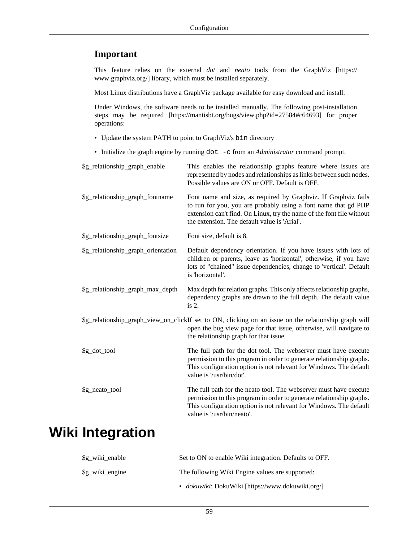#### **Important**

This feature relies on the external *dot* and *neato* tools from the [GraphViz \[https://](https://www.graphviz.org/) [www.graphviz.org/\]](https://www.graphviz.org/) library, which must be installed separately.

Most Linux distributions have a GraphViz package available for easy download and install.

Under Windows, the software needs to be installed manually. The following post-installation steps [may be required](https://mantisbt.org/bugs/view.php?id=27584#c64693) [[https://mantisbt.org/bugs/view.php?id=27584#c64693\]](https://mantisbt.org/bugs/view.php?id=27584#c64693) for proper operations:

- Update the system PATH to point to GraphViz's bin directory
- Initialize the graph engine by running dot -c from an *Administrator* command prompt.

| \$g_relationship_graph_enable      | This enables the relationship graphs feature where issues are<br>represented by nodes and relationships as links between such nodes.<br>Possible values are ON or OFF. Default is OFF.                                                                    |
|------------------------------------|-----------------------------------------------------------------------------------------------------------------------------------------------------------------------------------------------------------------------------------------------------------|
| \$g_relationship_graph_fontname    | Font name and size, as required by Graphviz. If Graphviz fails<br>to run for you, you are probably using a font name that gd PHP<br>extension can't find. On Linux, try the name of the font file without<br>the extension. The default value is 'Arial'. |
| \$g_relationship_graph_fontsize    | Font size, default is 8.                                                                                                                                                                                                                                  |
| \$g_relationship_graph_orientation | Default dependency orientation. If you have issues with lots of<br>children or parents, leave as 'horizontal', otherwise, if you have<br>lots of "chained" issue dependencies, change to 'vertical'. Default<br>is 'horizontal'.                          |
| \$g_relationship_graph_max_depth   | Max depth for relation graphs. This only affects relationship graphs,<br>dependency graphs are drawn to the full depth. The default value<br>is $2$ .                                                                                                     |
|                                    | \$g_relationship_graph_view_on_clickIf set to ON, clicking on an issue on the relationship graph will<br>open the bug view page for that issue, otherwise, will navigate to<br>the relationship graph for that issue.                                     |
| \$g_dot_tool                       | The full path for the dot tool. The webserver must have execute<br>permission to this program in order to generate relationship graphs.<br>This configuration option is not relevant for Windows. The default<br>value is '/usr/bin/dot'.                 |
| \$g_neato_tool                     | The full path for the neato tool. The webserver must have execute<br>permission to this program in order to generate relationship graphs.<br>This configuration option is not relevant for Windows. The default<br>value is '/usr/bin/neato'.             |
|                                    |                                                                                                                                                                                                                                                           |

## **Wiki Integration**

| \$g_wiki_enable | Set to ON to enable Wiki integration. Defaults to OFF. |
|-----------------|--------------------------------------------------------|
| \$g wiki engine | The following Wiki Engine values are supported:        |
|                 | • dokuwiki: DokuWiki [https://www.dokuwiki.org/]       |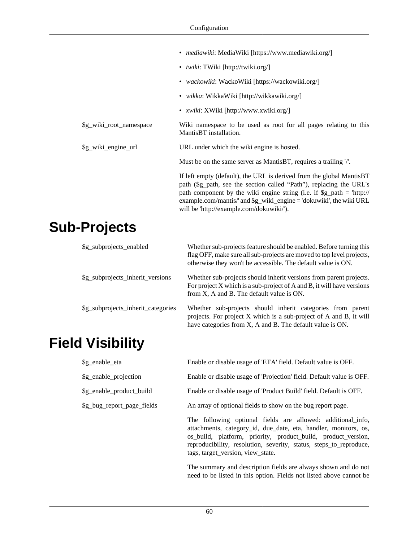|                         | • <i>mediawiki</i> : MediaWiki [https://www.mediawiki.org/]                                                                                                                                                                                                                                                                                            |
|-------------------------|--------------------------------------------------------------------------------------------------------------------------------------------------------------------------------------------------------------------------------------------------------------------------------------------------------------------------------------------------------|
|                         | • <i>twiki</i> : TWiki [http://twiki.org/]                                                                                                                                                                                                                                                                                                             |
|                         | • <i>wackowiki</i> : WackoWiki [https://wackowiki.org/]                                                                                                                                                                                                                                                                                                |
|                         | • <i>wikka</i> : WikkaWiki [http://wikkawiki.org/]                                                                                                                                                                                                                                                                                                     |
|                         | • <i>xwiki</i> : XWiki [http://www.xwiki.org/]                                                                                                                                                                                                                                                                                                         |
| \$g_wiki_root_namespace | Wiki namespace to be used as root for all pages relating to this<br>MantisBT installation.                                                                                                                                                                                                                                                             |
| \$g_wiki_engine_url     | URL under which the wiki engine is hosted.                                                                                                                                                                                                                                                                                                             |
|                         | Must be on the same server as MantisBT, requires a trailing $\mathcal{V}$ .                                                                                                                                                                                                                                                                            |
|                         | If left empty (default), the URL is derived from the global MantisBT<br>path (\$g_path, see the section called "Path"), replacing the URL's<br>path component by the wiki engine string (i.e. if $\gtrsim$ path = 'http://<br>example.com/mantis/ $'$ and $\gtrsim$ wiki_engine = 'dokuwiki', the wiki URL<br>will be 'http://example.com/dokuwiki/'). |

### **Sub-Projects**

| \$g_subprojects_enabled            | Whether sub-projects feature should be enabled. Before turning this<br>flag OFF, make sure all sub-projects are moved to top level projects,<br>otherwise they won't be accessible. The default value is ON. |
|------------------------------------|--------------------------------------------------------------------------------------------------------------------------------------------------------------------------------------------------------------|
| \$g_subprojects_inherit_versions   | Whether sub-projects should inherit versions from parent projects.<br>For project $X$ which is a sub-project of $A$ and $B$ , it will have versions<br>from X, A and B. The default value is ON.             |
| \$g_subprojects_inherit_categories | Whether sub-projects should inherit categories from parent<br>projects. For project X which is a sub-project of A and B, it will<br>have categories from X, A and B. The default value is ON.                |

# **Field Visibility**

| \$g_enable_eta             | Enable or disable usage of 'ETA' field. Default value is OFF.                                                                  |  |
|----------------------------|--------------------------------------------------------------------------------------------------------------------------------|--|
| \$g_enable_projection      | Enable or disable usage of 'Projection' field. Default value is OFF.                                                           |  |
| \$g_enable_product_build   | Enable or disable usage of 'Product Build' field. Default is OFF.                                                              |  |
| \$g_bug_report_page_fields | An array of optional fields to show on the bug report page.                                                                    |  |
|                            | The following optional fields are allowed: additional info,<br>attachments, category_id, due_date, eta, handler, monitors, os, |  |

os\_build, platform, priority, product\_build, product\_version, reproducibility, resolution, severity, status, steps\_to\_reproduce, tags, target\_version, view\_state.

The summary and description fields are always shown and do not need to be listed in this option. Fields not listed above cannot be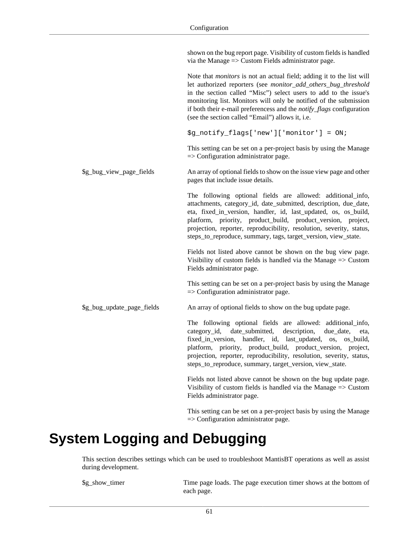shown on the bug report page. Visibility of custom fields is handled via the Manage => Custom Fields administrator page.

Note that *monitors* is not an actual field; adding it to the list will let authorized reporters (see *monitor\_add\_others\_bug\_threshold* in [the section called "Misc"](#page-58-0)) select users to add to the issue's monitoring list. Monitors will only be notified of the submission if both their e-mail preferencess and the *notify\_flags* configuration (see [the section called "Email"](#page-34-0)) allows it, i.e. \$g\_notify\_flags['new']['monitor'] = ON; This setting can be set on a per-project basis by using the Manage => Configuration administrator page. \$g\_bug\_view\_page\_fields An array of optional fields to show on the issue view page and other pages that include issue details. The following optional fields are allowed: additional\_info, attachments, category id, date submitted, description, due date, eta, fixed\_in\_version, handler, id, last\_updated, os, os\_build, platform, priority, product\_build, product\_version, project, projection, reporter, reproducibility, resolution, severity, status, steps\_to\_reproduce, summary, tags, target\_version, view\_state. Fields not listed above cannot be shown on the bug view page. Visibility of custom fields is handled via the Manage => Custom Fields administrator page. This setting can be set on a per-project basis by using the Manage  $\Rightarrow$  Configuration administrator page. \$g\_bug\_update\_page\_fields An array of optional fields to show on the bug update page. The following optional fields are allowed: additional\_info, category\_id, date\_submitted, description, due\_date, eta, fixed\_in\_version, handler, id, last\_updated, os, os\_build, platform, priority, product\_build, product\_version, project, projection, reporter, reproducibility, resolution, severity, status, steps\_to\_reproduce, summary, target\_version, view\_state. Fields not listed above cannot be shown on the bug update page.

Visibility of custom fields is handled via the Manage  $\Rightarrow$  Custom Fields administrator page.

This setting can be set on a per-project basis by using the Manage => Configuration administrator page.

### **System Logging and Debugging**

This section describes settings which can be used to troubleshoot MantisBT operations as well as assist during development.

\$g\_show\_timer Time page loads. The page execution timer shows at the bottom of each page.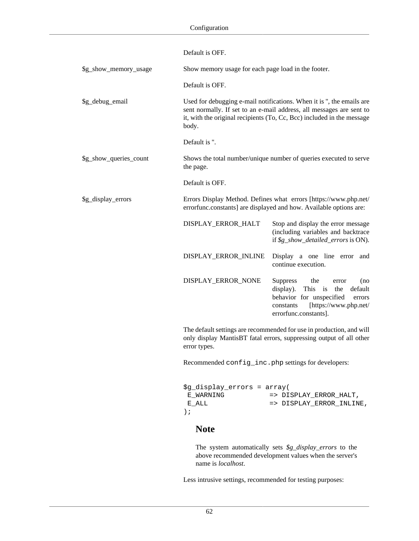|                        | Default is OFF.                                                                                                                                                                                                                  |                                                                                                                                                                                       |
|------------------------|----------------------------------------------------------------------------------------------------------------------------------------------------------------------------------------------------------------------------------|---------------------------------------------------------------------------------------------------------------------------------------------------------------------------------------|
| \$g_show_memory_usage  | Show memory usage for each page load in the footer.                                                                                                                                                                              |                                                                                                                                                                                       |
|                        | Default is OFF.                                                                                                                                                                                                                  |                                                                                                                                                                                       |
| \$g_debug_email        | Used for debugging e-mail notifications. When it is ", the emails are<br>sent normally. If set to an e-mail address, all messages are sent to<br>it, with the original recipients (To, Cc, Bcc) included in the message<br>body. |                                                                                                                                                                                       |
|                        | Default is ".                                                                                                                                                                                                                    |                                                                                                                                                                                       |
| \$g_show_queries_count | the page.                                                                                                                                                                                                                        | Shows the total number/unique number of queries executed to serve                                                                                                                     |
|                        | Default is OFF.                                                                                                                                                                                                                  |                                                                                                                                                                                       |
| \$g_display_errors     | Errors Display Method. Defines what errors [https://www.php.net/<br>errorfunc.constants] are displayed and how. Available options are:                                                                                           |                                                                                                                                                                                       |
|                        | DISPLAY_ERROR_HALT                                                                                                                                                                                                               | Stop and display the error message<br>(including variables and backtrace<br>if \$g_show_detailed_errors is ON).                                                                       |
|                        | DISPLAY_ERROR_INLINE                                                                                                                                                                                                             | Display a one line error<br>and<br>continue execution.                                                                                                                                |
|                        | DISPLAY_ERROR_NONE                                                                                                                                                                                                               | <b>Suppress</b><br>the<br>(no<br>error<br>This is<br>display).<br>the<br>default<br>behavior for unspecified<br>errors<br>[https://www.php.net/<br>constants<br>errorfunc.constants]. |
|                        | The default settings are recommended for use in production, and will<br>only display MantisBT fatal errors, suppressing output of all other<br>error types.                                                                      |                                                                                                                                                                                       |
|                        | Recommended config_inc.php settings for developers:                                                                                                                                                                              |                                                                                                                                                                                       |
|                        | \$g_display_errors = array(<br>E WARNING<br>E ALL<br>$\rightarrow$ ;<br><b>Note</b>                                                                                                                                              | => DISPLAY_ERROR_HALT,<br>=> DISPLAY_ERROR_INLINE,                                                                                                                                    |
|                        |                                                                                                                                                                                                                                  |                                                                                                                                                                                       |

The system automatically sets *\$g\_display\_errors* to the above recommended development values when the server's name is *localhost*.

Less intrusive settings, recommended for testing purposes: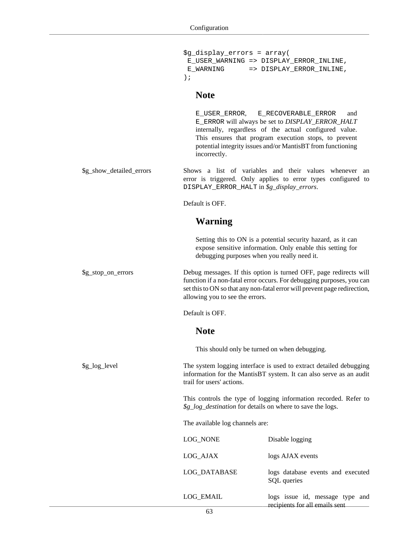|                          | \$g_display_errors = array(<br>E WARNING<br>$\rightarrow$ ;                                                                                                                                                                                                | E_USER_WARNING => DISPLAY_ERROR_INLINE,<br>=> DISPLAY ERROR INLINE,                                                                                                                                                                                              |
|--------------------------|------------------------------------------------------------------------------------------------------------------------------------------------------------------------------------------------------------------------------------------------------------|------------------------------------------------------------------------------------------------------------------------------------------------------------------------------------------------------------------------------------------------------------------|
|                          | <b>Note</b>                                                                                                                                                                                                                                                |                                                                                                                                                                                                                                                                  |
|                          | E USER ERROR,<br>incorrectly.                                                                                                                                                                                                                              | E_RECOVERABLE_ERROR<br>and<br>E_ERROR will always be set to DISPLAY_ERROR_HALT<br>internally, regardless of the actual configured value.<br>This ensures that program execution stops, to prevent<br>potential integrity issues and/or MantisBT from functioning |
| \$g_show_detailed_errors | DISPLAY_ERROR_HALT in \$g_display_errors.                                                                                                                                                                                                                  | Shows a list of variables and their values whenever an<br>error is triggered. Only applies to error types configured to                                                                                                                                          |
|                          | Default is OFF.                                                                                                                                                                                                                                            |                                                                                                                                                                                                                                                                  |
|                          | <b>Warning</b>                                                                                                                                                                                                                                             |                                                                                                                                                                                                                                                                  |
|                          | debugging purposes when you really need it.                                                                                                                                                                                                                | Setting this to ON is a potential security hazard, as it can<br>expose sensitive information. Only enable this setting for                                                                                                                                       |
| \$g_stop_on_errors       | Debug messages. If this option is turned OFF, page redirects will<br>function if a non-fatal error occurs. For debugging purposes, you can<br>set this to ON so that any non-fatal error will prevent page redirection,<br>allowing you to see the errors. |                                                                                                                                                                                                                                                                  |
|                          | Default is OFF.                                                                                                                                                                                                                                            |                                                                                                                                                                                                                                                                  |
|                          | <b>Note</b>                                                                                                                                                                                                                                                |                                                                                                                                                                                                                                                                  |
|                          | This should only be turned on when debugging.                                                                                                                                                                                                              |                                                                                                                                                                                                                                                                  |
| \$g_log_level            | trail for users' actions.                                                                                                                                                                                                                                  | The system logging interface is used to extract detailed debugging<br>information for the MantisBT system. It can also serve as an audit                                                                                                                         |
|                          | \$g_log_destination for details on where to save the logs.                                                                                                                                                                                                 | This controls the type of logging information recorded. Refer to                                                                                                                                                                                                 |
|                          | The available log channels are:                                                                                                                                                                                                                            |                                                                                                                                                                                                                                                                  |
|                          | LOG_NONE                                                                                                                                                                                                                                                   | Disable logging                                                                                                                                                                                                                                                  |
|                          | LOG_AJAX                                                                                                                                                                                                                                                   | logs AJAX events                                                                                                                                                                                                                                                 |
|                          | LOG_DATABASE                                                                                                                                                                                                                                               | logs database events and executed<br>SQL queries                                                                                                                                                                                                                 |
|                          | LOG_EMAIL                                                                                                                                                                                                                                                  | logs issue id, message type and<br>recipients for all emails sent                                                                                                                                                                                                |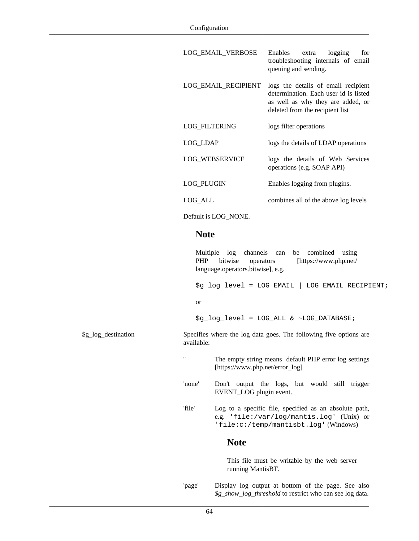LOG\_EMAIL\_VERBOSE Enables extra logging for

|                     |                   |                                                                                        | troubleshooting internals of email<br>queuing and sending.                                                                                           |
|---------------------|-------------------|----------------------------------------------------------------------------------------|------------------------------------------------------------------------------------------------------------------------------------------------------|
|                     |                   | LOG_EMAIL_RECIPIENT                                                                    | logs the details of email recipient<br>determination. Each user id is listed<br>as well as why they are added, or<br>deleted from the recipient list |
|                     |                   | LOG_FILTERING                                                                          | logs filter operations                                                                                                                               |
|                     | LOG_LDAP          |                                                                                        | logs the details of LDAP operations                                                                                                                  |
|                     |                   | LOG_WEBSERVICE                                                                         | logs the details of Web Services<br>operations (e.g. SOAP API)                                                                                       |
|                     | LOG_PLUGIN        |                                                                                        | Enables logging from plugins.                                                                                                                        |
|                     | LOG_ALL           |                                                                                        | combines all of the above log levels                                                                                                                 |
|                     |                   | Default is LOG_NONE.                                                                   |                                                                                                                                                      |
|                     | <b>Note</b>       |                                                                                        |                                                                                                                                                      |
|                     | <b>PHP</b>        | Multiple log channels can<br>bitwise<br>operators<br>language.operators.bitwise], e.g. | combined<br>be<br>using<br>[https://www.php.net/<br>$\ng\log\level = LOG\_EMAIL$   LOG_EMAIL_RECIPIENT;                                              |
|                     | or                |                                                                                        |                                                                                                                                                      |
|                     |                   |                                                                                        | $\ng\log\level = LOG\_ALL < \sim LOG\_DATABASE$                                                                                                      |
| \$g_log_destination | available:        |                                                                                        | Specifies where the log data goes. The following five options are                                                                                    |
|                     | $^{\prime\prime}$ | [https://www.php.net/error_log]                                                        | The empty string means default PHP error log settings                                                                                                |
|                     | 'none'            | EVENT_LOG plugin event.                                                                | Don't output the logs, but would still trigger                                                                                                       |
|                     | 'file'            |                                                                                        | Log to a specific file, specified as an absolute path,<br>e.g. 'file:/var/log/mantis.log' (Unix) or<br>'file:c:/temp/mantisbt.log' (Windows)         |
|                     |                   | <b>Note</b>                                                                            |                                                                                                                                                      |
|                     |                   | running MantisBT.                                                                      | This file must be writable by the web server                                                                                                         |
|                     | 'page'            |                                                                                        | Display log output at bottom of the page. See also<br>\$g_show_log_threshold to restrict who can see log data.                                       |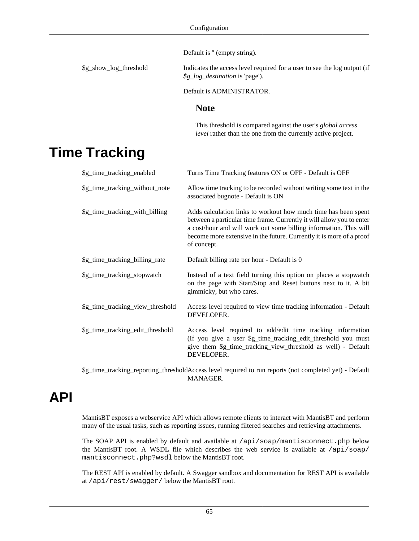Default is " (empty string).

\$g\_show\_log\_threshold Indicates the access level required for a user to see the log output (if *\$g\_log\_destination* is 'page').

Default is ADMINISTRATOR.

#### **Note**

This threshold is compared against the user's *global access level* rather than the one from the currently active project.

## **Time Tracking**

| \$g_time_tracking_enabled                                                                               | Turns Time Tracking features ON or OFF - Default is OFF                                                                                                                                                                                                                                             |  |
|---------------------------------------------------------------------------------------------------------|-----------------------------------------------------------------------------------------------------------------------------------------------------------------------------------------------------------------------------------------------------------------------------------------------------|--|
| \$g_time_tracking_without_note                                                                          | Allow time tracking to be recorded without writing some text in the<br>associated bugnote - Default is ON                                                                                                                                                                                           |  |
| \$g_time_tracking_with_billing                                                                          | Adds calculation links to workout how much time has been spent<br>between a particular time frame. Currently it will allow you to enter<br>a cost/hour and will work out some billing information. This will<br>become more extensive in the future. Currently it is more of a proof<br>of concept. |  |
| \$g_time_tracking_billing_rate                                                                          | Default billing rate per hour - Default is 0                                                                                                                                                                                                                                                        |  |
| \$g_time_tracking_stopwatch                                                                             | Instead of a text field turning this option on places a stopwatch<br>on the page with Start/Stop and Reset buttons next to it. A bit<br>gimmicky, but who cares.                                                                                                                                    |  |
| \$g_time_tracking_view_threshold                                                                        | Access level required to view time tracking information - Default<br>DEVELOPER.                                                                                                                                                                                                                     |  |
| \$g_time_tracking_edit_threshold                                                                        | Access level required to add/edit time tracking information<br>(If you give a user \$g_time_tracking_edit_threshold you must<br>give them \$g_time_tracking_view_threshold as well) - Default<br>DEVELOPER.                                                                                         |  |
| \$g_time_tracking_reporting_thresholdAccess level required to run reports (not completed yet) - Default |                                                                                                                                                                                                                                                                                                     |  |

MANAGER.

# **API**

MantisBT exposes a webservice API which allows remote clients to interact with MantisBT and perform many of the usual tasks, such as reporting issues, running filtered searches and retrieving attachments.

The SOAP API is enabled by default and available at /api/soap/mantisconnect.php below the MantisBT root. A WSDL file which describes the web service is available at /api/soap/ mantisconnect.php?wsdl below the MantisBT root.

The REST API is enabled by default. A Swagger sandbox and documentation for REST API is available at /api/rest/swagger/ below the MantisBT root.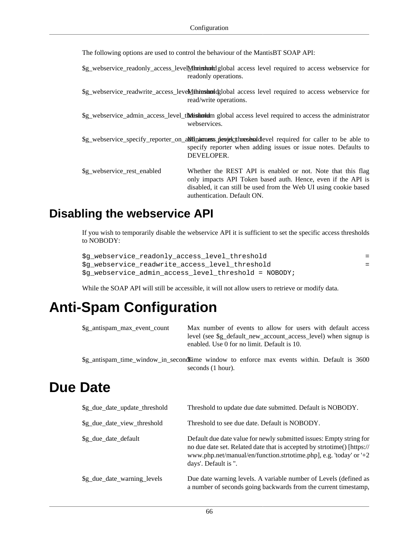The following options are used to control the behaviour of the MantisBT SOAP API:

\$g\_webservice\_readonly\_access\_levelMinimum global access level required to access webservice for readonly operations.

\$g\_webservice\_readwrite\_access\_levelMitimum diglobal access level required to access webservice for read/write operations.

\$g\_webservice\_admin\_access\_level\_threshold m global access level required to access the administrator webservices.

\$g\_webservice\_specify\_reporter\_on\_aldinium ess\_devel\_threshold evel required for caller to be able to specify reporter when adding issues or issue notes. Defaults to DEVELOPER.

```
$g_webservice_rest_enabled Whether the REST API is enabled or not. Note that this flag
                                  only impacts API Token based auth. Hence, even if the API is
                                  disabled, it can still be used from the Web UI using cookie based
                                  authentication. Default ON.
```
### **Disabling the webservice API**

If you wish to temporarily disable the webservice API it is sufficient to set the specific access thresholds to NOBODY:

```
$g_webservice_readonly_access_level_threshold =
$g_webservice_readwrite_access_level_threshold =
$g_webservice_admin_access_level_threshold = NOBODY;
```
While the SOAP API will still be accessible, it will not allow users to retrieve or modify data.

seconds (1 hour).

## **Anti-Spam Configuration**

| \$g_antispam_max_event_count | Max number of events to allow for users with default access                                 |
|------------------------------|---------------------------------------------------------------------------------------------|
|                              | level (see \$g_default_new_account_access_level) when signup is                             |
|                              | enabled. Use 0 for no limit. Default is 10.                                                 |
|                              | \$g_antispam_time_window_in_secondsime_window_to_enforce_max_events_within. Default_is_3600 |

## **Due Date**

| \$g_due_date_update_threshold | Threshold to update due date submitted. Default is NOBODY.                                                                                                                                                                                   |  |
|-------------------------------|----------------------------------------------------------------------------------------------------------------------------------------------------------------------------------------------------------------------------------------------|--|
| \$g_due_date_view_threshold   | Threshold to see due date. Default is NOBODY.                                                                                                                                                                                                |  |
| \$g_due_date_default          | Default due date value for newly submitted issues: Empty string for<br>no due date set. Related date that is accepted by strtotime() [https://<br>www.php.net/manual/en/function.strtotime.php], e.g. 'today' or '+2<br>days'. Default is ". |  |
| \$g_due_date_warning_levels   | Due date warning levels. A variable number of Levels (defined as<br>a number of seconds going backwards from the current timestamp,                                                                                                          |  |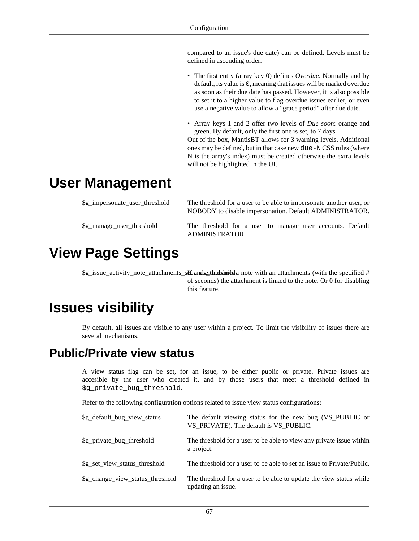compared to an issue's due date) can be defined. Levels must be defined in ascending order.

- The first entry (array key 0) defines *Overdue*. Normally and by default, its value is 0, meaning that issues will be marked overdue as soon as their due date has passed. However, it is also possible to set it to a higher value to flag overdue issues earlier, or even use a negative value to allow a "grace period" after due date.
- Array keys 1 and 2 offer two levels of *Due soon*: orange and green. By default, only the first one is set, to 7 days. Out of the box, MantisBT allows for 3 warning levels. Additional

ones may be defined, but in that case new due-N CSS rules (where N is the array's index) must be created otherwise the extra levels will not be highlighted in the UI.

## **User Management**

| \$g_impersonate_user_threshold | The threshold for a user to be able to impersonate another user, or<br>NOBODY to disable impersonation. Default ADMINISTRATOR. |
|--------------------------------|--------------------------------------------------------------------------------------------------------------------------------|
| \$g_manage_user_threshold      | The threshold for a user to manage user accounts. Default<br>ADMINISTRATOR.                                                    |

## **View Page Settings**

 $\mathcal{S}g$  issue activity note attachments seconds the submitsed a note with an attachments (with the specified  $\#$ of seconds) the attachment is linked to the note. Or 0 for disabling this feature.

## **Issues visibility**

By default, all issues are visible to any user within a project. To limit the visibility of issues there are several mechanisms.

### **Public/Private view status**

A view status flag can be set, for an issue, to be either public or private. Private issues are accesible by the user who created it, and by those users that meet a threshold defined in \$g\_private\_bug\_threshold.

Refer to the following configuration options related to issue view status configurations:

| \$g_default_bug_view_status      | The default viewing status for the new bug (VS_PUBLIC or<br>VS PRIVATE). The default is VS PUBLIC. |
|----------------------------------|----------------------------------------------------------------------------------------------------|
| \$g_private_bug_threshold        | The threshold for a user to be able to view any private issue within<br>a project.                 |
| \$g_set_view_status_threshold    | The threshold for a user to be able to set an issue to Private/Public.                             |
| \$g_change_view_status_threshold | The threshold for a user to be able to update the view status while<br>updating an issue.          |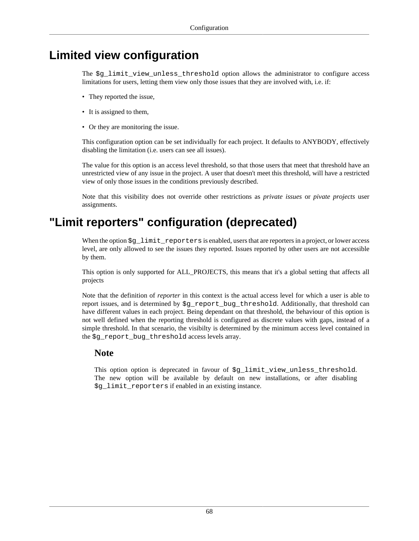### **Limited view configuration**

The  $\zeta$ q limit view unless threshold option allows the administrator to configure access limitations for users, letting them view only those issues that they are involved with, i.e. if:

- They reported the issue,
- It is assigned to them,
- Or they are monitoring the issue.

This configuration option can be set individually for each project. It defaults to ANYBODY, effectively disabling the limitation (i.e. users can see all issues).

The value for this option is an access level threshold, so that those users that meet that threshold have an unrestricted view of any issue in the project. A user that doesn't meet this threshold, will have a restricted view of only those issues in the conditions previously described.

Note that this visibility does not override other restrictions as *private issues* or *pivate projects* user assignments.

### **"Limit reporters" configuration (deprecated)**

When the option  $\Sg$  limit reporters is enabled, users that are reporters in a project, or lower access level, are only allowed to see the issues they reported. Issues reported by other users are not accessible by them.

This option is only supported for ALL\_PROJECTS, this means that it's a global setting that affects all projects

Note that the definition of *reporter* in this context is the actual access level for which a user is able to report issues, and is determined by \$g\_report\_bug\_threshold. Additionally, that threshold can have different values in each project. Being dependant on that threshold, the behaviour of this option is not well defined when the reporting threshold is configured as discrete values with gaps, instead of a simple threshold. In that scenario, the visibilty is determined by the minimum access level contained in the \$g\_report\_bug\_threshold access levels array.

#### **Note**

This option option is deprecated in favour of \$g\_limit\_view\_unless\_threshold. The new option will be available by default on new installations, or after disabling \$g\_limit\_reporters if enabled in an existing instance.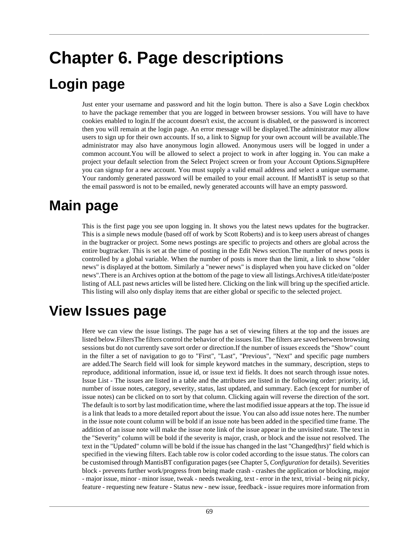# **Chapter 6. Page descriptions**

## **Login page**

Just enter your username and password and hit the login button. There is also a Save Login checkbox to have the package remember that you are logged in between browser sessions. You will have to have cookies enabled to login.If the account doesn't exist, the account is disabled, or the password is incorrect then you will remain at the login page. An error message will be displayed.The administrator may allow users to sign up for their own accounts. If so, a link to Signup for your own account will be available.The administrator may also have anonymous login allowed. Anonymous users will be logged in under a common account.You will be allowed to select a project to work in after logging in. You can make a project your default selection from the Select Project screen or from your Account Options.SignupHere you can signup for a new account. You must supply a valid email address and select a unique username. Your randomly generated password will be emailed to your email account. If MantisBT is setup so that the email password is not to be emailed, newly generated accounts will have an empty password.

## **Main page**

This is the first page you see upon logging in. It shows you the latest news updates for the bugtracker. This is a simple news module (based off of work by Scott Roberts) and is to keep users abreast of changes in the bugtracker or project. Some news postings are specific to projects and others are global across the entire bugtracker. This is set at the time of posting in the Edit News section.The number of news posts is controlled by a global variable. When the number of posts is more than the limit, a link to show "older news" is displayed at the bottom. Similarly a "newer news" is displayed when you have clicked on "older news".There is an Archives option at the bottom of the page to view all listings.ArchivesA title/date/poster listing of ALL past news articles will be listed here. Clicking on the link will bring up the specified article. This listing will also only display items that are either global or specific to the selected project.

## **View Issues page**

Here we can view the issue listings. The page has a set of viewing filters at the top and the issues are listed below.FiltersThe filters control the behavior of the issues list. The filters are saved between browsing sessions but do not currently save sort order or direction.If the number of issues exceeds the "Show" count in the filter a set of navigation to go to "First", "Last", "Previous", "Next" and specific page numbers are added.The Search field will look for simple keyword matches in the summary, description, steps to reproduce, additional information, issue id, or issue text id fields. It does not search through issue notes. Issue List - The issues are listed in a table and the attributes are listed in the following order: priority, id, number of issue notes, category, severity, status, last updated, and summary. Each (except for number of issue notes) can be clicked on to sort by that column. Clicking again will reverse the direction of the sort. The default is to sort by last modification time, where the last modified issue appears at the top. The issue id is a link that leads to a more detailed report about the issue. You can also add issue notes here. The number in the issue note count column will be bold if an issue note has been added in the specified time frame. The addition of an issue note will make the issue note link of the issue appear in the unvisited state. The text in the "Severity" column will be bold if the severity is major, crash, or block and the issue not resolved. The text in the "Updated" column will be bold if the issue has changed in the last "Changed(hrs)" field which is specified in the viewing filters. Each table row is color coded according to the issue status. The colors can be customised through MantisBT configuration pages (see Chapter 5, *[Configuration](#page-29-0)* for details). Severities block - prevents further work/progress from being made crash - crashes the application or blocking, major - major issue, minor - minor issue, tweak - needs tweaking, text - error in the text, trivial - being nit picky, feature - requesting new feature - Status new - new issue, feedback - issue requires more information from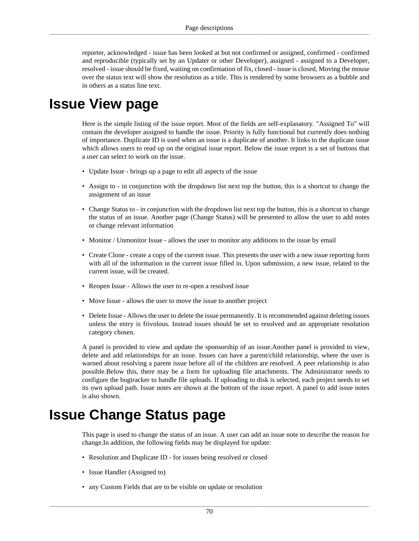reporter, acknowledged - issue has been looked at but not confirmed or assigned, confirmed - confirmed and reproducible (typically set by an Updater or other Developer), assigned - assigned to a Developer, resolved - issue should be fixed, waiting on confirmation of fix, closed - issue is closed, Moving the mouse over the status text will show the resolution as a title. This is rendered by some browsers as a bubble and in others as a status line text.

### **Issue View page**

Here is the simple listing of the issue report. Most of the fields are self-explanatory. "Assigned To" will contain the developer assigned to handle the issue. Priority is fully functional but currently does nothing of importance. Duplicate ID is used when an issue is a duplicate of another. It links to the duplicate issue which allows users to read up on the original issue report. Below the issue report is a set of buttons that a user can select to work on the issue.

- Update Issue brings up a page to edit all aspects of the issue
- Assign to in conjunction with the dropdown list next top the button, this is a shortcut to change the assignment of an issue
- Change Status to in conjunction with the dropdown list next top the button, this is a shortcut to change the status of an issue. Another page (Change Status) will be presented to allow the user to add notes or change relevant information
- Monitor / Unmonitor Issue allows the user to monitor any additions to the issue by email
- Create Clone create a copy of the current issue. This presents the user with a new issue reporting form with all of the information in the current issue filled in. Upon submission, a new issue, related to the current issue, will be created.
- Reopen Issue Allows the user to re-open a resolved issue
- Move Issue allows the user to move the issue to another project
- Delete Issue Allows the user to delete the issue permanently. It is recommended against deleting issues unless the entry is frivolous. Instead issues should be set to resolved and an appropriate resolution category chosen.

A panel is provided to view and update the sponsorship of an issue.Another panel is provided to view, delete and add relationships for an issue. Issues can have a parent/child relationship, where the user is warned about resolving a parent issue before all of the children are resolved. A peer relationship is also possible.Below this, there may be a form for uploading file attachments. The Administrator needs to configure the bugtracker to handle file uploads. If uploading to disk is selected, each project needs to set its own upload path. Issue notes are shown at the bottom of the issue report. A panel to add issue notes is also shown.

## **Issue Change Status page**

This page is used to change the status of an issue. A user can add an issue note to describe the reason for change.In addition, the following fields may be displayed for update:

- Resolution and Duplicate ID for issues being resolved or closed
- Issue Handler (Assigned to)
- any Custom Fields that are to be visible on update or resolution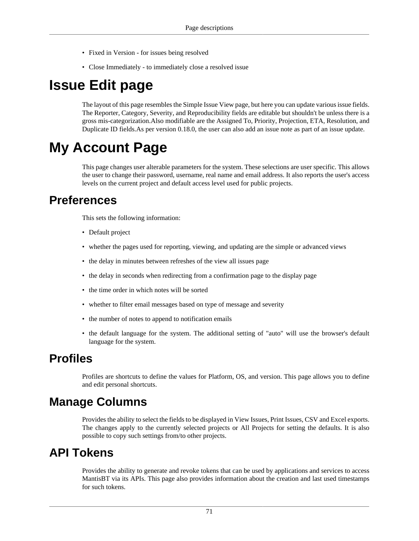- Fixed in Version for issues being resolved
- Close Immediately to immediately close a resolved issue

## **Issue Edit page**

The layout of this page resembles the Simple Issue View page, but here you can update various issue fields. The Reporter, Category, Severity, and Reproducibility fields are editable but shouldn't be unless there is a gross mis-categorization.Also modifiable are the Assigned To, Priority, Projection, ETA, Resolution, and Duplicate ID fields.As per version 0.18.0, the user can also add an issue note as part of an issue update.

## **My Account Page**

This page changes user alterable parameters for the system. These selections are user specific. This allows the user to change their password, username, real name and email address. It also reports the user's access levels on the current project and default access level used for public projects.

### **Preferences**

This sets the following information:

- Default project
- whether the pages used for reporting, viewing, and updating are the simple or advanced views
- the delay in minutes between refreshes of the view all issues page
- the delay in seconds when redirecting from a confirmation page to the display page
- the time order in which notes will be sorted
- whether to filter email messages based on type of message and severity
- the number of notes to append to notification emails
- the default language for the system. The additional setting of "auto" will use the browser's default language for the system.

### **Profiles**

Profiles are shortcuts to define the values for Platform, OS, and version. This page allows you to define and edit personal shortcuts.

### **Manage Columns**

Provides the ability to select the fields to be displayed in View Issues, Print Issues, CSV and Excel exports. The changes apply to the currently selected projects or All Projects for setting the defaults. It is also possible to copy such settings from/to other projects.

### **API Tokens**

Provides the ability to generate and revoke tokens that can be used by applications and services to access MantisBT via its APIs. This page also provides information about the creation and last used timestamps for such tokens.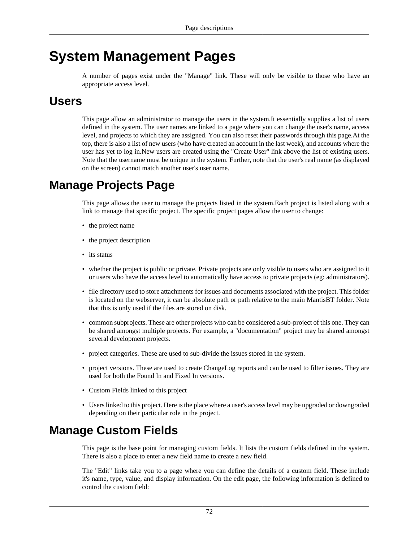## **System Management Pages**

A number of pages exist under the "Manage" link. These will only be visible to those who have an appropriate access level.

### **Users**

This page allow an administrator to manage the users in the system.It essentially supplies a list of users defined in the system. The user names are linked to a page where you can change the user's name, access level, and projects to which they are assigned. You can also reset their passwords through this page.At the top, there is also a list of new users (who have created an account in the last week), and accounts where the user has yet to log in.New users are created using the "Create User" link above the list of existing users. Note that the username must be unique in the system. Further, note that the user's real name (as displayed on the screen) cannot match another user's user name.

### **Manage Projects Page**

This page allows the user to manage the projects listed in the system.Each project is listed along with a link to manage that specific project. The specific project pages allow the user to change:

- the project name
- the project description
- its status
- whether the project is public or private. Private projects are only visible to users who are assigned to it or users who have the access level to automatically have access to private projects (eg: administrators).
- file directory used to store attachments for issues and documents associated with the project. This folder is located on the webserver, it can be absolute path or path relative to the main MantisBT folder. Note that this is only used if the files are stored on disk.
- common subprojects. These are other projects who can be considered a sub-project of this one. They can be shared amongst multiple projects. For example, a "documentation" project may be shared amongst several development projects.
- project categories. These are used to sub-divide the issues stored in the system.
- project versions. These are used to create ChangeLog reports and can be used to filter issues. They are used for both the Found In and Fixed In versions.
- Custom Fields linked to this project
- Users linked to this project. Here is the place where a user's access level may be upgraded or downgraded depending on their particular role in the project.

### **Manage Custom Fields**

This page is the base point for managing custom fields. It lists the custom fields defined in the system. There is also a place to enter a new field name to create a new field.

The "Edit" links take you to a page where you can define the details of a custom field. These include it's name, type, value, and display information. On the edit page, the following information is defined to control the custom field: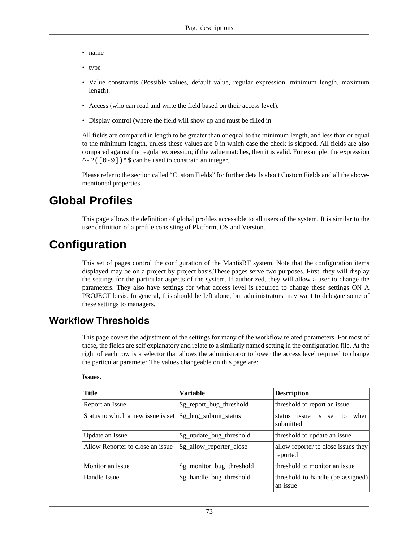- name
- type
- Value constraints (Possible values, default value, regular expression, minimum length, maximum length).
- Access (who can read and write the field based on their access level).
- Display control (where the field will show up and must be filled in

All fields are compared in length to be greater than or equal to the minimum length, and less than or equal to the minimum length, unless these values are 0 in which case the check is skipped. All fields are also compared against the regular expression; if the value matches, then it is valid. For example, the expression  $\sim$ -?([0-9]) \*  $\sin$  be used to constrain an integer.

Please refer to [the section called "Custom Fields"](#page-84-0) for further details about Custom Fields and all the abovementioned properties.

### **Global Profiles**

This page allows the definition of global profiles accessible to all users of the system. It is similar to the user definition of a profile consisting of Platform, OS and Version.

### **Configuration**

This set of pages control the configuration of the MantisBT system. Note that the configuration items displayed may be on a project by project basis.These pages serve two purposes. First, they will display the settings for the particular aspects of the system. If authorized, they will allow a user to change the parameters. They also have settings for what access level is required to change these settings ON A PROJECT basis. In general, this should be left alone, but administrators may want to delegate some of these settings to managers.

#### **Workflow Thresholds**

This page covers the adjustment of the settings for many of the workflow related parameters. For most of these, the fields are self explanatory and relate to a similarly named setting in the configuration file. At the right of each row is a selector that allows the administrator to lower the access level required to change the particular parameter.The values changeable on this page are:

#### **Issues.**

| <b>Title</b>                       | <b>Variable</b>           | <b>Description</b>                              |
|------------------------------------|---------------------------|-------------------------------------------------|
| Report an Issue                    | \$g_report_bug_threshold  | threshold to report an issue                    |
| Status to which a new issue is set | \$g_bug_submit_status     | issue is set to<br>when<br>status<br>submitted  |
| Update an Issue                    | \$g_update_bug_threshold  | threshold to update an issue                    |
| Allow Reporter to close an issue   | \$g_allow_reporter_close  | allow reporter to close issues they<br>reported |
| Monitor an issue                   | \$g_monitor_bug_threshold | threshold to monitor an issue                   |
| Handle Issue                       | \$g_handle_bug_threshold  | threshold to handle (be assigned)<br>an issue   |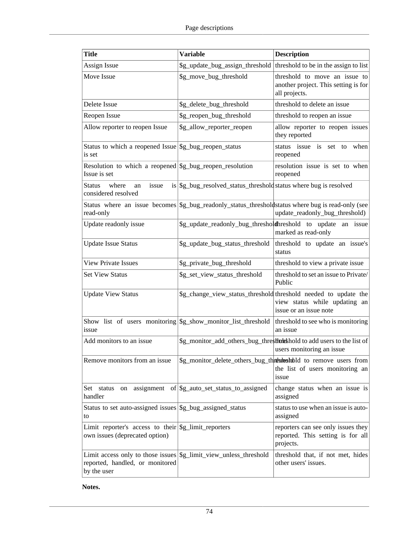| <b>Title</b>                                                                                                                 | <b>Variable</b>                                                                                   | <b>Description</b>                                                                                                         |
|------------------------------------------------------------------------------------------------------------------------------|---------------------------------------------------------------------------------------------------|----------------------------------------------------------------------------------------------------------------------------|
| Assign Issue                                                                                                                 | \$g_update_bug_assign_threshold                                                                   | threshold to be in the assign to list                                                                                      |
| Move Issue                                                                                                                   | \$g_move_bug_threshold                                                                            | threshold to move an issue to<br>another project. This setting is for<br>all projects.                                     |
| Delete Issue                                                                                                                 | \$g_delete_bug_threshold                                                                          | threshold to delete an issue                                                                                               |
| Reopen Issue                                                                                                                 | \$g_reopen_bug_threshold                                                                          | threshold to reopen an issue                                                                                               |
| Allow reporter to reopen Issue                                                                                               | \$g_allow_reporter_reopen                                                                         | allow reporter to reopen issues<br>they reported                                                                           |
| Status to which a reopened Issue<br>is set                                                                                   | \$g_bug_reopen_status                                                                             | status issue is set to when<br>reopened                                                                                    |
| Resolution to which a reopened $\frac{1}{2}$ bug reopen resolution<br>Issue is set                                           |                                                                                                   | resolution issue is set to when<br>reopened                                                                                |
| issue<br><b>Status</b><br>where<br>an<br>considered resolved                                                                 | is \$\\ \$g_bug_resolved_status_threshold\ status where bug is resolved                           |                                                                                                                            |
| read-only                                                                                                                    | Status where an issue becomes \$g_bug_readonly_status_thresholdstatus where bug is read-only (see | update_readonly_bug_threshold)                                                                                             |
| Update readonly issue                                                                                                        |                                                                                                   | \$g_update_readonly_bug_thresholdthreshold to update an issue<br>marked as read-only                                       |
| <b>Update Issue Status</b>                                                                                                   | \$g_update_bug_status_threshold                                                                   | threshold to update an issue's<br>status                                                                                   |
| <b>View Private Issues</b>                                                                                                   | \$g_private_bug_threshold                                                                         | threshold to view a private issue                                                                                          |
| <b>Set View Status</b>                                                                                                       | \$g_set_view_status_threshold                                                                     | threshold to set an issue to Private/<br>Public                                                                            |
| <b>Update View Status</b>                                                                                                    |                                                                                                   | \$g_change_view_status_threshold threshold needed to update the<br>view status while updating an<br>issue or an issue note |
| Show list of users monitoring \$g_show_monitor_list_threshold<br>issue                                                       |                                                                                                   | threshold to see who is monitoring<br>an issue                                                                             |
| Add monitors to an issue                                                                                                     |                                                                                                   | \$g_monitor_add_others_bug_threstlukkhold to add users to the list of<br>users monitoring an issue                         |
| Remove monitors from an issue                                                                                                |                                                                                                   | \$g_monitor_delete_others_bug_thrthreshbld to remove users from<br>the list of users monitoring an<br>issue                |
| Set status on<br>handler                                                                                                     | $\alpha$ assignment of $\gamma$ sg_auto_set_status_to_assigned                                    | change status when an issue is<br>assigned                                                                                 |
| Status to set auto-assigned issues \$ \$ bug assigned status<br>to                                                           |                                                                                                   | status to use when an issue is auto-<br>assigned                                                                           |
| Limit reporter's access to their \$g_limit_reporters<br>own issues (deprecated option)                                       |                                                                                                   | reporters can see only issues they<br>reported. This setting is for all<br>projects.                                       |
| Limit access only to those issues \$\square\$_1\; \$2.1\; unless_threshold<br>reported, handled, or monitored<br>by the user |                                                                                                   | threshold that, if not met, hides<br>other users' issues.                                                                  |

**Notes.**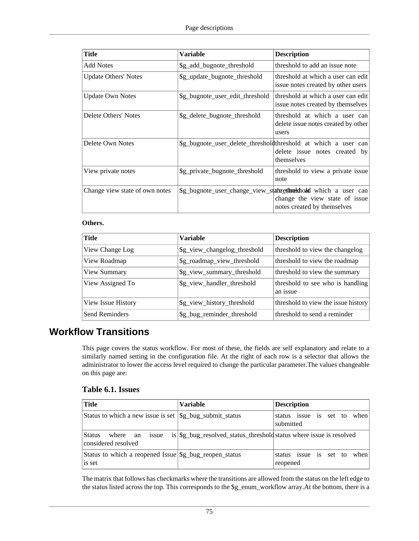| Title                          | <b>Variable</b>                 | <b>Description</b>                                                                                                               |
|--------------------------------|---------------------------------|----------------------------------------------------------------------------------------------------------------------------------|
| <b>Add Notes</b>               | \$g_add_bugnote_threshold       | threshold to add an issue note                                                                                                   |
| <b>Update Others' Notes</b>    | \$g_update_bugnote_threshold    | threshold at which a user can edit<br>issue notes created by other users                                                         |
| <b>Update Own Notes</b>        | \$g_bugnote_user_edit_threshold | threshold at which a user can edit<br>issue notes created by themselves                                                          |
| Delete Others' Notes           | \$g_delete_bugnote_threshold    | threshold at which a user can<br>delete issue notes created by other<br>users                                                    |
| Delete Own Notes               |                                 | \$g_bugnote_user_delete_thresholdthreshold at which a user can<br>delete issue notes created by<br>themselves                    |
| View private notes             | \$g_private_bugnote_threshold   | threshold to view a private issue<br>note                                                                                        |
| Change view state of own notes |                                 | \$g_bugnote_user_change_view_stathresthrekhold which a user can<br>change the view state of issue<br>notes created by themselves |

#### **Others.**

| Title              | <b>Variable</b>              | <b>Description</b>                           |
|--------------------|------------------------------|----------------------------------------------|
| View Change Log    | \$g_view_changelog_threshold | threshold to view the changelog              |
| View Roadmap       | \$g_roadmap_view_threshold   | threshold to view the roadmap                |
| View Summary       | \$g_view_summary_threshold   | threshold to view the summary                |
| View Assigned To   | \$g_view_handler_threshold   | threshold to see who is handling<br>an issue |
| View Issue History | \$g_view_history_threshold   | threshold to view the issue history          |
| Send Reminders     | \$g_bug_reminder_threshold   | threshold to send a reminder                 |

#### **Workflow Transitions**

This page covers the status workflow. For most of these, the fields are self explanatory and relate to a similarly named setting in the configuration file. At the right of each row is a selector that allows the administrator to lower the access level required to change the particular parameter.The values changeable on this page are:

#### **Table 6.1. Issues**

| Title                                                            | <b>Variable</b>                                                       | <b>Description</b>                          |
|------------------------------------------------------------------|-----------------------------------------------------------------------|---------------------------------------------|
| Status to which a new issue is set $\frac{1}{2}$ submit_status   |                                                                       | status issue is set to<br>when<br>submitted |
| <b>Status</b><br>where an<br>issue<br>considered resolved        | is   \$g_bug_resolved_status_threshold status where issue is resolved |                                             |
| Status to which a reopened Issue \$g_bug_reopen_status<br>is set |                                                                       | status issue is set to<br>when<br>reopened  |

The matrix that follows has checkmarks where the transitions are allowed from the status on the left edge to the status listed across the top. This corresponds to the \$g\_enum\_workflow array.At the bottom, there is a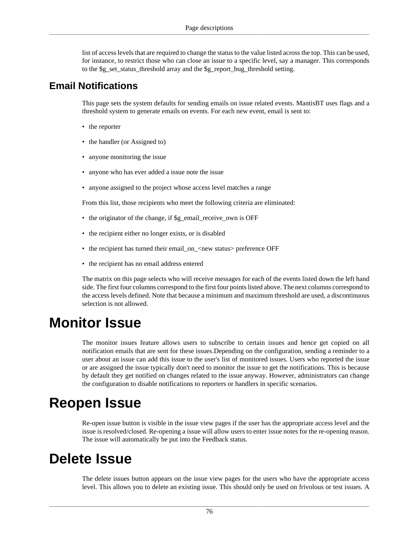list of access levels that are required to change the status to the value listed across the top. This can be used, for instance, to restrict those who can close an issue to a specific level, say a manager. This corresponds to the \$g\_set\_status\_threshold array and the \$g\_report\_bug\_threshold setting.

#### **Email Notifications**

This page sets the system defaults for sending emails on issue related events. MantisBT uses flags and a threshold system to generate emails on events. For each new event, email is sent to:

- the reporter
- the handler (or Assigned to)
- anyone monitoring the issue
- anyone who has ever added a issue note the issue
- anyone assigned to the project whose access level matches a range

From this list, those recipients who meet the following criteria are eliminated:

- the originator of the change, if \$g\_email\_receive\_own is OFF
- the recipient either no longer exists, or is disabled
- the recipient has turned their email\_on\_<new status> preference OFF
- the recipient has no email address entered

The matrix on this page selects who will receive messages for each of the events listed down the left hand side. The first four columns correspond to the first four points listed above. The next columns correspond to the access levels defined. Note that because a minimum and maximum threshold are used, a discontinuous selection is not allowed.

## **Monitor Issue**

The monitor issues feature allows users to subscribe to certain issues and hence get copied on all notification emails that are sent for these issues.Depending on the configuration, sending a reminder to a user about an issue can add this issue to the user's list of monitored issues. Users who reported the issue or are assigned the issue typically don't need to monitor the issue to get the notifications. This is because by default they get notified on changes related to the issue anyway. However, administrators can change the configuration to disable notifications to reporters or handlers in specific scenarios.

## **Reopen Issue**

Re-open issue button is visible in the issue view pages if the user has the appropriate access level and the issue is resolved/closed. Re-opening a issue will allow users to enter issue notes for the re-opening reason. The issue will automatically be put into the Feedback status.

## **Delete Issue**

The delete issues button appears on the issue view pages for the users who have the appropriate access level. This allows you to delete an existing issue. This should only be used on frivolous or test issues. A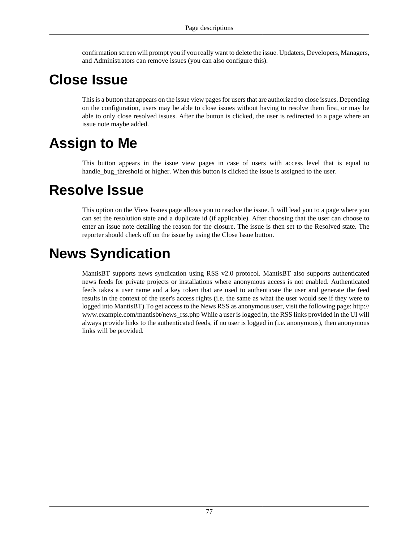confirmation screen will prompt you if you really want to delete the issue. Updaters, Developers, Managers, and Administrators can remove issues (you can also configure this).

## **Close Issue**

This is a button that appears on the issue view pages for users that are authorized to close issues. Depending on the configuration, users may be able to close issues without having to resolve them first, or may be able to only close resolved issues. After the button is clicked, the user is redirected to a page where an issue note maybe added.

## **Assign to Me**

This button appears in the issue view pages in case of users with access level that is equal to handle\_bug\_threshold or higher. When this button is clicked the issue is assigned to the user.

### **Resolve Issue**

This option on the View Issues page allows you to resolve the issue. It will lead you to a page where you can set the resolution state and a duplicate id (if applicable). After choosing that the user can choose to enter an issue note detailing the reason for the closure. The issue is then set to the Resolved state. The reporter should check off on the issue by using the Close Issue button.

## **News Syndication**

MantisBT supports news syndication using RSS v2.0 protocol. MantisBT also supports authenticated news feeds for private projects or installations where anonymous access is not enabled. Authenticated feeds takes a user name and a key token that are used to authenticate the user and generate the feed results in the context of the user's access rights (i.e. the same as what the user would see if they were to logged into MantisBT).To get access to the News RSS as anonymous user, visit the following page: http:// www.example.com/mantisbt/news\_rss.php While a user is logged in, the RSS links provided in the UI will always provide links to the authenticated feeds, if no user is logged in (i.e. anonymous), then anonymous links will be provided.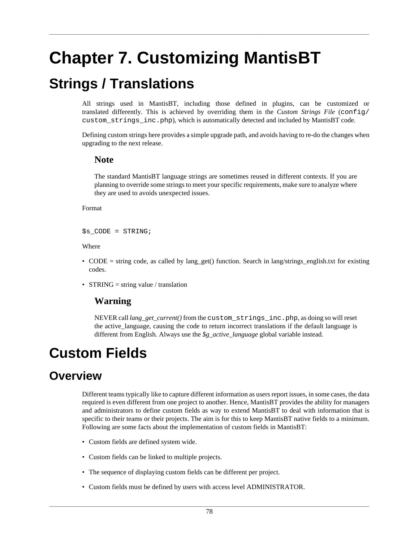# **Chapter 7. Customizing MantisBT**

## <span id="page-84-1"></span>**Strings / Translations**

All strings used in MantisBT, including those defined in plugins, can be customized or translated differently. This is achieved by overriding them in the *Custom Strings File* (config/ custom\_strings\_inc.php), which is automatically detected and included by MantisBT code.

Defining custom strings here provides a simple upgrade path, and avoids having to re-do the changes when upgrading to the next release.

#### **Note**

The standard MantisBT language strings are sometimes reused in different contexts. If you are planning to override some strings to meet your specific requirements, make sure to analyze where they are used to avoids unexpected issues.

Format

 $$s_CODE = STRING;$ 

Where

- CODE = string code, as called by lang\_get() function. Search in lang/strings\_english.txt for existing codes.
- STRING = string value / translation

#### **Warning**

NEVER call *lang\_get\_current()* from the custom\_strings\_inc.php, as doing so will reset the active\_language, causing the code to return incorrect translations if the default language is different from English. Always use the *\$g\_active\_language* global variable instead.

## <span id="page-84-0"></span>**Custom Fields**

### **Overview**

Different teams typically like to capture different information as users report issues, in some cases, the data required is even different from one project to another. Hence, MantisBT provides the ability for managers and administrators to define custom fields as way to extend MantisBT to deal with information that is specific to their teams or their projects. The aim is for this to keep MantisBT native fields to a minimum. Following are some facts about the implementation of custom fields in MantisBT:

- Custom fields are defined system wide.
- Custom fields can be linked to multiple projects.
- The sequence of displaying custom fields can be different per project.
- Custom fields must be defined by users with access level ADMINISTRATOR.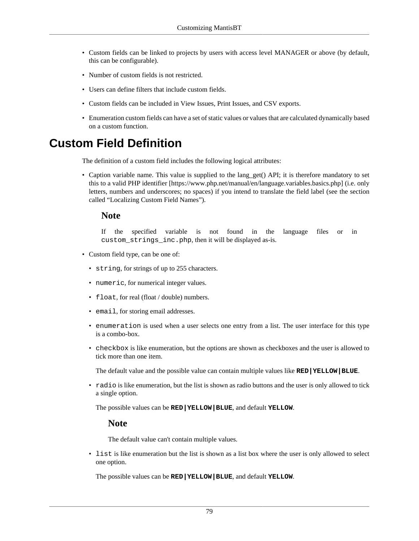- Custom fields can be linked to projects by users with access level MANAGER or above (by default, this can be configurable).
- Number of custom fields is not restricted.
- Users can define filters that include custom fields.
- Custom fields can be included in View Issues, Print Issues, and CSV exports.
- Enumeration custom fields can have a set of static values or values that are calculated dynamically based on a custom function.

### <span id="page-85-0"></span>**Custom Field Definition**

The definition of a custom field includes the following logical attributes:

• Caption variable name. This value is supplied to the lang\_get() API; it is therefore mandatory to set this to a [valid PHP identifier](https://www.php.net/manual/en/language.variables.basics.php) [\[https://www.php.net/manual/en/language.variables.basics.php](https://www.php.net/manual/en/language.variables.basics.php)] (i.e. only letters, numbers and underscores; no spaces) if you intend to translate the field label (see [the section](#page-87-0) [called "Localizing Custom Field Names"\)](#page-87-0).

#### **Note**

If the specified variable is not found in the language files or in custom\_strings\_inc.php, then it will be displayed as-is.

- Custom field type, can be one of:
	- string, for strings of up to 255 characters.
	- numeric, for numerical integer values.
	- float, for real (float / double) numbers.
	- email, for storing email addresses.
	- enumeration is used when a user selects one entry from a list. The user interface for this type is a combo-box.
	- checkbox is like enumeration, but the options are shown as checkboxes and the user is allowed to tick more than one item.

The default value and the possible value can contain multiple values like **RED|YELLOW|BLUE**.

• radio is like enumeration, but the list is shown as radio buttons and the user is only allowed to tick a single option.

The possible values can be **RED|YELLOW|BLUE**, and default **YELLOW**.

#### **Note**

The default value can't contain multiple values.

• list is like enumeration but the list is shown as a list box where the user is only allowed to select one option.

The possible values can be **RED|YELLOW|BLUE**, and default **YELLOW**.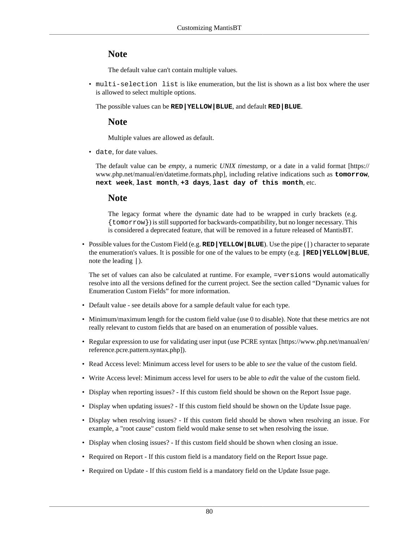#### **Note**

The default value can't contain multiple values.

• multi-selection list is like enumeration, but the list is shown as a list box where the user is allowed to select multiple options.

The possible values can be **RED|YELLOW|BLUE**, and default **RED|BLUE**.

#### **Note**

Multiple values are allowed as default.

• date, for date values.

The default value can be *empty*, a numeric *UNIX timestamp*, or a date in a [valid format](https://www.php.net/manual/en/datetime.formats.php) [\[https://](https://www.php.net/manual/en/datetime.formats.php) [www.php.net/manual/en/datetime.formats.php](https://www.php.net/manual/en/datetime.formats.php)], including relative indications such as **tomorrow**, **next week**, **last month**, **+3 days**, **last day of this month**, etc.

#### **Note**

The legacy format where the dynamic date had to be wrapped in curly brackets (e.g. {tomorrow}) is still supported for backwards-compatibility, but no longer necessary. This is considered a deprecated feature, that will be removed in a future released of MantisBT.

• Possible values for the Custom Field (e.g. **RED|YELLOW|BLUE**). Use the pipe (|) character to separate the enumeration's values. It is possible for one of the values to be empty (e.g. **|RED|YELLOW|BLUE**, note the leading |).

The set of values can also be calculated at runtime. For example, =versions would automatically resolve into all the versions defined for the current project. See [the section called "Dynamic values for](#page-88-0) [Enumeration Custom Fields"](#page-88-0) for more information.

- Default value see details above for a sample default value for each type.
- Minimum/maximum length for the custom field value (use 0 to disable). Note that these metrics are not really relevant to custom fields that are based on an enumeration of possible values.
- Regular expression to use for validating user input (use [PCRE syntax](https://www.php.net/manual/en/reference.pcre.pattern.syntax.php) [\[https://www.php.net/manual/en/](https://www.php.net/manual/en/reference.pcre.pattern.syntax.php) [reference.pcre.pattern.syntax.php](https://www.php.net/manual/en/reference.pcre.pattern.syntax.php)]).
- Read Access level: Minimum access level for users to be able to *see* the value of the custom field.
- Write Access level: Minimum access level for users to be able to *edit* the value of the custom field.
- Display when reporting issues? If this custom field should be shown on the Report Issue page.
- Display when updating issues? If this custom field should be shown on the Update Issue page.
- Display when resolving issues? If this custom field should be shown when resolving an issue. For example, a "root cause" custom field would make sense to set when resolving the issue.
- Display when closing issues? If this custom field should be shown when closing an issue.
- Required on Report If this custom field is a mandatory field on the Report Issue page.
- Required on Update If this custom field is a mandatory field on the Update Issue page.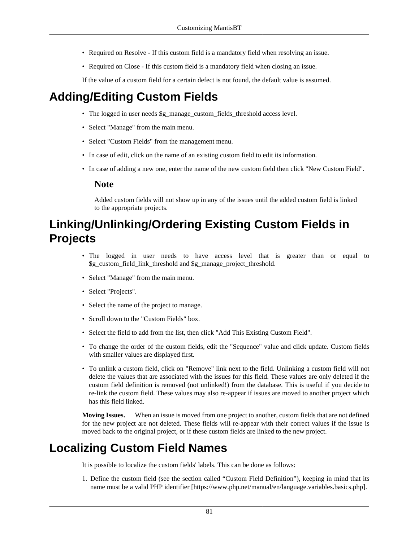- Required on Resolve If this custom field is a mandatory field when resolving an issue.
- Required on Close If this custom field is a mandatory field when closing an issue.

If the value of a custom field for a certain defect is not found, the default value is assumed.

### **Adding/Editing Custom Fields**

- The logged in user needs \$g\_manage\_custom\_fields\_threshold access level.
- Select "Manage" from the main menu.
- Select "Custom Fields" from the management menu.
- In case of edit, click on the name of an existing custom field to edit its information.
- In case of adding a new one, enter the name of the new custom field then click "New Custom Field".

#### **Note**

Added custom fields will not show up in any of the issues until the added custom field is linked to the appropriate projects.

### **Linking/Unlinking/Ordering Existing Custom Fields in Projects**

- The logged in user needs to have access level that is greater than or equal to \$g\_custom\_field\_link\_threshold and \$g\_manage\_project\_threshold.
- Select "Manage" from the main menu.
- Select "Projects".
- Select the name of the project to manage.
- Scroll down to the "Custom Fields" box.
- Select the field to add from the list, then click "Add This Existing Custom Field".
- To change the order of the custom fields, edit the "Sequence" value and click update. Custom fields with smaller values are displayed first.
- To unlink a custom field, click on "Remove" link next to the field. Unlinking a custom field will not delete the values that are associated with the issues for this field. These values are only deleted if the custom field definition is removed (not unlinked!) from the database. This is useful if you decide to re-link the custom field. These values may also re-appear if issues are moved to another project which has this field linked.

**Moving Issues.** When an issue is moved from one project to another, custom fields that are not defined for the new project are not deleted. These fields will re-appear with their correct values if the issue is moved back to the original project, or if these custom fields are linked to the new project.

### <span id="page-87-0"></span>**Localizing Custom Field Names**

It is possible to localize the custom fields' labels. This can be done as follows:

1. Define the custom field (see [the section called "Custom Field Definition"](#page-85-0)), keeping in mind that its name must be a [valid PHP identifier](https://www.php.net/manual/en/language.variables.basics.php) [[https://www.php.net/manual/en/language.variables.basics.php\]](https://www.php.net/manual/en/language.variables.basics.php).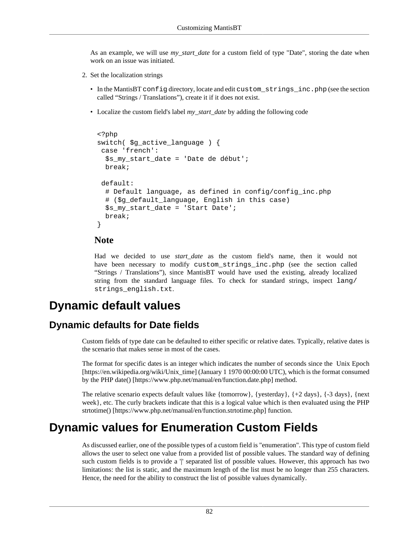As an example, we will use *my\_start\_date* for a custom field of type "Date", storing the date when work on an issue was initiated.

- 2. Set the localization strings
	- In the MantisBT config directory, locate and edit custom\_strings\_inc.php (see [the section](#page-84-1) [called "Strings / Translations"\)](#page-84-1), create it if it does not exist.
	- Localize the custom field's label *my\_start\_date* by adding the following code

```
<?php
switch( $g_active_language ) {
 case 'french':
  $s_my_start_date = 'Date de début';
  break;
 default:
  # Default language, as defined in config/config_inc.php
  # ($g_default_language, English in this case)
 $s my start date = 'Start Date';
  break;
}
```
#### **Note**

Had we decided to use *start\_date* as the custom field's name, then it would not have been necessary to modify custom\_strings\_inc.php (see [the section called](#page-84-1) ["Strings / Translations"](#page-84-1)), since MantisBT would have used the existing, already localized string from the standard language files. To check for standard strings, inspect lang/ strings\_english.txt.

### **Dynamic default values**

#### **Dynamic defaults for Date fields**

Custom fields of type date can be defaulted to either specific or relative dates. Typically, relative dates is the scenario that makes sense in most of the cases.

The format for specific dates is an integer which indicates the number of seconds since the [Unix Epoch](https://en.wikipedia.org/wiki/Unix_time) [\[https://en.wikipedia.org/wiki/Unix\\_time](https://en.wikipedia.org/wiki/Unix_time)] (January 1 1970 00:00:00 UTC), which is the format consumed by the PHP [date\(\)](https://www.php.net/manual/en/function.date.php) [\[https://www.php.net/manual/en/function.date.php](https://www.php.net/manual/en/function.date.php)] method.

The relative scenario expects default values like {tomorrow}, {yesterday},  $\{+2 \text{ days}\}$ ,  $\{-3 \text{ days}\}$ , {next week}, etc. The curly brackets indicate that this is a logical value which is then evaluated using the PHP [strtotime\(\)](https://www.php.net/manual/en/function.strtotime.php) [\[https://www.php.net/manual/en/function.strtotime.php\]](https://www.php.net/manual/en/function.strtotime.php) function.

### <span id="page-88-0"></span>**Dynamic values for Enumeration Custom Fields**

As discussed earlier, one of the possible types of a custom field is "enumeration". This type of custom field allows the user to select one value from a provided list of possible values. The standard way of defining such custom fields is to provide a '|' separated list of possible values. However, this approach has two limitations: the list is static, and the maximum length of the list must be no longer than 255 characters. Hence, the need for the ability to construct the list of possible values dynamically.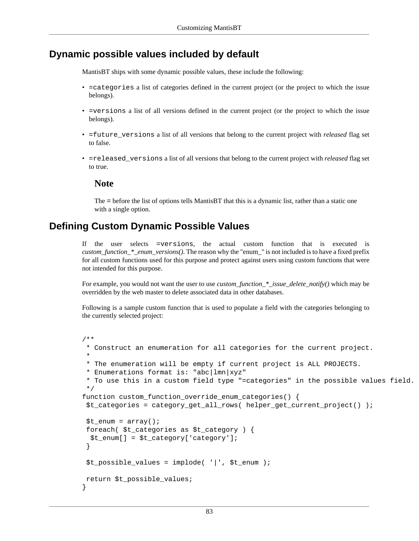#### **Dynamic possible values included by default**

MantisBT ships with some dynamic possible values, these include the following:

- =categories a list of categories defined in the current project (or the project to which the issue belongs).
- =versions a list of all versions defined in the current project (or the project to which the issue belongs).
- =future\_versions a list of all versions that belong to the current project with *released* flag set to false.
- =released\_versions a list of all versions that belong to the current project with *released* flag set to true.

#### **Note**

The = before the list of options tells MantisBT that this is a dynamic list, rather than a static one with a single option.

#### **Defining Custom Dynamic Possible Values**

If the user selects =versions, the actual custom function that is executed is *custom\_function\_\*\_enum\_versions()*. The reason why the "enum\_" is not included is to have a fixed prefix for all custom functions used for this purpose and protect against users using custom functions that were not intended for this purpose.

For example, you would not want the user to use *custom\_function\_\*\_issue\_delete\_notify()* which may be overridden by the web master to delete associated data in other databases.

Following is a sample custom function that is used to populate a field with the categories belonging to the currently selected project:

```
/**
  * Construct an enumeration for all categories for the current project.
 *
  * The enumeration will be empty if current project is ALL PROJECTS.
  * Enumerations format is: "abc|lmn|xyz"
  * To use this in a custom field type "=categories" in the possible values field.
  */
function custom_function_override_enum_categories() {
  $t_categories = category_get_all_rows( helper_get_current_project() );
 $t enum = array();
 foreach( $t_categories as $t_category ) {
  \text{St enum} = \text{St category} 'category'];
  }
  $t_possible_values = implode( '|', $t_enum );
 return $t_possible_values;
}
```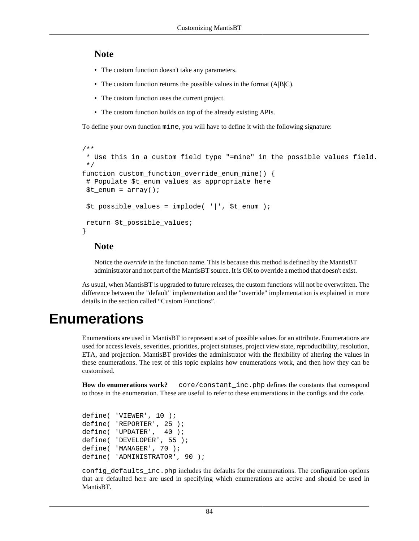#### **Note**

- The custom function doesn't take any parameters.
- The custom function returns the possible values in the format (A|B|C).
- The custom function uses the current project.
- The custom function builds on top of the already existing APIs.

To define your own function mine, you will have to define it with the following signature:

```
/**
  * Use this in a custom field type "=mine" in the possible values field.
  */
function custom function override enum mine() {
  # Populate $t_enum values as appropriate here
 $t_enum = array();
  $t_possible_values = implode( '|', $t_enum );
 return $t_possible_values;
}
```
#### **Note**

Notice the *override* in the function name. This is because this method is defined by the MantisBT administrator and not part of the MantisBT source. It is OK to override a method that doesn't exist.

As usual, when MantisBT is upgraded to future releases, the custom functions will not be overwritten. The difference between the "default" implementation and the "override" implementation is explained in more details in [the section called "Custom Functions".](#page-95-0)

### **Enumerations**

Enumerations are used in MantisBT to represent a set of possible values for an attribute. Enumerations are used for access levels, severities, priorities, project statuses, project view state, reproducibility, resolution, ETA, and projection. MantisBT provides the administrator with the flexibility of altering the values in these enumerations. The rest of this topic explains how enumerations work, and then how they can be customised.

**How do enumerations work?** core/constant\_inc.php defines the constants that correspond to those in the enumeration. These are useful to refer to these enumerations in the configs and the code.

```
define( 'VIEWER', 10 );
define( 'REPORTER', 25 );
define( 'UPDATER', 40 );
define( 'DEVELOPER', 55 );
define( 'MANAGER', 70 );
define( 'ADMINISTRATOR', 90 );
```
config defaults inc.php includes the defaults for the enumerations. The configuration options that are defaulted here are used in specifying which enumerations are active and should be used in MantisBT.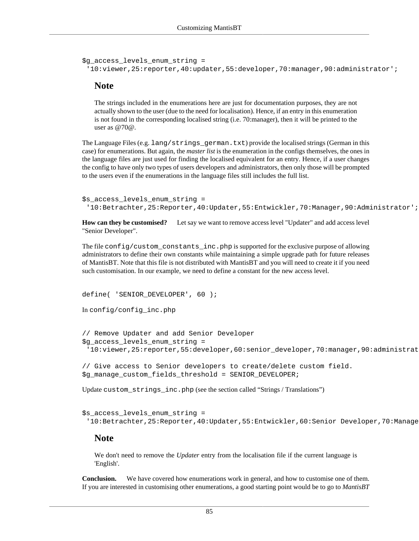```
$g_access_levels_enum_string =
  '10:viewer,25:reporter,40:updater,55:developer,70:manager,90:administrator';
```
#### **Note**

The strings included in the enumerations here are just for documentation purposes, they are not actually shown to the user (due to the need for localisation). Hence, if an entry in this enumeration is not found in the corresponding localised string (i.e. 70:manager), then it will be printed to the user as @70@.

The Language Files (e.g. lang/strings\_german.txt) provide the localised strings (German in this case) for enumerations. But again, the *master list* is the enumeration in the configs themselves, the ones in the language files are just used for finding the localised equivalent for an entry. Hence, if a user changes the config to have only two types of users developers and administrators, then only those will be prompted to the users even if the enumerations in the language files still includes the full list.

```
$s_access_levels_enum_string =
  '10:Betrachter,25:Reporter,40:Updater,55:Entwickler,70:Manager,90:Administrator';
```
**How can they be customised?** Let say we want to remove access level "Updater" and add access level "Senior Developer".

The file config/custom\_constants\_inc.php is supported for the exclusive purpose of allowing administrators to define their own constants while maintaining a simple upgrade path for future releases of MantisBT. Note that this file is not distributed with MantisBT and you will need to create it if you need such customisation. In our example, we need to define a constant for the new access level.

```
define( 'SENIOR DEVELOPER', 60 );
In config/config_inc.php
```
// Remove Updater and add Senior Developer \$g\_access\_levels\_enum\_string = '10:viewer,25:reporter,55:developer,60:senior\_developer,70:manager,90:administrat

```
// Give access to Senior developers to create/delete custom field.
$g_manage_custom_fields_threshold = SENIOR_DEVELOPER;
```
Update custom\_strings\_inc.php (see [the section called "Strings / Translations"\)](#page-84-1)

```
$s_access_levels_enum_string =
 '10:Betrachter,25:Reporter,40:Updater,55:Entwickler,60:Senior Developer,70:Manage
```
#### **Note**

We don't need to remove the *Updater* entry from the localisation file if the current language is 'English'.

**Conclusion.** We have covered how enumerations work in general, and how to customise one of them. If you are interested in customising other enumerations, a good starting point would be to go to *MantisBT*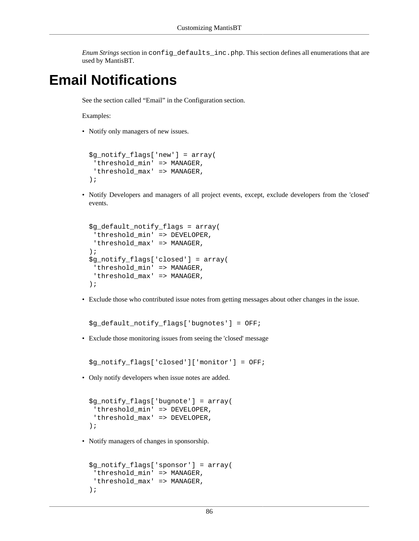*Enum Strings* section in config\_defaults\_inc.php. This section defines all enumerations that are used by MantisBT.

## **Email Notifications**

See [the section called "Email"](#page-34-0) in the Configuration section.

Examples:

• Notify only managers of new issues.

```
$g_notify_flags['new'] = array(
 'threshold_min' => MANAGER,
 'threshold_max' => MANAGER,
);
```
• Notify Developers and managers of all project events, except, exclude developers from the 'closed' events.

```
$g_default_notify_flags = array(
 'threshold_min' => DEVELOPER,
 'threshold max' => MANAGER,
);
$g_notify_flags['closed'] = array(
 'threshold_min' => MANAGER,
 'threshold max' => MANAGER,
);
```
• Exclude those who contributed issue notes from getting messages about other changes in the issue.

\$g\_default\_notify\_flags['bugnotes'] = OFF;

• Exclude those monitoring issues from seeing the 'closed' message

\$g\_notify\_flags['closed']['monitor'] = OFF;

• Only notify developers when issue notes are added.

```
$g_notify_flags['bugnote'] = array(
  'threshold_min' => DEVELOPER,
 'threshold_max' => DEVELOPER,
);
```
• Notify managers of changes in sponsorship.

```
$g_notify_flags['sponsor'] = array(
 'threshold_min' => MANAGER,
 'threshold_max' => MANAGER,
);
```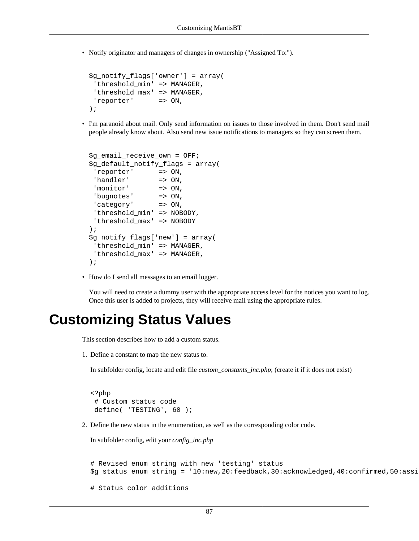• Notify originator and managers of changes in ownership ("Assigned To:").

```
$g_notify_flags['owner'] = array(
  'threshold_min' => MANAGER,
 'threshold_max' => MANAGER,
  'reporter' => ON,
);
```
• I'm paranoid about mail. Only send information on issues to those involved in them. Don't send mail people already know about. Also send new issue notifications to managers so they can screen them.

```
$g_email_receive_own = OFF;
$g_default_notify_flags = array(
  'reporter' => ON,
 'handler' => ON,
'monitor' => ON,
  'bugnotes' => ON,
 'category' => ON,
  'threshold_min' => NOBODY,
  'threshold_max' => NOBODY
);
$g_notify_flags['new'] = array(
 'threshold_min' => MANAGER,
 'threshold max' => MANAGER,
);
```
• How do I send all messages to an email logger.

You will need to create a dummy user with the appropriate access level for the notices you want to log. Once this user is added to projects, they will receive mail using the appropriate rules.

### **Customizing Status Values**

This section describes how to add a custom status.

1. Define a constant to map the new status to.

In subfolder config, locate and edit file *custom\_constants\_inc.php*; (create it if it does not exist)

```
<?php
  # Custom status code
 define( 'TESTING', 60 );
```
2. Define the new status in the enumeration, as well as the corresponding color code.

In subfolder config, edit your *config\_inc.php*

```
# Revised enum string with new 'testing' status
$g_status_enum_string = '10:new,20:feedback,30:acknowledged,40:confirmed,50:assi
```

```
# Status color additions
```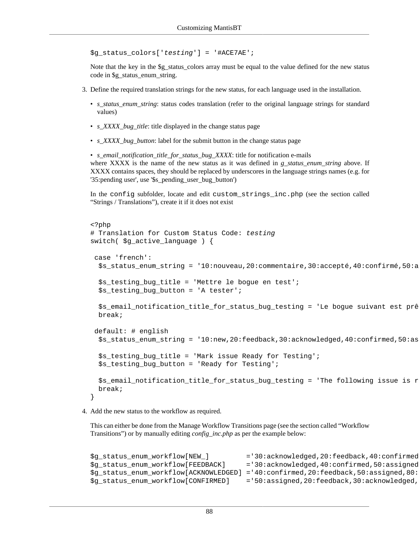\$g\_status\_colors['testing'] = '#ACE7AE';

Note that the key in the \$g\_status\_colors array must be equal to the value defined for the new status code in \$g\_status\_enum\_string.

- 3. Define the required translation strings for the new status, for each language used in the installation.
	- *s\_status\_enum\_string*: status codes translation (refer to the original language strings for standard values)
	- *s\_XXXX\_bug\_title*: title displayed in the change status page
	- *s\_XXXX\_bug\_button*: label for the submit button in the change status page

• *s\_email\_notification\_title\_for\_status\_bug\_XXXX*: title for notification e-mails where XXXX is the name of the new status as it was defined in *g\_status\_enum\_string* above. If XXXX contains spaces, they should be replaced by underscores in the language strings names (e.g. for '35:pending user', use '\$s\_pending\_user\_bug\_button')

In the config subfolder, locate and edit custom\_strings\_inc.php (see [the section called](#page-84-1) ["Strings / Translations"](#page-84-1)), create it if it does not exist

```
<?php
# Translation for Custom Status Code: testing
switch( \beta q active language ) {
 case 'french':
  $s_status_enum_string = '10:nouveau,20:commentaire,30:accepté,40:confirmé,50:a
  $s_testing_bug_title = 'Mettre le bogue en test';
   $s_testing_bug_button = 'A tester';
  $s_email_notification_title_for_status_bug_testing = 'Le bogue suivant est prê
  break;
 default: # english
  $s_status_enum_string = '10:new,20:feedback,30:acknowledged,40:confirmed,50:as
  $s_testing_bug_title = 'Mark issue Ready for Testing';
   $s_testing_bug_button = 'Ready for Testing';
  $s_email_notification_title_for_status_bug_testing = 'The following issue is r
  break;
}
```
4. Add the new status to the workflow as required.

This can either be done from the Manage Workflow Transitions page (see [the section called "Workflow](#page-26-0) [Transitions"](#page-26-0)) or by manually editing *config\_inc.php* as per the example below:

```
$g_status_enum_workflow[NEW_] = '30:acknowledged,20:feedback,40:confirmed$g_status_enum_workflow[FEEDBACK] = '30:acknowledged,40:confirmed,50:assigned
$g_status_enum_workflow[ACKNOWLEDGED] ='40:confirmed,20:feedback,50:assigned,80:
$g_status_enum_workflow[CONFIRMED] = '50:assigned,20:feedback,30:acknowledged,
```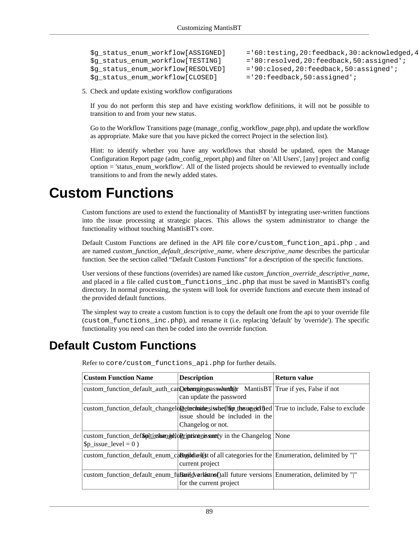```
$g_status_enum_workflow[ASSIGNED] = '60:testing,20:feedback,30:acknowledged,4
$g_status_enum_workflow[TESTING] ='80:resolved,20:feedback,50:assigned';
$g_status_enum_workflow[RESOLVED] ='90:closed,20:feedback,50:assigned';
$g_status_enum_workflow[CLOSED] ='20:feedback,50:assigned';
```
5. Check and update existing workflow configurations

If you do not perform this step and have existing workflow definitions, it will not be possible to transition to and from your new status.

Go to the Workflow Transitions page (manage\_config\_workflow\_page.php), and update the workflow as appropriate. Make sure that you have picked the correct Project in the selection list).

Hint: to identify whether you have any workflows that should be updated, open the Manage Configuration Report page (adm\_config\_report.php) and filter on 'All Users', [any] project and config option = 'status\_enum\_workflow'. All of the listed projects should be reviewed to eventually include transitions to and from the newly added states.

### <span id="page-95-0"></span>**Custom Functions**

Custom functions are used to extend the functionality of MantisBT by integrating user-written functions into the issue processing at strategic places. This allows the system administrator to change the functionality without touching MantisBT's core.

Default Custom Functions are defined in the API file core/custom\_function\_api.php , and are named *custom\_function\_default\_descriptive\_name*, where *descriptive\_name* describes the particular function. See [the section called "Default Custom Functions"](#page-95-1) for a description of the specific functions.

User versions of these functions (overrides) are named like *custom\_function\_override\_descriptive\_name*, and placed in a file called custom\_functions\_inc.php that must be saved in MantisBT's config directory. In normal processing, the system will look for override functions and execute them instead of the provided default functions.

The simplest way to create a custom function is to copy the default one from the api to your override file (custom\_functions\_inc.php), and rename it (i.e. replacing 'default' by 'override'). The specific functionality you need can then be coded into the override function.

### <span id="page-95-1"></span>**Default Custom Functions**

| <b>Custom Function Name</b>                                                                                 | <b>Description</b>                                   | Return value |
|-------------------------------------------------------------------------------------------------------------|------------------------------------------------------|--------------|
| custom_function_default_auth_canDehempingsasswitertheric MantisBT True if yes, False if not                 | can update the password                              |              |
| custom_function_default_changelopernection resisted for the use exclude True to include, False to exclude   | issue should be included in the<br>Changelog or not. |              |
| custom_function_def\$pltisshengelloPrint into nissent (y in the Changelog<br>$ \$ p issue level = 0)        |                                                      | None         |
| custom_function_default_enum_ca <b>Regiodies(st</b> of all categories for the Enumeration, delimited by " " | current project                                      |              |
| custom_function_default_enum_fu <b>Buredversistnsf</b> )all future versions Enumeration, delimited by " "   | for the current project                              |              |

Refer to core/custom\_functions\_api.php for further details.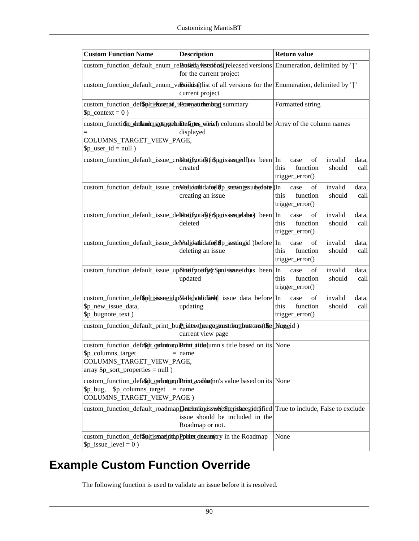| <b>Custom Function Name</b>                                                                                                           | <b>Description</b>                                                                                                                                  | <b>Return value</b>                                                                                                                                                                     |
|---------------------------------------------------------------------------------------------------------------------------------------|-----------------------------------------------------------------------------------------------------------------------------------------------------|-----------------------------------------------------------------------------------------------------------------------------------------------------------------------------------------|
|                                                                                                                                       | custom_function_default_enum_reBasktla vistsions() released versions Enumeration, delimited by " "<br>for the current project                       |                                                                                                                                                                                         |
|                                                                                                                                       | custom_function_default_enum_veRsudds@list of all versions for the Enumeration, delimited by " "<br>current project                                 |                                                                                                                                                                                         |
| custom_function_def\$pltissorenad_issorenationenbryg summary<br>$\pmb{\text{Sp}\_}context = 0$ )                                      |                                                                                                                                                     | Formatted string                                                                                                                                                                        |
| $=$<br>COLUMNS_TARGET_VIEW_PAGE,<br>$\pmb{\text{sp\_user\_id} = \text{null}}$                                                         | custom_function defaunting etangely in basines wiking columns should be Array of the column names<br>displayed                                      |                                                                                                                                                                                         |
|                                                                                                                                       | custom_function_default_issue_creditetifyotiffyet\$parissinsued has been In<br>created                                                              | of<br>invalid<br>data,<br>case<br>this<br>function<br>should<br>call<br>trigger_error()                                                                                                 |
|                                                                                                                                       | custom_function_default_issue_creditedidatedafeel8p_sectionessuebedfatae)In<br>creating an issue                                                    | $% \left( \left( \mathcal{A},\mathcal{A}\right) \right) =\left( \mathcal{A},\mathcal{A}\right)$ of<br>invalid<br>case<br>data,<br>this<br>function<br>should<br>call<br>trigger_error() |
|                                                                                                                                       | custom_function_default_issue_deNtetifyotiffyet\$parissinsuredames been In<br>deleted                                                               | of<br>invalid<br>case<br>data,<br>this<br>function<br>should<br>call<br>$trigger_error()$                                                                                               |
|                                                                                                                                       | custom_function_default_issue_deNetelidatedafee(18p_sestingid)before In<br>deleting an issue                                                        | invalid<br>case<br>οf<br>data,<br>this<br>function<br>should<br>call<br>trigger_error()                                                                                                 |
|                                                                                                                                       | custom_function_default_issue_updkateifyotifer \$pnisssumedictions been In<br>updated                                                               | invalid<br>of<br>case<br>data,<br>function<br>this<br>should<br>call<br>$trigger_error()$                                                                                               |
| \$p_new_issue_data,<br>\$p_bugnote_text)                                                                                              | custom_function_def\$pltisssueidupdkattidateddissue data before In<br>updating                                                                      | of<br>invalid<br>case<br>data,<br>this<br>function<br>should<br>call<br>$trigger_error()$                                                                                               |
|                                                                                                                                       | custom_function_default_print_bughtimesstheagestanstdmttbuttoms(the Moneid)<br>current view page                                                    |                                                                                                                                                                                         |
| $\[p_{\text{1}}\text{column}_{\text{2}}\text{target}$ =   name<br>COLUMNS_TARGET_VIEW_PAGE,<br>$array$ $\$ p_sort_properties = null ) | custom_function_defast point properties at the fumn's title based on its None                                                                       |                                                                                                                                                                                         |
| \$p columns target<br>$\pmb{\text{Sp\_bug}}$ ,<br>COLUMNS_TARGET_VIEW_PAGE)                                                           | custom_function_defast point map Finit avable (nn's value based on its None<br>$=$ name                                                             |                                                                                                                                                                                         |
|                                                                                                                                       | custom_function_default_roadmapDetermindenterseted{binaryage=custom=function false to exclude<br>issue should be included in the<br>Roadmap or not. |                                                                                                                                                                                         |
| custom_function_def\$pltismarthrought consumer in the Roadmap<br>$\phi_{\text{1}}$ issue_level = 0)                                   |                                                                                                                                                     | None                                                                                                                                                                                    |

## **Example Custom Function Override**

The following function is used to validate an issue before it is resolved.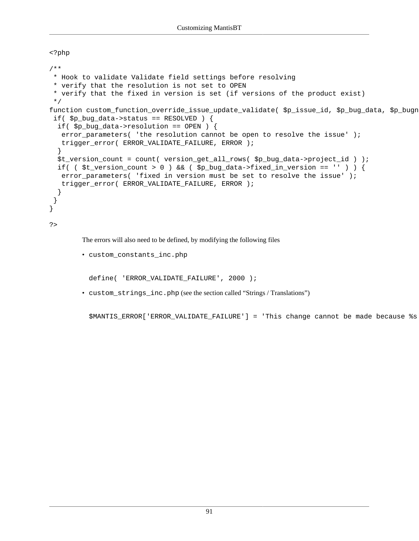<?php

```
/**
  * Hook to validate Validate field settings before resolving
  * verify that the resolution is not set to OPEN
  * verify that the fixed in version is set (if versions of the product exist)
  */
function custom_function_override_issue_update_validate( $p_issue_id, $p_bug_data, $p_bugn
  if( $p_bug_data->status == RESOLVED ) {
   if( $p_bug_data->resolution == OPEN ) {
    error_parameters( 'the resolution cannot be open to resolve the issue' );
    trigger_error( ERROR_VALIDATE_FAILURE, ERROR );
   }
   $t_version_count = count( version_get_all_rows( $p_bug_data->project_id ) );
  if( \forall $t_version_count > 0 ) && ( $p_bug_data->fixed_in_version == '' ) ) {
    error_parameters( 'fixed in version must be set to resolve the issue' );
    trigger_error( ERROR_VALIDATE_FAILURE, ERROR );
   }
  }
}
?>
```
The errors will also need to be defined, by modifying the following files

```
• custom_constants_inc.php
```

```
define( 'ERROR_VALIDATE_FAILURE', 2000 );
```
• custom\_strings\_inc.php (see [the section called "Strings / Translations"](#page-84-1))

\$MANTIS\_ERROR['ERROR\_VALIDATE\_FAILURE'] = 'This change cannot be made because %s';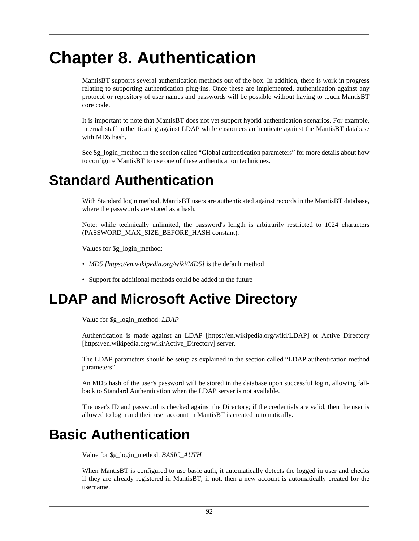# **Chapter 8. Authentication**

MantisBT supports several authentication methods out of the box. In addition, there is work in progress relating to supporting authentication plug-ins. Once these are implemented, authentication against any protocol or repository of user names and passwords will be possible without having to touch MantisBT core code.

It is important to note that MantisBT does not yet support hybrid authentication scenarios. For example, internal staff authenticating against LDAP while customers authenticate against the MantisBT database with MD5 hash.

See \$g\_login\_method in [the section called "Global authentication parameters"](#page-52-0) for more details about how to configure MantisBT to use one of these authentication techniques.

## <span id="page-98-0"></span>**Standard Authentication**

With Standard login method, MantisBT users are authenticated against records in the MantisBT database, where the passwords are stored as a hash.

Note: while technically unlimited, the password's length is arbitrarily restricted to 1024 characters (PASSWORD\_MAX\_SIZE\_BEFORE\_HASH constant).

Values for \$g\_login\_method:

- *[MD5](https://en.wikipedia.org/wiki/MD5) [<https://en.wikipedia.org/wiki/MD5>]* is the default method
- Support for additional methods could be added in the future

## **LDAP and Microsoft Active Directory**

Value for \$g\_login\_method: *LDAP*

Authentication is made against an [LDAP](https://en.wikipedia.org/wiki/LDAP) [\[https://en.wikipedia.org/wiki/LDAP\]](https://en.wikipedia.org/wiki/LDAP) or [Active Directory](https://en.wikipedia.org/wiki/Active_Directory) [\[https://en.wikipedia.org/wiki/Active\\_Directory\]](https://en.wikipedia.org/wiki/Active_Directory) server.

The LDAP parameters should be setup as explained in [the section called "LDAP authentication method](#page-53-0) [parameters"](#page-53-0).

An MD5 hash of the user's password will be stored in the database upon successful login, allowing fallback to Standard Authentication when the LDAP server is not available.

The user's ID and password is checked against the Directory; if the credentials are valid, then the user is allowed to login and their user account in MantisBT is created automatically.

## **Basic Authentication**

Value for \$g\_login\_method: *BASIC\_AUTH*

When MantisBT is configured to use basic auth, it automatically detects the logged in user and checks if they are already registered in MantisBT, if not, then a new account is automatically created for the username.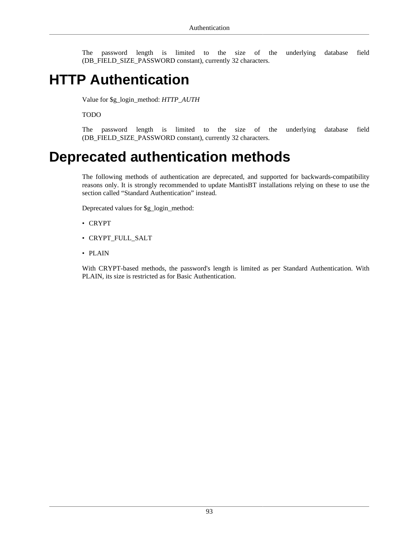The password length is limited to the size of the underlying database field (DB\_FIELD\_SIZE\_PASSWORD constant), currently 32 characters.

## **HTTP Authentication**

Value for \$g\_login\_method: *HTTP\_AUTH*

TODO

The password length is limited to the size of the underlying database field (DB\_FIELD\_SIZE\_PASSWORD constant), currently 32 characters.

## **Deprecated authentication methods**

The following methods of authentication are deprecated, and supported for backwards-compatibility reasons only. It is strongly recommended to update MantisBT installations relying on these to use [the](#page-98-0) [section called "Standard Authentication"](#page-98-0) instead.

Deprecated values for \$g\_login\_method:

- CRYPT
- CRYPT\_FULL\_SALT
- PLAIN

With CRYPT-based methods, the password's length is limited as per Standard Authentication. With PLAIN, its size is restricted as for Basic Authentication.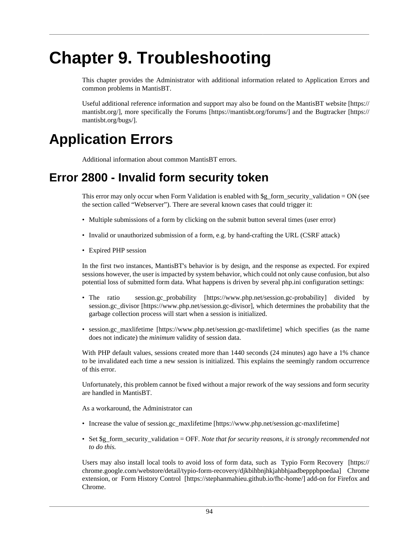# **Chapter 9. Troubleshooting**

This chapter provides the Administrator with additional information related to Application Errors and common problems in MantisBT.

Useful additional reference information and support may also be found on the [MantisBT website](https://mantisbt.org/) [\[https://](https://mantisbt.org/) [mantisbt.org/](https://mantisbt.org/)], more specifically the [Forums](https://mantisbt.org/forums/) [[https://mantisbt.org/forums/\]](https://mantisbt.org/forums/) and the [Bugtracker](https://mantisbt.org/bugs/) [\[https://](https://mantisbt.org/bugs/) [mantisbt.org/bugs/\]](https://mantisbt.org/bugs/).

## **Application Errors**

Additional information about common MantisBT errors.

### **Error 2800 - Invalid form security token**

This error may only occur when Form Validation is enabled with  $\frac{1}{2}$  form\_security\_validation = ON (see [the section called "Webserver"](#page-31-0)). There are several known cases that could trigger it:

- Multiple submissions of a form by clicking on the submit button several times (user error)
- Invalid or unauthorized submission of a form, e.g. by hand-crafting the URL (CSRF attack)
- Expired PHP session

In the first two instances, MantisBT's behavior is by design, and the response as expected. For expired sessions however, the user is impacted by system behavior, which could not only cause confusion, but also potential loss of submitted form data. What happens is driven by several php.ini configuration settings:

- The ratio session.gc probability [<https://www.php.net/session.gc-probability>] divided by [session.gc\\_divisor](https://www.php.net/session.gc-divisor) [<https://www.php.net/session.gc-divisor>], which determines the probability that the garbage collection process will start when a session is initialized.
- [session.gc\\_maxlifetime](https://www.php.net/session.gc-maxlifetime) [\[https://www.php.net/session.gc-maxlifetime\]](https://www.php.net/session.gc-maxlifetime) which specifies (as the name does not indicate) the *minimum* validity of session data.

With PHP default values, sessions created more than 1440 seconds (24 minutes) ago have a 1% chance to be invalidated each time a new session is initialized. This explains the seemingly random occurrence of this error.

Unfortunately, this problem cannot be fixed without a major rework of the way sessions and form security are handled in MantisBT.

As a workaround, the Administrator can

- Increase the value of [session.gc\\_maxlifetime](https://www.php.net/session.gc-maxlifetime) [<https://www.php.net/session.gc-maxlifetime>]
- Set \$g\_form\_security\_validation = OFF. *Note that for security reasons, it is strongly recommended not to do this.*

Users may also install local tools to avoid loss of form data, such as [Typio Form Recovery \[https://](https://chrome.google.com/webstore/detail/typio-form-recovery/djkbihbnjhkjahbhjaadbepppbpoedaa) [chrome.google.com/webstore/detail/typio-form-recovery/djkbihbnjhkjahbhjaadbepppbpoedaa](https://chrome.google.com/webstore/detail/typio-form-recovery/djkbihbnjhkjahbhjaadbepppbpoedaa)] Chrome extension, or [Form History Control](https://stephanmahieu.github.io/fhc-home/) [[https://stephanmahieu.github.io/fhc-home/\]](https://stephanmahieu.github.io/fhc-home/) add-on for Firefox and Chrome.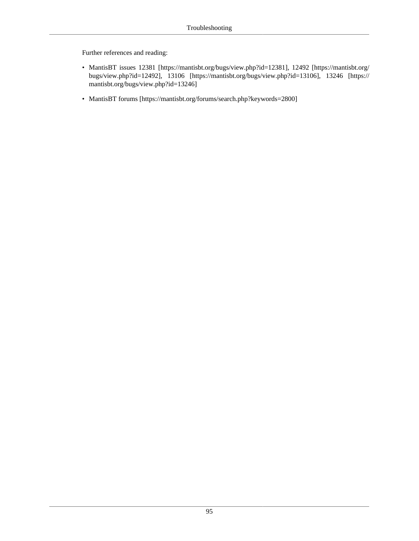Further references and reading:

- MantisBT issues [12381](https://mantisbt.org/bugs/view.php?id=12381) [<https://mantisbt.org/bugs/view.php?id=12381>], [12492 \[https://mantisbt.org/](https://mantisbt.org/bugs/view.php?id=12492) [bugs/view.php?id=12492](https://mantisbt.org/bugs/view.php?id=12492)], [13106](https://mantisbt.org/bugs/view.php?id=13106) [[https://mantisbt.org/bugs/view.php?id=13106\]](https://mantisbt.org/bugs/view.php?id=13106), [13246](https://mantisbt.org/bugs/view.php?id=13246) [\[https://](https://mantisbt.org/bugs/view.php?id=13246) [mantisbt.org/bugs/view.php?id=13246\]](https://mantisbt.org/bugs/view.php?id=13246)
- [MantisBT forums](https://mantisbt.org/forums/search.php?keywords=2800) [\[https://mantisbt.org/forums/search.php?keywords=2800](https://mantisbt.org/forums/search.php?keywords=2800)]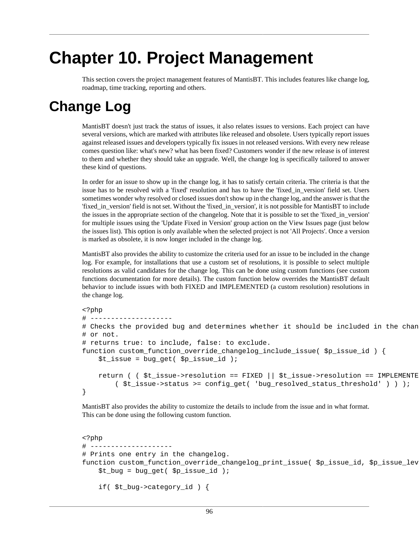# **Chapter 10. Project Management**

This section covers the project management features of MantisBT. This includes features like change log, roadmap, time tracking, reporting and others.

## **Change Log**

MantisBT doesn't just track the status of issues, it also relates issues to versions. Each project can have several versions, which are marked with attributes like released and obsolete. Users typically report issues against released issues and developers typically fix issues in not released versions. With every new release comes question like: what's new? what has been fixed? Customers wonder if the new release is of interest to them and whether they should take an upgrade. Well, the change log is specifically tailored to answer these kind of questions.

In order for an issue to show up in the change log, it has to satisfy certain criteria. The criteria is that the issue has to be resolved with a 'fixed' resolution and has to have the 'fixed\_in\_version' field set. Users sometimes wonder why resolved or closed issues don't show up in the change log, and the answer is that the 'fixed\_in\_version' field is not set. Without the 'fixed\_in\_version', it is not possible for MantisBT to include the issues in the appropriate section of the changelog. Note that it is possible to set the 'fixed\_in\_version' for multiple issues using the 'Update Fixed in Version' group action on the View Issues page (just below the issues list). This option is only available when the selected project is not 'All Projects'. Once a version is marked as obsolete, it is now longer included in the change log.

MantisBT also provides the ability to customize the criteria used for an issue to be included in the change log. For example, for installations that use a custom set of resolutions, it is possible to select multiple resolutions as valid candidates for the change log. This can be done using custom functions (see custom functions documentation for more details). The custom function below overrides the MantisBT default behavior to include issues with both FIXED and IMPLEMENTED (a custom resolution) resolutions in the change log.

```
<?php
# --------------------
# Checks the provided bug and determines whether it should be included in the chan
# or not.
# returns true: to include, false: to exclude.
function custom_function_override_changelog_include_issue( $p_issue_id ) {
     $t_issue = bug_get( $p_issue_id );
    return ( \div $t_issue->resolution == FIXED || $t_issue->resolution == IMPLEMENTE
         ( $t_issue->status >= config_get( 'bug_resolved_status_threshold' ) ) );
}
```
MantisBT also provides the ability to customize the details to include from the issue and in what format. This can be done using the following custom function.

```
<?php
# --------------------
# Prints one entry in the changelog.
function custom_function_override_changelog_print_issue( $p_issue_id, $p_issue_lev
     $t_bug = bug_get( $p_issue_id );
     if( $t_bug->category_id ) {
```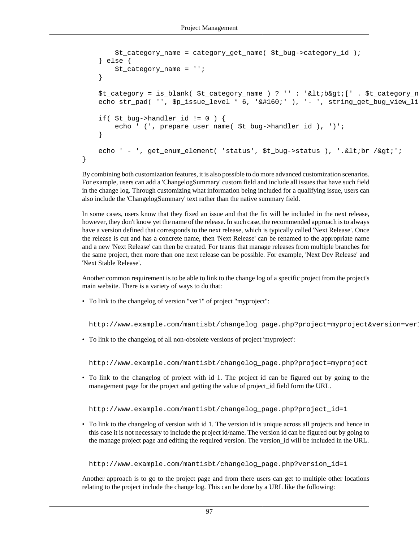```
 $t_category_name = category_get_name( $t_bug->category_id );
     } else {
         $t_category_name = '';
 }
   $t_category = is_blank( $t_category_name ) ? '' : '<b&gt;[' . $t_category_n
   echo str_pad( '', $p_issue_level * 6, ' k#160;' ), '- ', string_get_bug_view_li
    if( $t_bug->handler_id != 0 ) {
         echo ' (', prepare_user_name( $t_bug->handler_id ), ')';
     }
   echo ' - ', get enum element( 'status', $t bug->status ), '.<br /&qt;';
```
By combining both customization features, it is also possible to do more advanced customization scenarios. For example, users can add a 'ChangelogSummary' custom field and include all issues that have such field in the change log. Through customizing what information being included for a qualifying issue, users can also include the 'ChangelogSummary' text rather than the native summary field.

In some cases, users know that they fixed an issue and that the fix will be included in the next release, however, they don't know yet the name of the release. In such case, the recommended approach is to always have a version defined that corresponds to the next release, which is typically called 'Next Release'. Once the release is cut and has a concrete name, then 'Next Release' can be renamed to the appropriate name and a new 'Next Release' can then be created. For teams that manage releases from multiple branches for the same project, then more than one next release can be possible. For example, 'Next Dev Release' and 'Next Stable Release'.

Another common requirement is to be able to link to the change log of a specific project from the project's main website. There is a variety of ways to do that:

• To link to the changelog of version "ver1" of project "myproject":

}

http://www.example.com/mantisbt/changelog\_page.php?project=myproject&version=ver1

• To link to the changelog of all non-obsolete versions of project 'myproject':

http://www.example.com/mantisbt/changelog\_page.php?project=myproject

• To link to the changelog of project with id 1. The project id can be figured out by going to the management page for the project and getting the value of project\_id field form the URL.

http://www.example.com/mantisbt/changelog\_page.php?project\_id=1

• To link to the changelog of version with id 1. The version id is unique across all projects and hence in this case it is not necessary to include the project id/name. The version id can be figured out by going to the manage project page and editing the required version. The version\_id will be included in the URL.

http://www.example.com/mantisbt/changelog\_page.php?version\_id=1

Another approach is to go to the project page and from there users can get to multiple other locations relating to the project include the change log. This can be done by a URL like the following: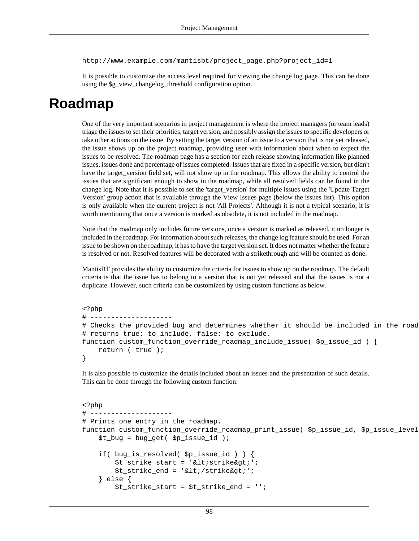http://www.example.com/mantisbt/project\_page.php?project\_id=1

It is possible to customize the access level required for viewing the change log page. This can be done using the \$g\_view\_changelog\_threshold configuration option.

## **Roadmap**

One of the very important scenarios in project management is where the project managers (or team leads) triage the issues to set their priorities, target version, and possibly assign the issues to specific developers or take other actions on the issue. By setting the target version of an issue to a version that is not yet released, the issue shows up on the project roadmap, providing user with information about when to expect the issues to be resolved. The roadmap page has a section for each release showing information like planned issues, issues done and percentage of issues completed. Issues that are fixed in a specific version, but didn't have the target\_version field set, will not show up in the roadmap. This allows the ability to control the issues that are significant enough to show in the roadmap, while all resolved fields can be found in the change log. Note that it is possible to set the 'target\_version' for multiple issues using the 'Update Target Version' group action that is available through the View Issues page (below the issues list). This option is only available when the current project is not 'All Projects'. Although it is not a typical scenario, it is worth mentioning that once a version is marked as obsolete, it is not included in the roadmap.

Note that the roadmap only includes future versions, once a version is marked as released, it no longer is included in the roadmap. For information about such releases, the change log feature should be used. For an issue to be shown on the roadmap, it has to have the target version set. It does not matter whether the feature is resolved or not. Resolved features will be decorated with a strikethrough and will be counted as done.

MantisBT provides the ability to customize the criteria for issues to show up on the roadmap. The default criteria is that the issue has to belong to a version that is not yet released and that the issues is not a duplicate. However, such criteria can be customized by using custom functions as below.

```
<?php
# ---# Checks the provided bug and determines whether it should be included in the road
# returns true: to include, false: to exclude.
function custom_function_override_roadmap_include_issue( $p_issue_id ) {
    return ( true );
}
```
It is also possible to customize the details included about an issues and the presentation of such details. This can be done through the following custom function:

```
<?php
\# --# Prints one entry in the roadmap.
function custom_function_override_roadmap_print_issue($p_issue_id,$p_issue_level
     $t_bug = bug_get( $p_issue_id );
     if( bug_is_resolved( $p_issue_id ) ) {
       $t_strike_start = '< istrike>';It is the end = '</strike`qt;'; } else {
         $t_strike_start = $t_strike_end = '';
```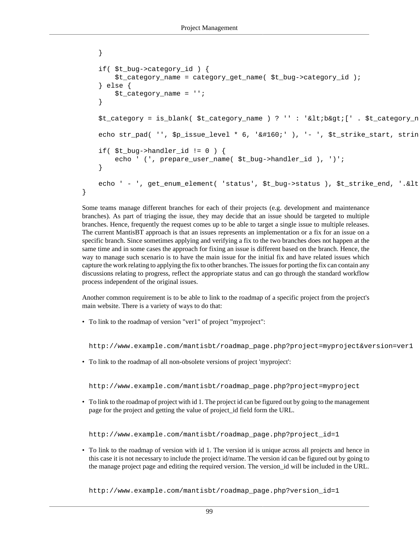```
 }
 if( $t_bug->category_id ) {
    $t_category_name = category_get_name( $t_bug->category_id );
 } else {
     $t_category_name = '';
 }
$t_category = is_blank( $t_category_name ) ? '' : '<b&gt;[' . $t_category_n
echo str_pad( '', $p_issue_level * 6, ' ' ), '- ', $t_strike_start, strin
if(St bug->handler id != 0 ) {
    echo ' (', prepare_user_name( $t_bug->handler_id ), ')';
 }
echo ' - ', get_enum_element( 'status', $t_bug->status ), $t_strike_end, '.&lt
```
Some teams manage different branches for each of their projects (e.g. development and maintenance branches). As part of triaging the issue, they may decide that an issue should be targeted to multiple branches. Hence, frequently the request comes up to be able to target a single issue to multiple releases. The current MantisBT approach is that an issues represents an implementation or a fix for an issue on a specific branch. Since sometimes applying and verifying a fix to the two branches does not happen at the same time and in some cases the approach for fixing an issue is different based on the branch. Hence, the way to manage such scenario is to have the main issue for the initial fix and have related issues which capture the work relating to applying the fix to other branches. The issues for porting the fix can contain any discussions relating to progress, reflect the appropriate status and can go through the standard workflow process independent of the original issues.

Another common requirement is to be able to link to the roadmap of a specific project from the project's main website. There is a variety of ways to do that:

• To link to the roadmap of version "ver1" of project "myproject":

}

http://www.example.com/mantisbt/roadmap\_page.php?project=myproject&version=ver1

• To link to the roadmap of all non-obsolete versions of project 'myproject':

http://www.example.com/mantisbt/roadmap\_page.php?project=myproject

• To link to the roadmap of project with id 1. The project id can be figured out by going to the management page for the project and getting the value of project\_id field form the URL.

http://www.example.com/mantisbt/roadmap\_page.php?project\_id=1

• To link to the roadmap of version with id 1. The version id is unique across all projects and hence in this case it is not necessary to include the project id/name. The version id can be figured out by going to the manage project page and editing the required version. The version\_id will be included in the URL.

http://www.example.com/mantisbt/roadmap\_page.php?version\_id=1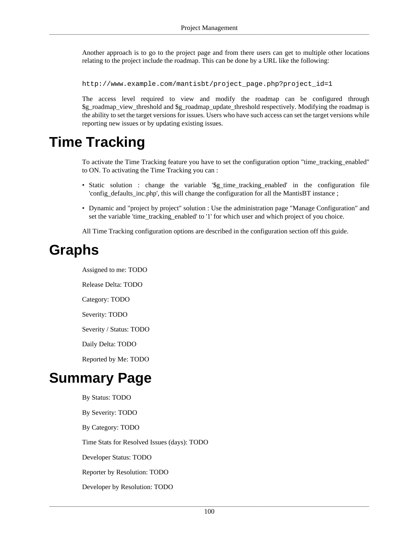Another approach is to go to the project page and from there users can get to multiple other locations relating to the project include the roadmap. This can be done by a URL like the following:

http://www.example.com/mantisbt/project\_page.php?project\_id=1

The access level required to view and modify the roadmap can be configured through \$g\_roadmap\_view\_threshold and \$g\_roadmap\_update\_threshold respectively. Modifying the roadmap is the ability to set the target versions for issues. Users who have such access can set the target versions while reporting new issues or by updating existing issues.

### **Time Tracking**

To activate the Time Tracking feature you have to set the configuration option "time\_tracking\_enabled" to ON. To activating the Time Tracking you can :

- Static solution : change the variable '\$g\_time\_tracking\_enabled' in the configuration file 'config\_defaults\_inc.php', this will change the configuration for all the MantisBT instance ;
- Dynamic and "project by project" solution : Use the administration page "Manage Configuration" and set the variable 'time\_tracking\_enabled' to '1' for which user and which project of you choice.

All Time Tracking configuration options are described in the configuration section off this guide.

### **Graphs**

Assigned to me: TODO

Release Delta: TODO

Category: TODO

Severity: TODO

Severity / Status: TODO

Daily Delta: TODO

Reported by Me: TODO

### **Summary Page**

By Status: TODO By Severity: TODO By Category: TODO Time Stats for Resolved Issues (days): TODO Developer Status: TODO Reporter by Resolution: TODO Developer by Resolution: TODO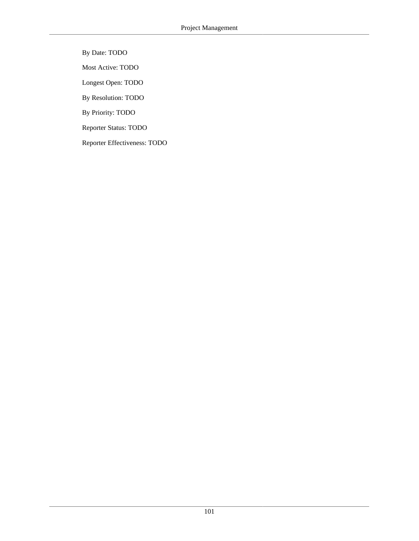By Date: TODO

Most Active: TODO

Longest Open: TODO

By Resolution: TODO

By Priority: TODO

Reporter Status: TODO

Reporter Effectiveness: TODO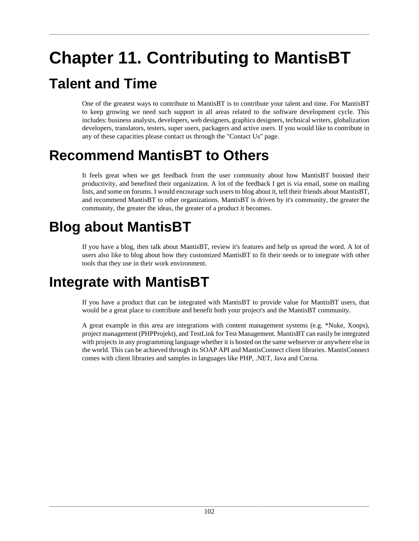# **Chapter 11. Contributing to MantisBT Talent and Time**

One of the greatest ways to contribute to MantisBT is to contribute your talent and time. For MantisBT to keep growing we need such support in all areas related to the software development cycle. This includes: business analysts, developers, web designers, graphics designers, technical writers, globalization developers, translators, testers, super users, packagers and active users. If you would like to contribute in any of these capacities please contact us through the "Contact Us" page.

### **Recommend MantisBT to Others**

It feels great when we get feedback from the user community about how MantisBT boosted their productivity, and benefited their organization. A lot of the feedback I get is via email, some on mailing lists, and some on forums. I would encourage such users to blog about it, tell their friends about MantisBT, and recommend MantisBT to other organizations. MantisBT is driven by it's community, the greater the community, the greater the ideas, the greater of a product it becomes.

#### **Blog about MantisBT**

If you have a blog, then talk about MantisBT, review it's features and help us spread the word. A lot of users also like to blog about how they customized MantisBT to fit their needs or to integrate with other tools that they use in their work environment.

#### **Integrate with MantisBT**

If you have a product that can be integrated with MantisBT to provide value for MantisBT users, that would be a great place to contribute and benefit both your project's and the MantisBT community.

A great example in this area are integrations with content management systems (e.g. \*Nuke, Xoops), project management (PHPProjekt), and TestLink for Test Management. MantisBT can easily be integrated with projects in any programming language whether it is hosted on the same webserver or anywhere else in the world. This can be achieved through its SOAP API and MantisConnect client libraries. MantisConnect comes with client libraries and samples in languages like PHP, .NET, Java and Cocoa.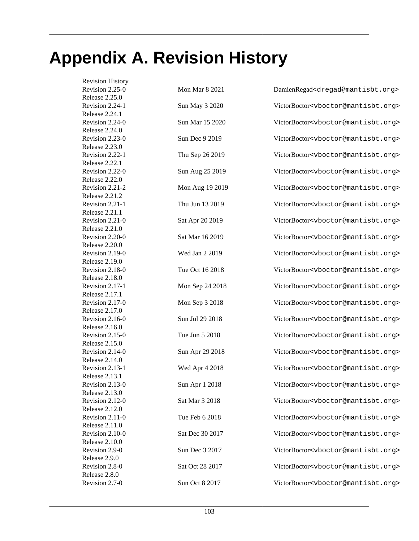## **Appendix A. Revision History**

Revision History Release 2.25.0 Release 2.24.1 Release 2.24.0 Release 2.23.0 Release 2.22.1 Release 2.22.0 Release 2.21.2 Release 2.21.1 Release 2.21.0 Release 2.20.0 Release 2.19.0 Release 2.18.0 Release 2.17.1 Release 2.17.0 Release 2.16.0 Release 2.15.0 Release 2.14.0 Release 2.13.1 Release 2.13.0 Release 2.12.0 Release 2.11.0 Release 2.10.0 Release 2.9.0 Release 2.8.0

Revision 2.25-0 Mon Mar 8 2021 DamienRegad<dregad@mantisbt.org> Revision 2.24-1 Sun May 3 2020 VictorBoctor<vboctor@mantisbt.org> Revision 2.24-0 Sun Mar 15 2020 VictorBoctor<vboctor@mantisbt.org> Revision 2.23-0 Sun Dec 9 2019 VictorBoctor<vboctor@mantisbt.org> Revision 2.22-1 Thu Sep 26 2019 VictorBoctor<vboctor@mantisbt.org> Revision 2.22-0 Sun Aug 25 2019 VictorBoctor<vboctor@mantisbt.org> Revision 2.21-2 Mon Aug 19 2019 VictorBoctor<vboctor@mantisbt.org> Revision 2.21-1 Thu Jun 13 2019 VictorBoctor<vboctor@mantisbt.org> Revision 2.21-0 Sat Apr 20 2019 VictorBoctor<vboctor@mantisbt.org> Revision 2.20-0 Sat Mar 16 2019 VictorBoctor<vboctor@mantisbt.org> Revision 2.19-0 Wed Jan 2 2019 VictorBoctor<vboctor@mantisbt.org> Revision 2.18-0 Tue Oct 16 2018 VictorBoctor<vboctor@mantisbt.org> Revision 2.17-1 Mon Sep 24 2018 VictorBoctor<vboctor@mantisbt.org> Revision 2.17-0 Mon Sep 3 2018 VictorBoctor<vboctor@mantisbt.org> Revision 2.16-0 Sun Jul 29 2018 VictorBoctor<vboctor@mantisbt.org> Revision 2.15-0 Tue Jun 5 2018 VictorBoctor<vboctor@mantisbt.org> Revision 2.14-0 Sun Apr 29 2018 VictorBoctor<vboctor@mantisbt.org> Revision 2.13-1 Wed Apr 4 2018 VictorBoctor<vboctor@mantisbt.org> Revision 2.13-0 Sun Apr 1 2018 VictorBoctor<vboctor@mantisbt.org> Revision 2.12-0 Sat Mar 3 2018 VictorBoctor<vboctor@mantisbt.org> Revision 2.11-0 Tue Feb 6 2018 VictorBoctor<vboctor@mantisbt.org> Revision 2.10-0 Sat Dec 30 2017 VictorBoctor<vboctor@mantisbt.org> Revision 2.9-0 Sun Dec 3 2017 VictorBoctor<vboctor@mantisbt.org> Revision 2.8-0 Sat Oct 28 2017 VictorBoctor<vboctor@mantisbt.org> Revision 2.7-0 Sun Oct 8 2017 VictorBoctor<vboctor@mantisbt.org>